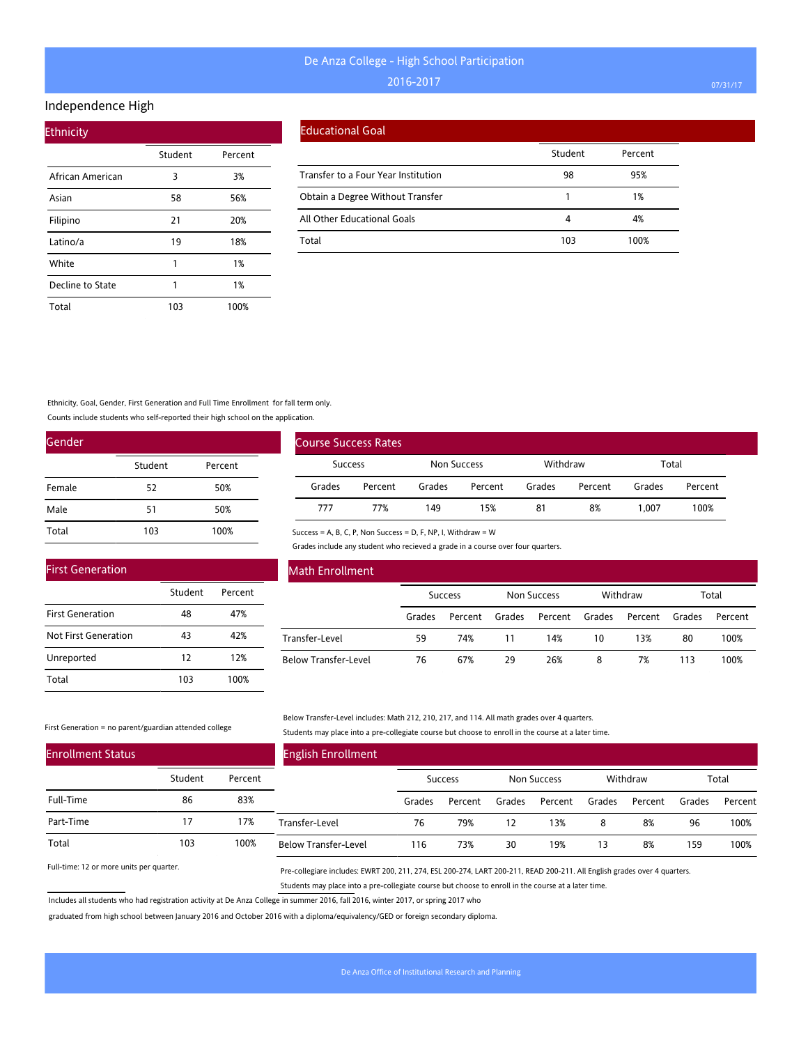#### Independence High

| <b>Ethnicity</b> |         |         |  |  |  |  |  |
|------------------|---------|---------|--|--|--|--|--|
|                  | Student | Percent |  |  |  |  |  |
| African American | 3       | 3%      |  |  |  |  |  |
| Asian            | 58      | 56%     |  |  |  |  |  |
| Filipino         | 21      | 20%     |  |  |  |  |  |
| Latino/a         | 19      | 18%     |  |  |  |  |  |
| White            | 1       | 1%      |  |  |  |  |  |
| Decline to State | 1       | 1%      |  |  |  |  |  |
| Total            | 103     | 100%    |  |  |  |  |  |

#### Educational Goal

|                                     | Student | Percent |
|-------------------------------------|---------|---------|
| Transfer to a Four Year Institution | 98      | 95%     |
| Obtain a Degree Without Transfer    |         | 1%      |
| All Other Educational Goals         |         | 4%      |
| Total                               | 103     | 100%    |

Ethnicity, Goal, Gender, First Generation and Full Time Enrollment for fall term only.

Counts include students who self-reported their high school on the application.

| Gender |         |         |  |  |  |  |  |
|--------|---------|---------|--|--|--|--|--|
|        | Student | Percent |  |  |  |  |  |
| Female | 52      | 50%     |  |  |  |  |  |
| Male   | 51      | 50%     |  |  |  |  |  |
| Total  | 103     | 100%    |  |  |  |  |  |

|                | <b>Course Success Rates</b> |             |         |          |         |        |         |
|----------------|-----------------------------|-------------|---------|----------|---------|--------|---------|
| <b>Success</b> |                             | Non Success |         | Withdraw |         | Total  |         |
| Grades         | Percent                     | Grades      | Percent | Grades   | Percent | Grades | Percent |
| 777            | 77%                         | 149         | 15%     | 81       | 8%      | 1.007  | 100%    |

#### First Generation

|                         | Student | Percent |
|-------------------------|---------|---------|
| <b>First Generation</b> | 48      | 47%     |
| Not First Generation    | 43      | 42%     |
| Unreported              | 12      | 12%     |
| Total                   | 103     | 100%    |

### Math Enrollment

|                      | <b>Success</b> |         | Non Success |                | Withdraw |         | Total  |         |
|----------------------|----------------|---------|-------------|----------------|----------|---------|--------|---------|
|                      | Grades         | Percent | Grades      | Percent Grades |          | Percent | Grades | Percent |
| Transfer-Level       | 59             | 74%     | 11          | 14%            | 10       | 13%     | 80     | 100%    |
| Below Transfer-Level | 76             | 67%     | 29          | 26%            | 8        | 7%      | 113    | 100%    |

#### First Generation = no parent/guardian attended college

Below Transfer-Level includes: Math 212, 210, 217, and 114. All math grades over 4 quarters. Students may place into a pre-collegiate course but choose to enroll in the course at a later time.

| <b>Enrollment Status</b> |         |         | <b>English Enrollment</b>   |        |                |        |             |        |          |        |         |
|--------------------------|---------|---------|-----------------------------|--------|----------------|--------|-------------|--------|----------|--------|---------|
|                          | Student | Percent |                             |        | <b>Success</b> |        | Non Success |        | Withdraw |        | Total   |
| Full-Time                | 86      | 83%     |                             | Grades | Percent        | Grades | Percent     | Grades | Percent  | Grades | Percent |
| Part-Time                |         | 17%     | Transfer-Level              | 76     | 79%            | 12     | 13%         | 8      | 8%       | 96     | 100%    |
| Total                    | 103     | 100%    | <b>Below Transfer-Level</b> | 116    | 73%            | 30     | 19%         | 13     | 8%       | 159    | 100%    |

Success = A, B, C, P, Non Success = D, F, NP, I, Withdraw = W

Grades include any student who recieved a grade in a course over four quarters.

Full-time: 12 or more units per quarter.

Pre-collegiare includes: EWRT 200, 211, 274, ESL 200-274, LART 200-211, READ 200-211. All English grades over 4 quarters. Students may place into a pre-collegiate course but choose to enroll in the course at a later time.

Includes all students who had registration activity at De Anza College in summer 2016, fall 2016, winter 2017, or spring 2017 who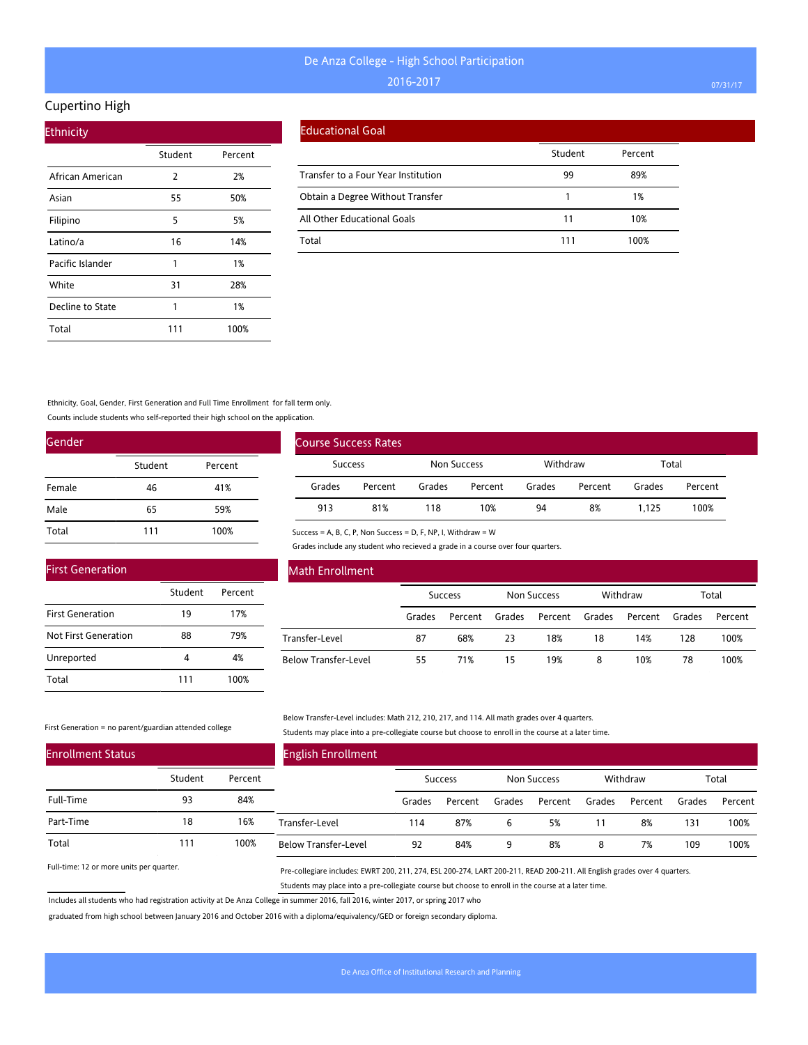#### Cupertino High

| <b>Ethnicity</b> |         |         |  |  |  |  |  |
|------------------|---------|---------|--|--|--|--|--|
|                  | Student | Percent |  |  |  |  |  |
| African American | 2       | 2%      |  |  |  |  |  |
| Asian            | 55      | 50%     |  |  |  |  |  |
| Filipino         | 5       | 5%      |  |  |  |  |  |
| Latino/a         | 16      | 14%     |  |  |  |  |  |
| Pacific Islander | 1       | 1%      |  |  |  |  |  |
| White            | 31      | 28%     |  |  |  |  |  |
| Decline to State | 1       | 1%      |  |  |  |  |  |
| Total            | 111     | 100%    |  |  |  |  |  |

#### Educational Goal

|                                     | Student | Percent |
|-------------------------------------|---------|---------|
| Transfer to a Four Year Institution | 99      | 89%     |
| Obtain a Degree Without Transfer    |         | 1%      |
| All Other Educational Goals         | 11      | 10%     |
| Total                               | 111     | 100%    |

Ethnicity, Goal, Gender, First Generation and Full Time Enrollment for fall term only.

Counts include students who self-reported their high school on the application.

| Gender |         |         |  |  |  |  |  |
|--------|---------|---------|--|--|--|--|--|
|        | Student | Percent |  |  |  |  |  |
| Female | 46      | 41%     |  |  |  |  |  |
| Male   | 65      | 59%     |  |  |  |  |  |
| Total  | 111     | 100%    |  |  |  |  |  |

| <b>First Generation</b> |         |         |
|-------------------------|---------|---------|
|                         | Student | Percent |
| <b>First Generation</b> | 19      | 17%     |
| Not First Generation    | 88      | 79%     |
| Unreported              | 4       | 4%      |
| Total                   | 111     | 100%    |

# Course Success Rates Success Non Success Withdraw Total Grades Percent Grades Percent Grades Percent Grades Percent 913 81% 118 10% 94 8% 1,125 100%

Success = A, B, C, P, Non Success = D, F, NP, I, Withdraw = W

Grades include any student who recieved a grade in a course over four quarters.

| Math Enrollment             |                |         |             |         |          |         |        |         |
|-----------------------------|----------------|---------|-------------|---------|----------|---------|--------|---------|
|                             | <b>Success</b> |         | Non Success |         | Withdraw |         | Total  |         |
|                             | Grades         | Percent | Grades      | Percent | Grades   | Percent | Grades | Percent |
| Transfer-Level              | 87             | 68%     | 23          | 18%     | 18       | 14%     | 128    | 100%    |
| <b>Below Transfer-Level</b> | 55             | 71%     | 15          | 19%     | 8        | 10%     | 78     | 100%    |

#### First Generation = no parent/guardian attended college

Below Transfer-Level includes: Math 212, 210, 217, and 114. All math grades over 4 quarters. Students may place into a pre-collegiate course but choose to enroll in the course at a later time.

| <b>Enrollment Status</b> |         |         | <b>English Enrollment</b>   |        |         |        |             |        |          |        |         |
|--------------------------|---------|---------|-----------------------------|--------|---------|--------|-------------|--------|----------|--------|---------|
|                          | Student | Percent |                             |        | Success |        | Non Success |        | Withdraw |        | Total   |
| Full-Time                | 93      | 84%     |                             | Grades | Percent | Grades | Percent     | Grades | Percent  | Grades | Percent |
| Part-Time                | 18      | 16%     | Transfer-Level              | 114    | 87%     | 6      | 5%          |        | 8%       | 131    | 100%    |
| Total                    | 111     | 100%    | <b>Below Transfer-Level</b> | 92     | 84%     | 9      | 8%          | 8      | 7%       | 109    | 100%    |

Full-time: 12 or more units per quarter.

Pre-collegiare includes: EWRT 200, 211, 274, ESL 200-274, LART 200-211, READ 200-211. All English grades over 4 quarters. Students may place into a pre-collegiate course but choose to enroll in the course at a later time.

Includes all students who had registration activity at De Anza College in summer 2016, fall 2016, winter 2017, or spring 2017 who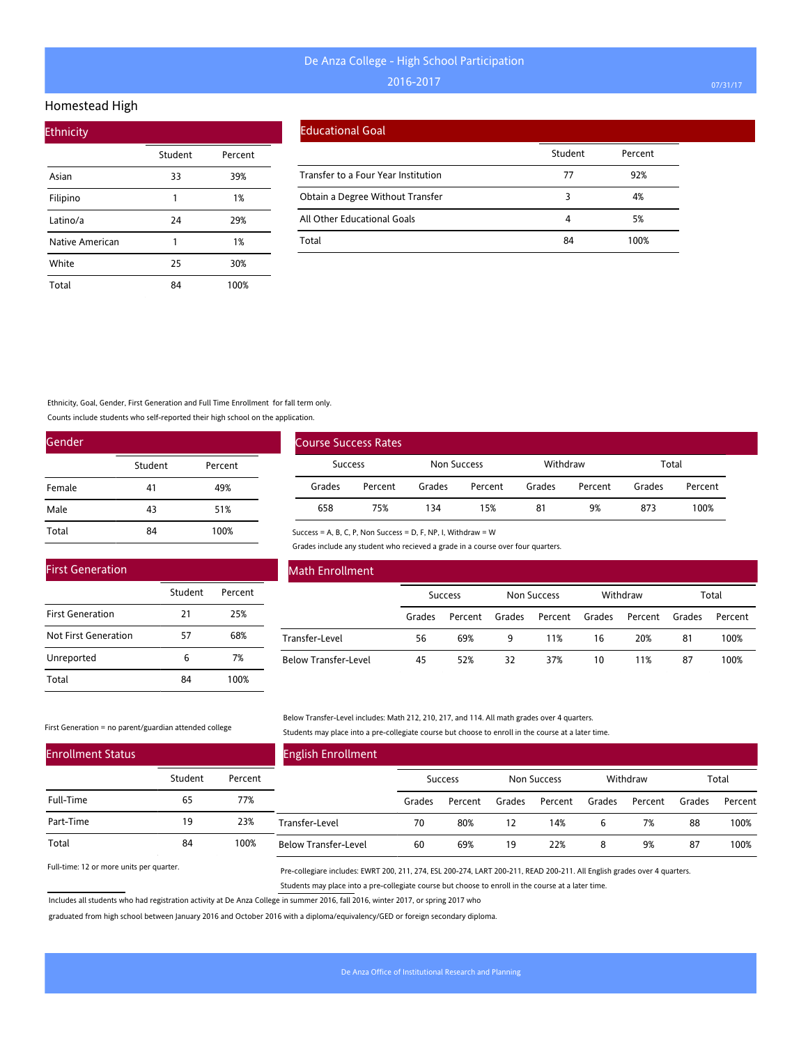#### Homestead High

| <b>Ethnicity</b> |         |         |
|------------------|---------|---------|
|                  | Student | Percent |
| Asian            | 33      | 39%     |
| Filipino         | 1       | 1%      |
| Latino/a         | 24      | 29%     |
| Native American  | 1       | 1%      |
| White            | 25      | 30%     |
| Total            | 84      | 100%    |

#### Educational Goal

|                                     | Student | Percent |
|-------------------------------------|---------|---------|
| Transfer to a Four Year Institution | 77      | 92%     |
| Obtain a Degree Without Transfer    |         | 4%      |
| All Other Educational Goals         |         | 5%      |
| Total                               | 84      | 100%    |

Ethnicity, Goal, Gender, First Generation and Full Time Enrollment for fall term only.

Counts include students who self-reported their high school on the application.

| Gender |         |         |
|--------|---------|---------|
|        | Student | Percent |
| Female | 41      | 49%     |
| Male   | 43      | 51%     |
| Total  | 84      | 100%    |

| <b>Course Success Rates</b> |         |             |         |          |         |        |         |  |
|-----------------------------|---------|-------------|---------|----------|---------|--------|---------|--|
| Success                     |         | Non Success |         | Withdraw |         | Total  |         |  |
| Grades                      | Percent | Grades      | Percent | Grades   | Percent | Grades | Percent |  |
| 658                         | 75%     | 134         | 15%     | 81       | 9%      | 873    | 100%    |  |

Success = A, B, C, P, Non Success = D, F, NP, I, Withdraw = W

Grades include any student who recieved a grade in a course over four quarters.

| <b>First Generation</b> |         |         |
|-------------------------|---------|---------|
|                         | Student | Percent |
| <b>First Generation</b> | 21      | 25%     |
| Not First Generation    | 57      | 68%     |
| Unreported              | 6       | 7%      |
| Total                   | 84      | 100%    |

### Math Enrollment

|                      |        | <b>Success</b> |        | Non Success    |    | Withdraw |        | Total   |
|----------------------|--------|----------------|--------|----------------|----|----------|--------|---------|
|                      | Grades | Percent        | Grades | Percent Grades |    | Percent  | Grades | Percent |
| Transfer-Level       | 56     | 69%            | 9      | 11%            | 16 | 20%      | 81     | 100%    |
| Below Transfer-Level | 45     | 52%            | 32     | 37%            | 10 | 11%      | 87     | 100%    |

#### First Generation = no parent/guardian attended college

Below Transfer-Level includes: Math 212, 210, 217, and 114. All math grades over 4 quarters. Students may place into a pre-collegiate course but choose to enroll in the course at a later time.

| <b>Enrollment Status</b> |         |         | <b>English Enrollment</b>   |        |                |        |             |        |          |        |         |
|--------------------------|---------|---------|-----------------------------|--------|----------------|--------|-------------|--------|----------|--------|---------|
|                          | Student | Percent |                             |        | <b>Success</b> |        | Non Success |        | Withdraw |        | Total   |
| Full-Time                | 65      | 77%     |                             | Grades | Percent        | Grades | Percent     | Grades | Percent  | Grades | Percent |
| Part-Time                | 19      | 23%     | Transfer-Level              | 70     | 80%            | 12     | 14%         | b      | 7%       | 88     | 100%    |
| Total                    | 84      | 100%    | <b>Below Transfer-Level</b> | 60     | 69%            | 19     | 22%         | 8      | 9%       | 87     | 100%    |

Full-time: 12 or more units per quarter.

Pre-collegiare includes: EWRT 200, 211, 274, ESL 200-274, LART 200-211, READ 200-211. All English grades over 4 quarters. Students may place into a pre-collegiate course but choose to enroll in the course at a later time.

Includes all students who had registration activity at De Anza College in summer 2016, fall 2016, winter 2017, or spring 2017 who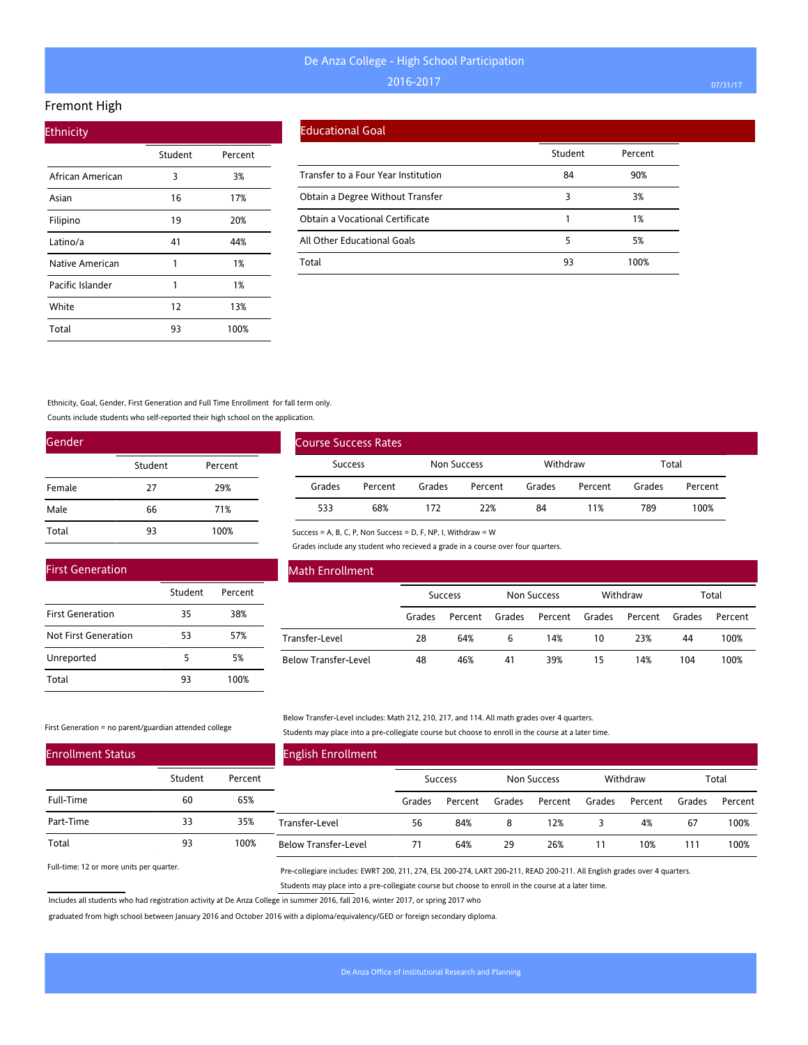#### Fremont High

| <b>Ethnicity</b> |         |         |  |
|------------------|---------|---------|--|
|                  | Student | Percent |  |
| African American | 3       | 3%      |  |
| Asian            | 16      | 17%     |  |
| Filipino         | 19      | 20%     |  |
| Latino/a         | 41      | 44%     |  |
| Native American  | 1       | 1%      |  |
| Pacific Islander | 1       | 1%      |  |
| White            | 12      | 13%     |  |
| Total            | 93      | 100%    |  |

#### Educational Goal

|                                     | Student | Percent |
|-------------------------------------|---------|---------|
| Transfer to a Four Year Institution | 84      | 90%     |
| Obtain a Degree Without Transfer    | 3       | 3%      |
| Obtain a Vocational Certificate     |         | 1%      |
| All Other Educational Goals         | 5       | 5%      |
| Total                               | 93      | 100%    |

Ethnicity, Goal, Gender, First Generation and Full Time Enrollment for fall term only.

Counts include students who self-reported their high school on the application.

| Gender |         |         |
|--------|---------|---------|
|        | Student | Percent |
| Female | 27      | 29%     |
| Male   | 66      | 71%     |
| Total  | 93      | 100%    |

| <b>First Generation</b> |         |         |
|-------------------------|---------|---------|
|                         | Student | Percent |
| <b>First Generation</b> | 35      | 38%     |
| Not First Generation    | 53      | 57%     |
| Unreported              | 5       | 5%      |
| Total                   | 93      | 100%    |

| <b>Course Success Rates</b> |         |                    |         |          |         |        |         |
|-----------------------------|---------|--------------------|---------|----------|---------|--------|---------|
| <b>Success</b>              |         | <b>Non Success</b> |         | Withdraw |         | Total  |         |
| Grades                      | Percent | Grades             | Percent | Grades   | Percent | Grades | Percent |
| 533                         | 68%     | 172                | 22%     | 84       | 11%     | 789    | 100%    |

Success = A, B, C, P, Non Success = D, F, NP, I, Withdraw = W

Grades include any student who recieved a grade in a course over four quarters.

| <b>Math Enrollment</b>      |        |                |        |                    |        |          |        |         |
|-----------------------------|--------|----------------|--------|--------------------|--------|----------|--------|---------|
|                             |        | <b>Success</b> |        | <b>Non Success</b> |        | Withdraw |        | Total   |
|                             | Grades | Percent        | Grades | Percent            | Grades | Percent  | Grades | Percent |
| Transfer-Level              | 28     | 64%            | 6      | 14%                | 10     | 23%      | 44     | 100%    |
| <b>Below Transfer-Level</b> | 48     | 46%            | 41     | 39%                | 15     | 14%      | 104    | 100%    |

#### First Generation = no parent/guardian attended college

Below Transfer-Level includes: Math 212, 210, 217, and 114. All math grades over 4 quarters. Students may place into a pre-collegiate course but choose to enroll in the course at a later time.

| <b>Enrollment Status</b> |         |         | <b>English Enrollment</b>   |        |                |        |             |        |          |        |         |
|--------------------------|---------|---------|-----------------------------|--------|----------------|--------|-------------|--------|----------|--------|---------|
|                          | Student | Percent |                             |        | <b>Success</b> |        | Non Success |        | Withdraw |        | Total   |
| Full-Time                | 60      | 65%     |                             | Grades | Percent        | Grades | Percent     | Grades | Percent  | Grades | Percent |
| Part-Time                | 33      | 35%     | Transfer-Level              | 56     | 84%            | 8      | 12%         |        | 4%       | 67     | 100%    |
| Total                    | 93      | 100%    | <b>Below Transfer-Level</b> | 71     | 64%            | 29     | 26%         | 11     | 10%      | 111    | 100%    |

Full-time: 12 or more units per quarter.

Pre-collegiare includes: EWRT 200, 211, 274, ESL 200-274, LART 200-211, READ 200-211. All English grades over 4 quarters. Students may place into a pre-collegiate course but choose to enroll in the course at a later time.

Includes all students who had registration activity at De Anza College in summer 2016, fall 2016, winter 2017, or spring 2017 who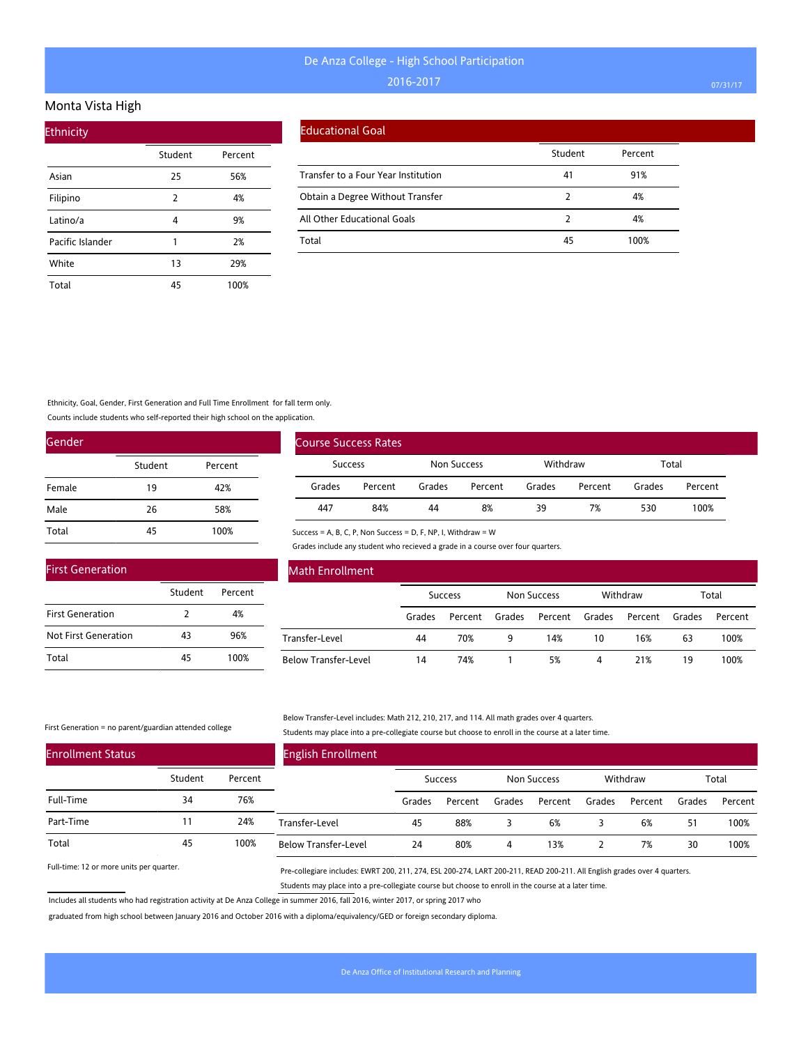#### Monta Vista High

| <b>Ethnicity</b> |         |         |
|------------------|---------|---------|
|                  | Student | Percent |
| Asian            | 25      | 56%     |
| Filipino         | 2       | 4%      |
| Latino/a         | 4       | 9%      |
| Pacific Islander | 1       | 2%      |
| White            | 13      | 29%     |
| Total            | 45      | 100%    |

#### Educational Goal

|                                     | Student | Percent |
|-------------------------------------|---------|---------|
| Transfer to a Four Year Institution | 41      | 91%     |
| Obtain a Degree Without Transfer    |         | 4%      |
| All Other Educational Goals         |         | 4%      |
| Total                               | 45      | 100%    |

### Ethnicity, Goal, Gender, First Generation and Full Time Enrollment for fall term only.

Counts include students who self-reported their high school on the application.

| Gender |         |         |
|--------|---------|---------|
|        | Student | Percent |
| Female | 19      | 42%     |
| Male   | 26      | 58%     |
| Total  | 45      | 100%    |

| <b>First Generation</b> |         |         |
|-------------------------|---------|---------|
|                         | Student | Percent |
| <b>First Generation</b> | 2       | 4%      |
| Not First Generation    | 43      | 96%     |
| Total                   | 45      | 100%    |

| Course Success Rates |         |             |         |          |         |        |         |
|----------------------|---------|-------------|---------|----------|---------|--------|---------|
| Success              |         | Non Success |         | Withdraw |         | Total  |         |
| Grades               | Percent | Grades      | Percent | Grades   | Percent | Grades | Percent |
| 447                  | 84%     | 44          | 8%      | 39       | 7%      | 530    | 100%    |

Success = A, B, C, P, Non Success = D, F, NP, I, Withdraw = W

Grades include any student who recieved a grade in a course over four quarters.

| <b>Math Enrollment</b>      |        |                |        |                    |        |          |        |         |
|-----------------------------|--------|----------------|--------|--------------------|--------|----------|--------|---------|
|                             |        | <b>Success</b> |        | <b>Non Success</b> |        | Withdraw |        | Total   |
|                             | Grades | Percent        | Grades | Percent            | Grades | Percent  | Grades | Percent |
| Transfer-Level              | 44     | 70%            | 9      | 14%                | 10     | 16%      | 63     | 100%    |
| <b>Below Transfer-Level</b> | 14     | 74%            |        | 5%                 | 4      | 21%      | 19     | 100%    |

#### First Generation = no parent/guardian attended college

#### Below Transfer-Level includes: Math 212, 210, 217, and 114. All math grades over 4 quarters. Students may place into a pre-collegiate course but choose to enroll in the course at a later time.

| <b>Enrollment Status</b> |         |         | <b>English Enrollment</b>   |        |                |        |             |        |          |        |         |
|--------------------------|---------|---------|-----------------------------|--------|----------------|--------|-------------|--------|----------|--------|---------|
|                          | Student | Percent |                             |        | <b>Success</b> |        | Non Success |        | Withdraw |        | Total   |
| Full-Time                | 34      | 76%     |                             | Grades | Percent        | Grades | Percent     | Grades | Percent  | Grades | Percent |
| Part-Time                |         | 24%     | Transfer-Level              | 45     | 88%            |        | 6%          |        | 6%       | 51     | 100%    |
| Total                    | 45      | 100%    | <b>Below Transfer-Level</b> | 24     | 80%            | 4      | 13%         |        | 7%       | 30     | 100%    |

Full-time: 12 or more units per quarter.

Pre-collegiare includes: EWRT 200, 211, 274, ESL 200-274, LART 200-211, READ 200-211. All English grades over 4 quarters. Students may place into a pre-collegiate course but choose to enroll in the course at a later time.

Includes all students who had registration activity at De Anza College in summer 2016, fall 2016, winter 2017, or spring 2017 who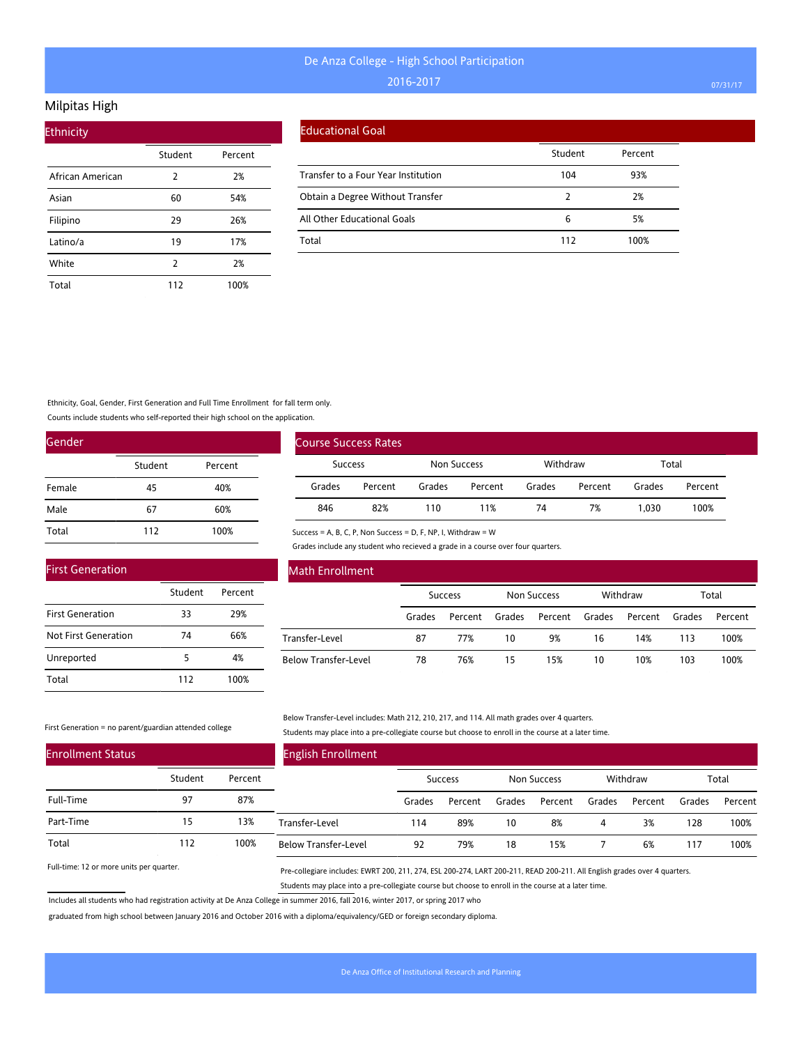### Milpitas High

| <b>Ethnicity</b> |         |         |  |  |  |  |  |  |
|------------------|---------|---------|--|--|--|--|--|--|
|                  | Student | Percent |  |  |  |  |  |  |
| African American | 2       | 2%      |  |  |  |  |  |  |
| Asian            | 60      | 54%     |  |  |  |  |  |  |
| Filipino         | 29      | 26%     |  |  |  |  |  |  |
| Latino/a         | 19      | 17%     |  |  |  |  |  |  |
| White            | 2       | 2%      |  |  |  |  |  |  |
| Total            | 112     | 100%    |  |  |  |  |  |  |

#### Educational Goal

|                                     | Student | Percent |
|-------------------------------------|---------|---------|
| Transfer to a Four Year Institution | 104     | 93%     |
| Obtain a Degree Without Transfer    |         | 2%      |
| All Other Educational Goals         | 6       | 5%      |
| Total                               | 112     | 100%    |

### Ethnicity, Goal, Gender, First Generation and Full Time Enrollment for fall term only.

Counts include students who self-reported their high school on the application.

| Gender |         |         |
|--------|---------|---------|
|        | Student | Percent |
| Female | 45      | 40%     |
| Male   | 67      | 60%     |
| Total  | 112     | 100%    |

|                | <b>Course Success Rates</b> |             |         |          |         |        |         |
|----------------|-----------------------------|-------------|---------|----------|---------|--------|---------|
| <b>Success</b> |                             | Non Success |         | Withdraw |         | Total  |         |
| Grades         | Percent                     | Grades      | Percent | Grades   | Percent | Grades | Percent |
| 846            | 82%                         | 110         | 11%     | 74       | 7%      | 1.030  | 100%    |

Success = A, B, C, P, Non Success = D, F, NP, I, Withdraw = W

Grades include any student who recieved a grade in a course over four quarters.

| <b>First Generation</b> |         |         |
|-------------------------|---------|---------|
|                         | Student | Percent |
| <b>First Generation</b> | 33      | 29%     |
| Not First Generation    | 74      | 66%     |
| Unreported              | 5       | 4%      |
| Total                   | 112     | 100%    |

### Math Enrollment

|                      | <b>Success</b> |         | Non Success |                | Withdraw |         | Total  |         |
|----------------------|----------------|---------|-------------|----------------|----------|---------|--------|---------|
|                      | Grades         | Percent | Grades      | Percent Grades |          | Percent | Grades | Percent |
| Transfer-Level       | 87             | 77%     | 10          | 9%             | 16       | 14%     | 113    | 100%    |
| Below Transfer-Level | 78             | 76%     | 15          | 15%            | 10       | 10%     | 103    | 100%    |

#### First Generation = no parent/guardian attended college

Below Transfer-Level includes: Math 212, 210, 217, and 114. All math grades over 4 quarters. Students may place into a pre-collegiate course but choose to enroll in the course at a later time.

| <b>Enrollment Status</b> |         |         | <b>English Enrollment</b>   |        |                |        |             |        |          |        |         |
|--------------------------|---------|---------|-----------------------------|--------|----------------|--------|-------------|--------|----------|--------|---------|
|                          | Student | Percent |                             |        | <b>Success</b> |        | Non Success |        | Withdraw |        | Total   |
| Full-Time                | 97      | 87%     |                             | Grades | Percent        | Grades | Percent     | Grades | Percent  | Grades | Percent |
| Part-Time                | 15      | 13%     | Transfer-Level              | 114    | 89%            | 10     | 8%          | 4      | 3%       | 128    | 100%    |
| Total                    | 112     | 100%    | <b>Below Transfer-Level</b> | 92     | 79%            | 18     | 15%         |        | 6%       | 117    | 100%    |

Full-time: 12 or more units per quarter.

Pre-collegiare includes: EWRT 200, 211, 274, ESL 200-274, LART 200-211, READ 200-211. All English grades over 4 quarters. Students may place into a pre-collegiate course but choose to enroll in the course at a later time.

Includes all students who had registration activity at De Anza College in summer 2016, fall 2016, winter 2017, or spring 2017 who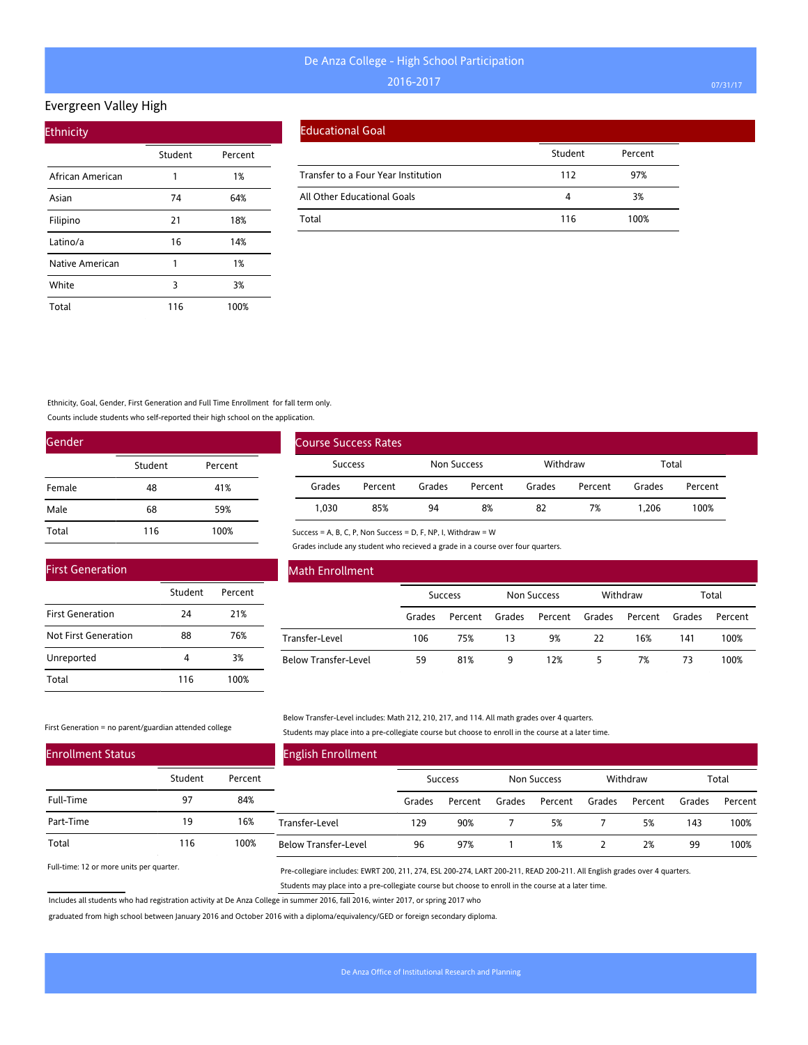### Evergreen Valley High

| <b>Ethnicity</b> |         |         |  |  |  |  |  |  |
|------------------|---------|---------|--|--|--|--|--|--|
|                  | Student | Percent |  |  |  |  |  |  |
| African American | 1       | 1%      |  |  |  |  |  |  |
| Asian            | 74      | 64%     |  |  |  |  |  |  |
| Filipino         | 21      | 18%     |  |  |  |  |  |  |
| Latino/a         | 16      | 14%     |  |  |  |  |  |  |
| Native American  | 1       | 1%      |  |  |  |  |  |  |
| White            | 3       | 3%      |  |  |  |  |  |  |
| Total            | 116     | 100%    |  |  |  |  |  |  |

|  | <b>Educational Goal</b> |
|--|-------------------------|
|  |                         |

|                                     | Student | Percent |
|-------------------------------------|---------|---------|
| Transfer to a Four Year Institution | 112     | 97%     |
| All Other Educational Goals         | 4       | 3%      |
| Total                               | 116     | 100%    |

Ethnicity, Goal, Gender, First Generation and Full Time Enrollment for fall term only.

Counts include students who self-reported their high school on the application.

| Gender |         |         |
|--------|---------|---------|
|        | Student | Percent |
| Female | 48      | 41%     |
| Male   | 68      | 59%     |
| Total  | 116     | 100%    |

| <b>First Generation</b> |         |         |
|-------------------------|---------|---------|
|                         | Student | Percent |
| <b>First Generation</b> | 24      | 21%     |
| Not First Generation    | 88      | 76%     |
| Unreported              | Δ       | 3%      |

116 100%

| <b>Course Success Rates</b> |         |             |         |          |         |        |         |
|-----------------------------|---------|-------------|---------|----------|---------|--------|---------|
| Success                     |         | Non Success |         | Withdraw |         | Total  |         |
| Grades                      | Percent | Grades      | Percent | Grades   | Percent | Grades | Percent |
| 1.030                       | 85%     | 94          | 8%      | 82       | 7%      | 1.206  | 100%    |

Success = A, B, C, P, Non Success = D, F, NP, I, Withdraw = W

Grades include any student who recieved a grade in a course over four quarters.

| <b>Math Enrollment</b>      |                |         |                    |         |          |         |        |         |
|-----------------------------|----------------|---------|--------------------|---------|----------|---------|--------|---------|
|                             | <b>Success</b> |         | <b>Non Success</b> |         | Withdraw |         | Total  |         |
|                             | Grades         | Percent | Grades             | Percent | Grades   | Percent | Grades | Percent |
| Transfer-Level              | 106            | 75%     | 13                 | 9%      | 22       | 16%     | 141    | 100%    |
| <b>Below Transfer-Level</b> | 59             | 81%     | 9                  | 12%     | 5        | 7%      | 73     | 100%    |

#### First Generation = no parent/guardian attended college

Total

 $\overline{a}$ 

Below Transfer-Level includes: Math 212, 210, 217, and 114. All math grades over 4 quarters. Students may place into a pre-collegiate course but choose to enroll in the course at a later time.

| <b>Enrollment Status</b> |         |         | <b>English Enrollment</b>   |         |         |        |             |        |          |        |         |
|--------------------------|---------|---------|-----------------------------|---------|---------|--------|-------------|--------|----------|--------|---------|
|                          | Student | Percent |                             | Success |         |        | Non Success |        | Withdraw |        | Total   |
| Full-Time                | 97      | 84%     |                             | Grades  | Percent | Grades | Percent     | Grades | Percent  | Grades | Percent |
| Part-Time                | 19      | 16%     | Transfer-Level              | 129     | 90%     |        | 5%          |        | 5%       | 143    | 100%    |
| Total                    | ' 16    | 100%    | <b>Below Transfer-Level</b> | 96      | 97%     |        | 1%          |        | 2%       | 99     | 100%    |

Full-time: 12 or more units per quarter.

Pre-collegiare includes: EWRT 200, 211, 274, ESL 200-274, LART 200-211, READ 200-211. All English grades over 4 quarters. Students may place into a pre-collegiate course but choose to enroll in the course at a later time.

Includes all students who had registration activity at De Anza College in summer 2016, fall 2016, winter 2017, or spring 2017 who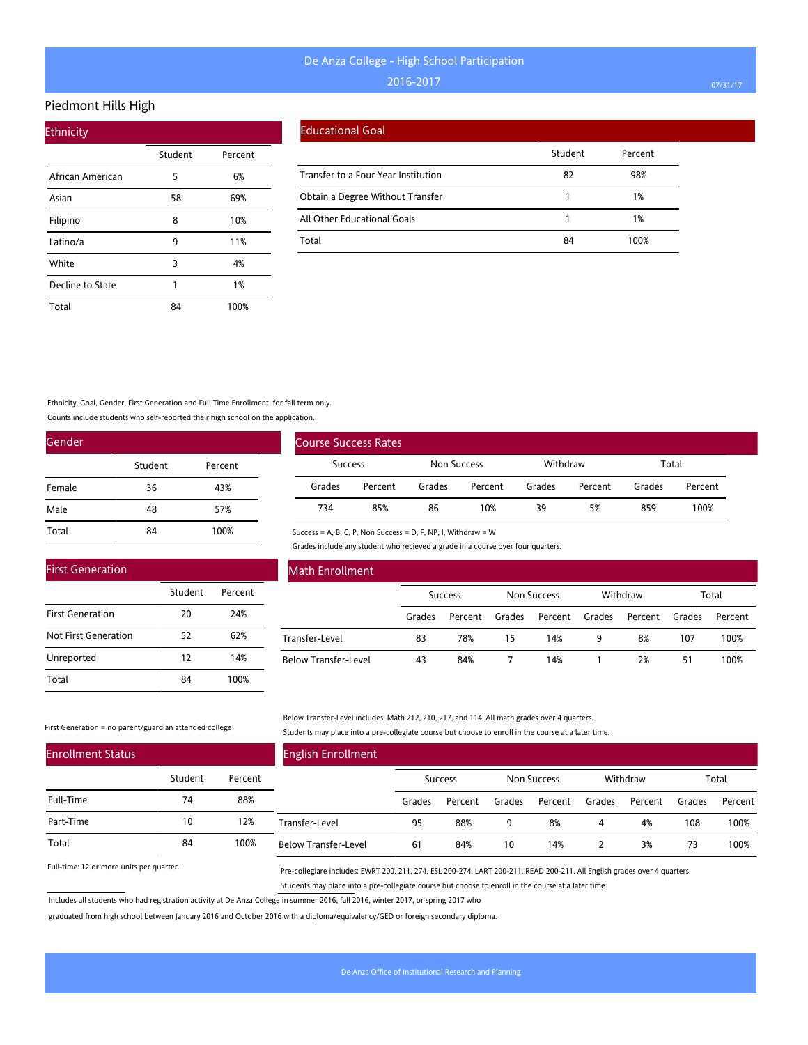#### Piedmont Hills High

| <b>Ethnicity</b> |         |         |  |  |  |  |  |  |  |
|------------------|---------|---------|--|--|--|--|--|--|--|
|                  | Student | Percent |  |  |  |  |  |  |  |
| African American | 5       | 6%      |  |  |  |  |  |  |  |
| Asian            | 58      | 69%     |  |  |  |  |  |  |  |
| Filipino         | 8       | 10%     |  |  |  |  |  |  |  |
| Latino/a         | 9       | 11%     |  |  |  |  |  |  |  |
| White            | 3       | 4%      |  |  |  |  |  |  |  |
| Decline to State | 1       | 1%      |  |  |  |  |  |  |  |
| Total            | 84      | 100%    |  |  |  |  |  |  |  |

#### Educational Goal

|                                     | Student | Percent |
|-------------------------------------|---------|---------|
| Transfer to a Four Year Institution | 82      | 98%     |
| Obtain a Degree Without Transfer    |         | 1%      |
| All Other Educational Goals         |         | 1%      |
| Total                               | 84      | 100%    |

Ethnicity, Goal, Gender, First Generation and Full Time Enrollment for fall term only.

Counts include students who self-reported their high school on the application.

| Gender |         |         |
|--------|---------|---------|
|        | Student | Percent |
| Female | 36      | 43%     |
| Male   | 48      | 57%     |
| Total  | 84      | 100%    |

|                | <b>Course Success Rates</b> |                    |         |          |         |        |         |  |
|----------------|-----------------------------|--------------------|---------|----------|---------|--------|---------|--|
| <b>Success</b> |                             | <b>Non Success</b> |         | Withdraw |         | Total  |         |  |
| Grades         | Percent                     | Grades             | Percent | Grades   | Percent | Grades | Percent |  |
| 734            | 85%                         | 86                 | 10%     | 39       | 5%      | 859    | 100%    |  |

Grades include any student who recieved a grade in a course over four quarters.

| <b>First Generation</b> |         |         |
|-------------------------|---------|---------|
|                         | Student | Percent |
| <b>First Generation</b> | 20      | 24%     |
| Not First Generation    | 52      | 62%     |
| Unreported              | 12      | 14%     |
| Total                   | 84      | 100%    |

### Math Enrollment

|                      | <b>Success</b> |         | Non Success |                | Withdraw |         | Total  |         |
|----------------------|----------------|---------|-------------|----------------|----------|---------|--------|---------|
|                      | Grades         | Percent | Grades      | Percent Grades |          | Percent | Grades | Percent |
| Transfer-Level       | 83             | 78%     | 15          | 14%            | 9        | 8%      | 107    | 100%    |
| Below Transfer-Level | 43             | 84%     |             | 14%            |          | 2%      | 51     | 100%    |

#### First Generation = no parent/guardian attended college

Below Transfer-Level includes: Math 212, 210, 217, and 114. All math grades over 4 quarters. Students may place into a pre-collegiate course but choose to enroll in the course at a later time.

| <b>Enrollment Status</b> |         |         | <b>English Enrollment</b>   |        |                |        |             |        |          |        |         |
|--------------------------|---------|---------|-----------------------------|--------|----------------|--------|-------------|--------|----------|--------|---------|
|                          | Student | Percent |                             |        | <b>Success</b> |        | Non Success |        | Withdraw |        | Total   |
| Full-Time                | 74      | 88%     |                             | Grades | Percent        | Grades | Percent     | Grades | Percent  | Grades | Percent |
| Part-Time                | 10      | 12%     | Transfer-Level              | 95     | 88%            | 9      | 8%          | 4      | 4%       | 108    | 100%    |
| Total                    | 84      | 100%    | <b>Below Transfer-Level</b> | 61     | 84%            | 10     | 14%         |        | 3%       | 73     | 100%    |

Success = A, B, C, P, Non Success = D, F, NP, I, Withdraw = W

Full-time: 12 or more units per quarter.

Pre-collegiare includes: EWRT 200, 211, 274, ESL 200-274, LART 200-211, READ 200-211. All English grades over 4 quarters. Students may place into a pre-collegiate course but choose to enroll in the course at a later time.

Includes all students who had registration activity at De Anza College in summer 2016, fall 2016, winter 2017, or spring 2017 who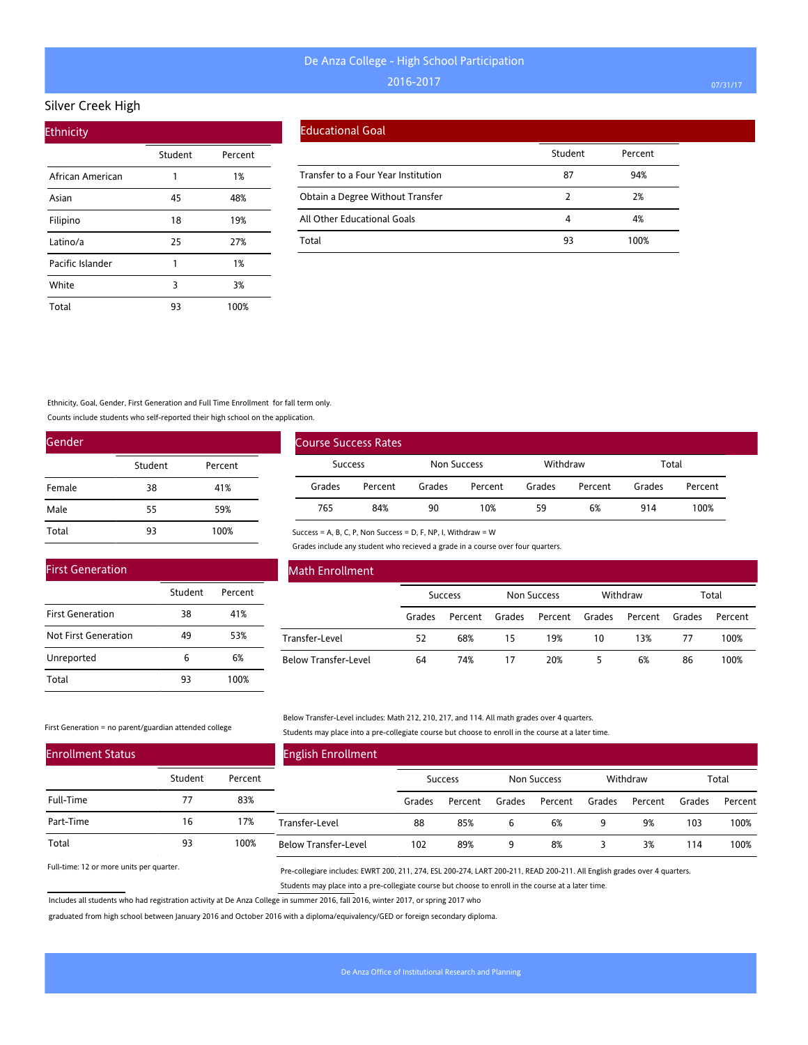#### Silver Creek High

| <b>Ethnicity</b> |         |         |
|------------------|---------|---------|
|                  | Student | Percent |
| African American | 1       | 1%      |
| Asian            | 45      | 48%     |
| Filipino         | 18      | 19%     |
| Latino/a         | 25      | 27%     |
| Pacific Islander | 1       | 1%      |
| White            | 3       | 3%      |
| Total            | 93      | 100%    |

#### Educational Goal

|                                     | Student | Percent |
|-------------------------------------|---------|---------|
| Transfer to a Four Year Institution | 87      | 94%     |
| Obtain a Degree Without Transfer    |         | 2%      |
| All Other Educational Goals         | 4       | 4%      |
| Total                               | 93      | 100%    |

Ethnicity, Goal, Gender, First Generation and Full Time Enrollment for fall term only.

Counts include students who self-reported their high school on the application.

| Gender |         |         |
|--------|---------|---------|
|        | Student | Percent |
| Female | 38      | 41%     |
| Male   | 55      | 59%     |
| Total  | 93      | 100%    |

| <b>Course Success Rates</b> |                |        |             |        |          |        |         |  |
|-----------------------------|----------------|--------|-------------|--------|----------|--------|---------|--|
|                             | <b>Success</b> |        | Non Success |        | Withdraw | Total  |         |  |
| Grades                      | Percent        | Grades | Percent     | Grades | Percent  | Grades | Percent |  |
| 765                         | 84%            | 90     | 10%         | 59     | 6%       | 914    | 100%    |  |

Success = A, B, C, P, Non Success = D, F, NP, I, Withdraw = W

Grades include any student who recieved a grade in a course over four quarters.

| <b>First Generation</b> |         |         |  |  |  |  |  |  |  |
|-------------------------|---------|---------|--|--|--|--|--|--|--|
|                         | Student | Percent |  |  |  |  |  |  |  |
| <b>First Generation</b> | 38      | 41%     |  |  |  |  |  |  |  |
| Not First Generation    | 49      | 53%     |  |  |  |  |  |  |  |
| Unreported              | 6       | 6%      |  |  |  |  |  |  |  |
| Total                   | 93      | 100%    |  |  |  |  |  |  |  |

### Math Enrollment

|                      | <b>Success</b> |         | Non Success |                | Withdraw |         | Total  |         |
|----------------------|----------------|---------|-------------|----------------|----------|---------|--------|---------|
|                      | Grades         | Percent | Grades      | Percent Grades |          | Percent | Grades | Percent |
| Transfer-Level       | 52             | 68%     | 15          | 19%            | 10       | 13%     | 77     | 100%    |
| Below Transfer-Level | 64             | 74%     | 17          | 20%            |          | 6%      | 86     | 100%    |

First Generation = no parent/guardian attended college

Below Transfer-Level includes: Math 212, 210, 217, and 114. All math grades over 4 quarters. Students may place into a pre-collegiate course but choose to enroll in the course at a later time.

| <b>Enrollment Status</b> |         |         | <b>English Enrollment</b>   |        |                |        |             |        |          |        |         |
|--------------------------|---------|---------|-----------------------------|--------|----------------|--------|-------------|--------|----------|--------|---------|
|                          | Student | Percent |                             |        | <b>Success</b> |        | Non Success |        | Withdraw |        | Total   |
| Full-Time                |         | 83%     |                             | Grades | Percent        | Grades | Percent     | Grades | Percent  | Grades | Percent |
| Part-Time                | 16      | 17%     | Transfer-Level              | 88     | 85%            | ь      | 6%          | 9      | 9%       | 103    | 100%    |
| Total                    | 93      | 100%    | <b>Below Transfer-Level</b> | 102    | 89%            | a      | 8%          |        | 3%       | 114    | 100%    |

Full-time: 12 or more units per quarter.

Pre-collegiare includes: EWRT 200, 211, 274, ESL 200-274, LART 200-211, READ 200-211. All English grades over 4 quarters. Students may place into a pre-collegiate course but choose to enroll in the course at a later time.

Includes all students who had registration activity at De Anza College in summer 2016, fall 2016, winter 2017, or spring 2017 who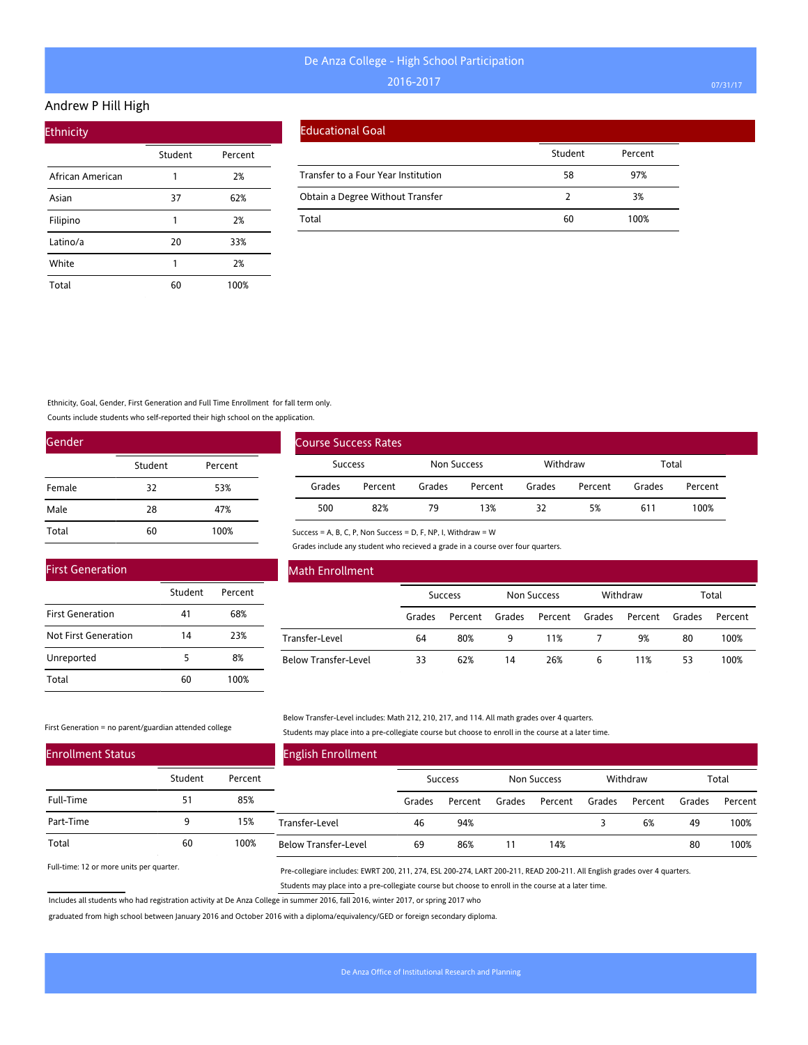#### Andrew P Hill High

| <b>Ethnicity</b> |         |         |  |  |  |  |  |  |  |  |
|------------------|---------|---------|--|--|--|--|--|--|--|--|
|                  | Student | Percent |  |  |  |  |  |  |  |  |
| African American | 1       | 2%      |  |  |  |  |  |  |  |  |
| Asian            | 37      | 62%     |  |  |  |  |  |  |  |  |
| Filipino         | 1       | 2%      |  |  |  |  |  |  |  |  |
| Latino/a         | 20      | 33%     |  |  |  |  |  |  |  |  |
| White            | 1       | 2%      |  |  |  |  |  |  |  |  |
| Total            | 60      | 100%    |  |  |  |  |  |  |  |  |

#### Educational Goal

|                                     | Student | Percent |
|-------------------------------------|---------|---------|
| Transfer to a Four Year Institution | 58      | 97%     |
| Obtain a Degree Without Transfer    |         | 3%      |
| Total                               | 60      | 100%    |

### Ethnicity, Goal, Gender, First Generation and Full Time Enrollment for fall term only.

Counts include students who self-reported their high school on the application.

| Gender |         |         |
|--------|---------|---------|
|        | Student | Percent |
| Female | 32      | 53%     |
| Male   | 28      | 47%     |
| Total  | 60      | 100%    |

|                | <b>Course Success Rates</b> |             |         |          |         |        |         |
|----------------|-----------------------------|-------------|---------|----------|---------|--------|---------|
| <b>Success</b> |                             | Non Success |         | Withdraw |         | Total  |         |
| Grades         | Percent                     | Grades      | Percent | Grades   | Percent | Grades | Percent |
| 500            | 82%                         | 79          | 13%     | 32       | 5%      | 611    | 100%    |

#### Success = A, B, C, P, Non Success = D, F, NP, I, Withdraw = W

Grades include any student who recieved a grade in a course over four quarters.

| <b>First Generation</b> |         |         |  |  |  |  |  |  |  |
|-------------------------|---------|---------|--|--|--|--|--|--|--|
|                         | Student | Percent |  |  |  |  |  |  |  |
| <b>First Generation</b> | 41      | 68%     |  |  |  |  |  |  |  |
| Not First Generation    | 14      | 23%     |  |  |  |  |  |  |  |
| Unreported              | 5       | 8%      |  |  |  |  |  |  |  |
| Total                   |         | 100%    |  |  |  |  |  |  |  |

### Math Enrollment

|                      | <b>Success</b> |         | Non Success |                | Withdraw |         | Total  |         |
|----------------------|----------------|---------|-------------|----------------|----------|---------|--------|---------|
|                      | Grades         | Percent | Grades      | Percent Grades |          | Percent | Grades | Percent |
| Transfer-Level       | 64             | 80%     | q           | 11%            |          | 9%      | 80     | 100%    |
| Below Transfer-Level | 33             | 62%     | 14          | 26%            | 6        | 11%     | 53     | 100%    |

#### First Generation = no parent/guardian attended college

Below Transfer-Level includes: Math 212, 210, 217, and 114. All math grades over 4 quarters. Students may place into a pre-collegiate course but choose to enroll in the course at a later time.

| <b>Enrollment Status</b> |         |         | <b>English Enrollment</b>   |        |                |        |             |        |          |        |         |
|--------------------------|---------|---------|-----------------------------|--------|----------------|--------|-------------|--------|----------|--------|---------|
|                          | Student | Percent |                             |        | <b>Success</b> |        | Non Success |        | Withdraw |        | Total   |
| Full-Time                | 51      | 85%     |                             | Grades | Percent        | Grades | Percent     | Grades | Percent  | Grades | Percent |
| Part-Time                | 9       | 15%     | Transfer-Level              | 46     | 94%            |        |             |        | 6%       | 49     | 100%    |
| Total                    | 60      | 100%    | <b>Below Transfer-Level</b> | 69     | 86%            |        | 14%         |        |          | 80     | 100%    |

Full-time: 12 or more units per quarter.

Pre-collegiare includes: EWRT 200, 211, 274, ESL 200-274, LART 200-211, READ 200-211. All English grades over 4 quarters. Students may place into a pre-collegiate course but choose to enroll in the course at a later time.

Includes all students who had registration activity at De Anza College in summer 2016, fall 2016, winter 2017, or spring 2017 who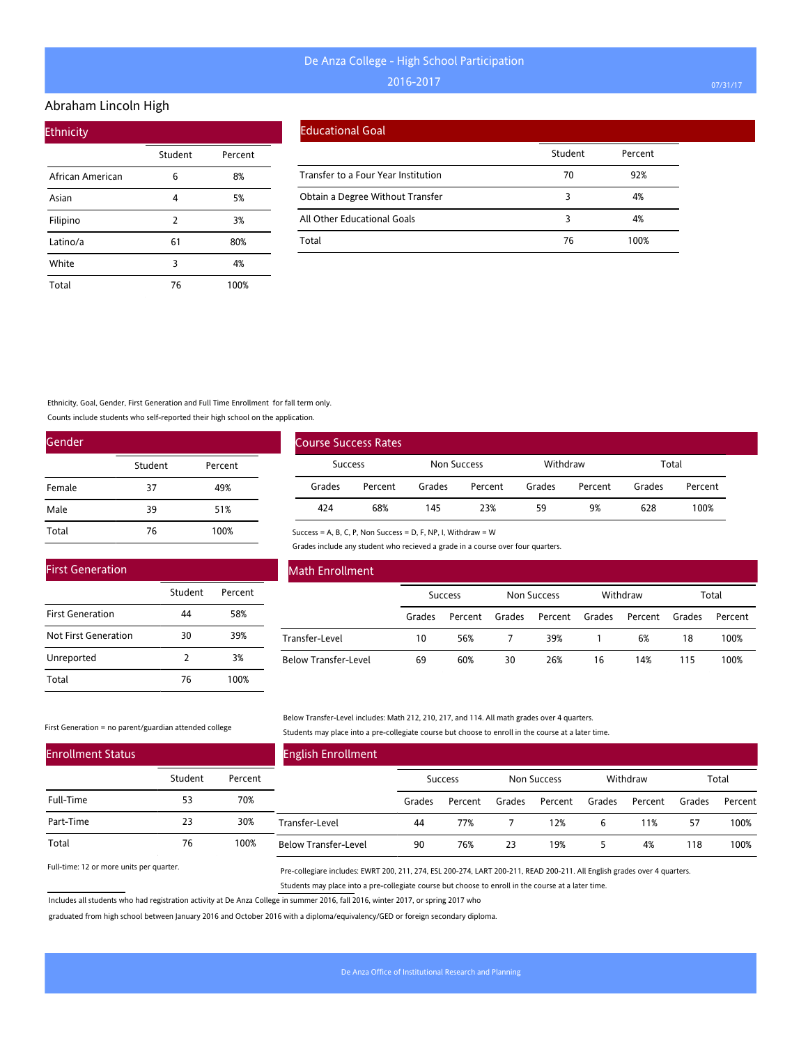#### Abraham Lincoln High

| <b>Ethnicity</b> |         |         |
|------------------|---------|---------|
|                  | Student | Percent |
| African American | 6       | 8%      |
| Asian            | 4       | 5%      |
| Filipino         | 2       | 3%      |
| Latino/a         | 61      | 80%     |
| White            | 3       | 4%      |
| Total            | 76      | 100%    |

### Educational Goal

|                                     | Student | Percent |
|-------------------------------------|---------|---------|
| Transfer to a Four Year Institution | 70      | 92%     |
| Obtain a Degree Without Transfer    | 3       | 4%      |
| All Other Educational Goals         | 3       | 4%      |
| Total                               | 76      | 100%    |

Ethnicity, Goal, Gender, First Generation and Full Time Enrollment for fall term only.

Counts include students who self-reported their high school on the application.

| Gender |         |         |
|--------|---------|---------|
|        | Student | Percent |
| Female | 37      | 49%     |
| Male   | 39      | 51%     |
| Total  | 76      | 100%    |

|        | <b>Course Success Rates</b> |        |             |        |          |        |         |  |
|--------|-----------------------------|--------|-------------|--------|----------|--------|---------|--|
|        | Success                     |        | Non Success |        | Withdraw | Total  |         |  |
| Grades | Percent                     | Grades | Percent     | Grades | Percent  | Grades | Percent |  |
| 424    | 68%                         | 145    | 23%         | 59     | 9%       | 628    | 100%    |  |

Success = A, B, C, P, Non Success = D, F, NP, I, Withdraw = W

Grades include any student who recieved a grade in a course over four quarters.

| <b>First Generation</b> |               |         |
|-------------------------|---------------|---------|
|                         | Student       | Percent |
| <b>First Generation</b> | 44            | 58%     |
| Not First Generation    | 30            | 39%     |
| Unreported              | $\mathcal{P}$ | 3%      |
| Total                   | 76            | 100%    |

### Math Enrollment

|                      | <b>Success</b> |         | Non Success |                | Withdraw |         | Total  |         |
|----------------------|----------------|---------|-------------|----------------|----------|---------|--------|---------|
|                      | Grades         | Percent | Grades      | Percent Grades |          | Percent | Grades | Percent |
| Transfer-Level       | 10             | 56%     |             | 39%            |          | 6%      | 18     | 100%    |
| Below Transfer-Level | 69             | 60%     | 30          | 26%            | 16       | 14%     | 115    | 100%    |

First Generation = no parent/guardian attended college

Below Transfer-Level includes: Math 212, 210, 217, and 114. All math grades over 4 quarters. Students may place into a pre-collegiate course but choose to enroll in the course at a later time.

| <b>Enrollment Status</b> |         |         | <b>English Enrollment</b>   |        |                |        |             |        |          |        |         |
|--------------------------|---------|---------|-----------------------------|--------|----------------|--------|-------------|--------|----------|--------|---------|
|                          | Student | Percent |                             |        | <b>Success</b> |        | Non Success |        | Withdraw |        | Total   |
| Full-Time                | 53      | 70%     |                             | Grades | Percent        | Grades | Percent     | Grades | Percent  | Grades | Percent |
| Part-Time                | 23      | 30%     | Transfer-Level              | 44     | 77%            |        | 12%         | ь      | 11%      | 57     | 100%    |
| Total                    | 76      | 100%    | <b>Below Transfer-Level</b> | 90     | 76%            | 23     | 19%         |        | 4%       | 118    | 100%    |

Full-time: 12 or more units per quarter.

Pre-collegiare includes: EWRT 200, 211, 274, ESL 200-274, LART 200-211, READ 200-211. All English grades over 4 quarters. Students may place into a pre-collegiate course but choose to enroll in the course at a later time.

Includes all students who had registration activity at De Anza College in summer 2016, fall 2016, winter 2017, or spring 2017 who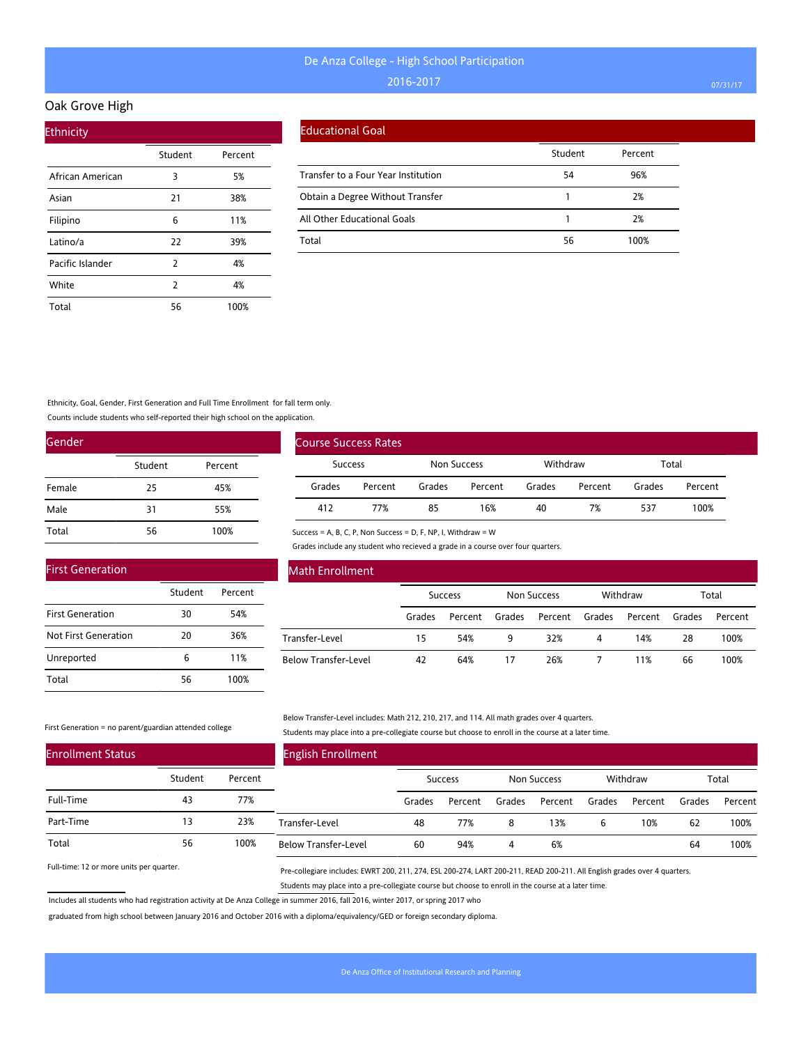#### Oak Grove High

| <b>Ethnicity</b> |         |         |
|------------------|---------|---------|
|                  | Student | Percent |
| African American | 3       | 5%      |
| Asian            | 21      | 38%     |
| Filipino         | 6       | 11%     |
| Latino/a         | 22      | 39%     |
| Pacific Islander | 2       | 4%      |
| White            | 2       | 4%      |
| Total            | 56      | 100%    |

#### Educational Goal

|                                     | Student | Percent |
|-------------------------------------|---------|---------|
| Transfer to a Four Year Institution | 54      | 96%     |
| Obtain a Degree Without Transfer    |         | 2%      |
| All Other Educational Goals         |         | 2%      |
| Total                               | 56      | 100%    |

Ethnicity, Goal, Gender, First Generation and Full Time Enrollment for fall term only.

Counts include students who self-reported their high school on the application.

| Gender |         |         |
|--------|---------|---------|
|        | Student | Percent |
| Female | 25      | 45%     |
| Male   | 31      | 55%     |
| Total  | 56      | 100%    |

|        | <b>Course Success Rates</b> |        |             |        |          |        |         |  |
|--------|-----------------------------|--------|-------------|--------|----------|--------|---------|--|
|        | <b>Success</b>              |        | Non Success |        | Withdraw | Total  |         |  |
| Grades | Percent                     | Grades | Percent     | Grades | Percent  | Grades | Percent |  |
| 412    | 77%                         | 85     | 16%         | 40     | 7%       | 537    | 100%    |  |

Success = A, B, C, P, Non Success = D, F, NP, I, Withdraw = W Grades include any student who recieved a grade in a course over four quarters.

| <b>First Generation</b> |         |         |
|-------------------------|---------|---------|
|                         | Student | Percent |
| <b>First Generation</b> | 30      | 54%     |
| Not First Generation    | 20      | 36%     |
| Unreported              | 6       | 11%     |
| Total                   | 56      | 100%    |

### Math Enrollment

|                      | <b>Success</b> |                | Non Success |                | Withdraw |         | Total  |         |
|----------------------|----------------|----------------|-------------|----------------|----------|---------|--------|---------|
|                      | Grades         | Percent Grades |             | Percent Grades |          | Percent | Grades | Percent |
| Transfer-Level       | 15             | 54%            | q           | 32%            | 4        | 14%     | 28     | 100%    |
| Below Transfer-Level | 42             | 64%            | 17          | 26%            |          | 11%     | 66     | 100%    |

First Generation = no parent/guardian attended college

Below Transfer-Level includes: Math 212, 210, 217, and 114. All math grades over 4 quarters. Students may place into a pre-collegiate course but choose to enroll in the course at a later time.

| <b>Enrollment Status</b> |         |         | <b>English Enrollment</b>   |        |                |        |             |        |          |        |         |
|--------------------------|---------|---------|-----------------------------|--------|----------------|--------|-------------|--------|----------|--------|---------|
|                          | Student | Percent |                             |        | <b>Success</b> |        | Non Success |        | Withdraw |        | Total   |
| Full-Time                | 43      | 77%     |                             | Grades | Percent        | Grades | Percent     | Grades | Percent  | Grades | Percent |
| Part-Time                | 13      | 23%     | Transfer-Level              | 48     | 77%            | 8      | 13%         | ь      | 10%      | 62     | 100%    |
| Total                    | 56      | 100%    | <b>Below Transfer-Level</b> | 60     | 94%            |        | 6%          |        |          | 64     | 100%    |

Full-time: 12 or more units per quarter.

Pre-collegiare includes: EWRT 200, 211, 274, ESL 200-274, LART 200-211, READ 200-211. All English grades over 4 quarters. Students may place into a pre-collegiate course but choose to enroll in the course at a later time.

Includes all students who had registration activity at De Anza College in summer 2016, fall 2016, winter 2017, or spring 2017 who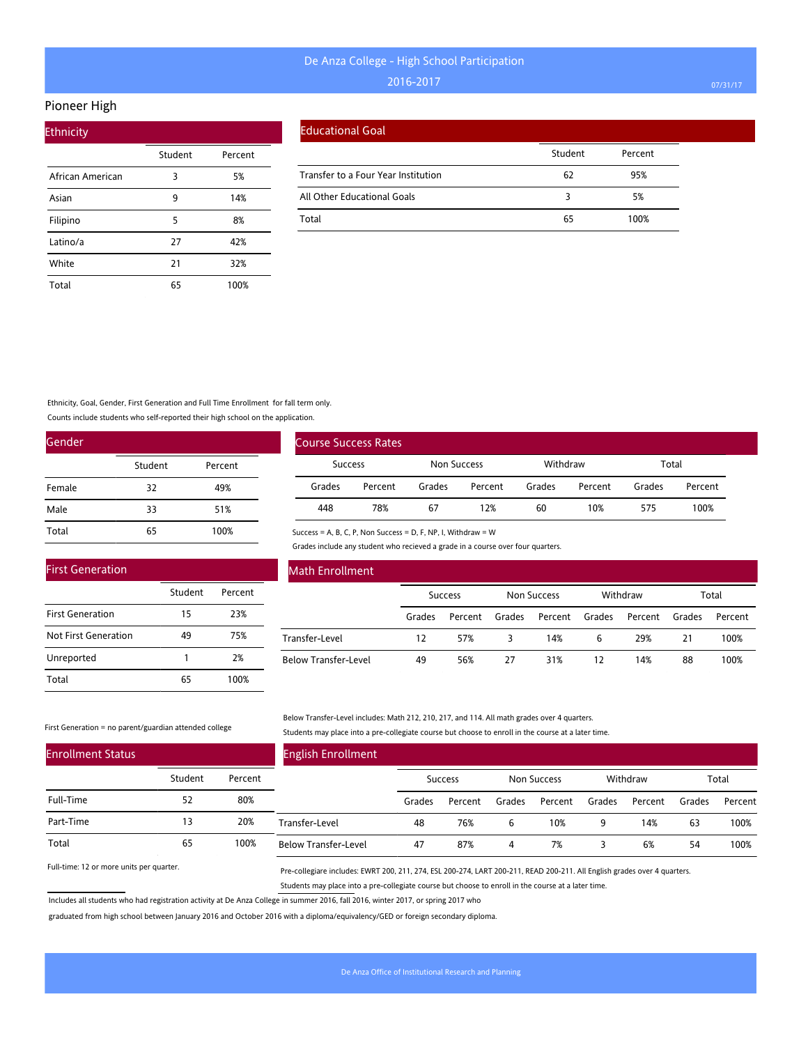#### Pioneer High

| <b>Ethnicity</b> |         |         |
|------------------|---------|---------|
|                  | Student | Percent |
| African American | 3       | 5%      |
| Asian            | 9       | 14%     |
| Filipino         | 5       | 8%      |
| Latino/a         | 27      | 42%     |
| White            | 21      | 32%     |
| Total            | 65      | 100%    |

#### Educational Goal

|                                     | Student | Percent |
|-------------------------------------|---------|---------|
| Transfer to a Four Year Institution | 62      | 95%     |
| All Other Educational Goals         |         | 5%      |
| Total                               | 65      | 100%    |

### Ethnicity, Goal, Gender, First Generation and Full Time Enrollment for fall term only.

Counts include students who self-reported their high school on the application.

| Gender |         |         |
|--------|---------|---------|
|        | Student | Percent |
| Female | 32      | 49%     |
| Male   | 33      | 51%     |
| Total  | 65      | 100%    |

|                | <b>Course Success Rates</b> |             |         |          |         |        |         |
|----------------|-----------------------------|-------------|---------|----------|---------|--------|---------|
| <b>Success</b> |                             | Non Success |         | Withdraw |         | Total  |         |
| Grades         | Percent                     | Grades      | Percent | Grades   | Percent | Grades | Percent |
| 448            | 78%                         | 67          | 12%     | 60       | 10%     | 575    | 100%    |

Grades include any student who recieved a grade in a course over four quarters.

Success = A, B, C, P, Non Success = D, F, NP, I, Withdraw = W

| <b>First Generation</b> |         |         |
|-------------------------|---------|---------|
|                         | Student | Percent |
| <b>First Generation</b> | 15      | 23%     |
| Not First Generation    | 49      | 75%     |
| Unreported              |         | 2%      |
| Total                   | 65      | 100%    |

### Math Enrollment

|                      |        | <b>Success</b> |    | Non Success    |    | Withdraw       |    | Total   |  |
|----------------------|--------|----------------|----|----------------|----|----------------|----|---------|--|
|                      | Grades | Percent Grades |    | Percent Grades |    | Percent Grades |    | Percent |  |
| Transfer-Level       | 12     | 57%            |    | 14%            | 6  | 29%            | 21 | 100%    |  |
| Below Transfer-Level | 49     | 56%            | 27 | 31%            | 12 | 14%            | 88 | 100%    |  |

#### First Generation = no parent/guardian attended college

Below Transfer-Level includes: Math 212, 210, 217, and 114. All math grades over 4 quarters. Students may place into a pre-collegiate course but choose to enroll in the course at a later time.

| <b>Enrollment Status</b> |         |         | <b>English Enrollment</b>   |        |                |        |             |        |          |        |         |
|--------------------------|---------|---------|-----------------------------|--------|----------------|--------|-------------|--------|----------|--------|---------|
|                          | Student | Percent |                             |        | <b>Success</b> |        | Non Success |        | Withdraw |        | Total   |
| Full-Time                | 52      | 80%     |                             | Grades | Percent        | Grades | Percent     | Grades | Percent  | Grades | Percent |
| Part-Time                | 13      | 20%     | Transfer-Level              | 48     | 76%            | 6      | 10%         | 9      | 14%      | 63     | 100%    |
| Total                    | 65      | 100%    | <b>Below Transfer-Level</b> | 47     | 87%            | 4      | 7%          |        | 6%       | 54     | 100%    |

Full-time: 12 or more units per quarter.

Pre-collegiare includes: EWRT 200, 211, 274, ESL 200-274, LART 200-211, READ 200-211. All English grades over 4 quarters. Students may place into a pre-collegiate course but choose to enroll in the course at a later time.

Includes all students who had registration activity at De Anza College in summer 2016, fall 2016, winter 2017, or spring 2017 who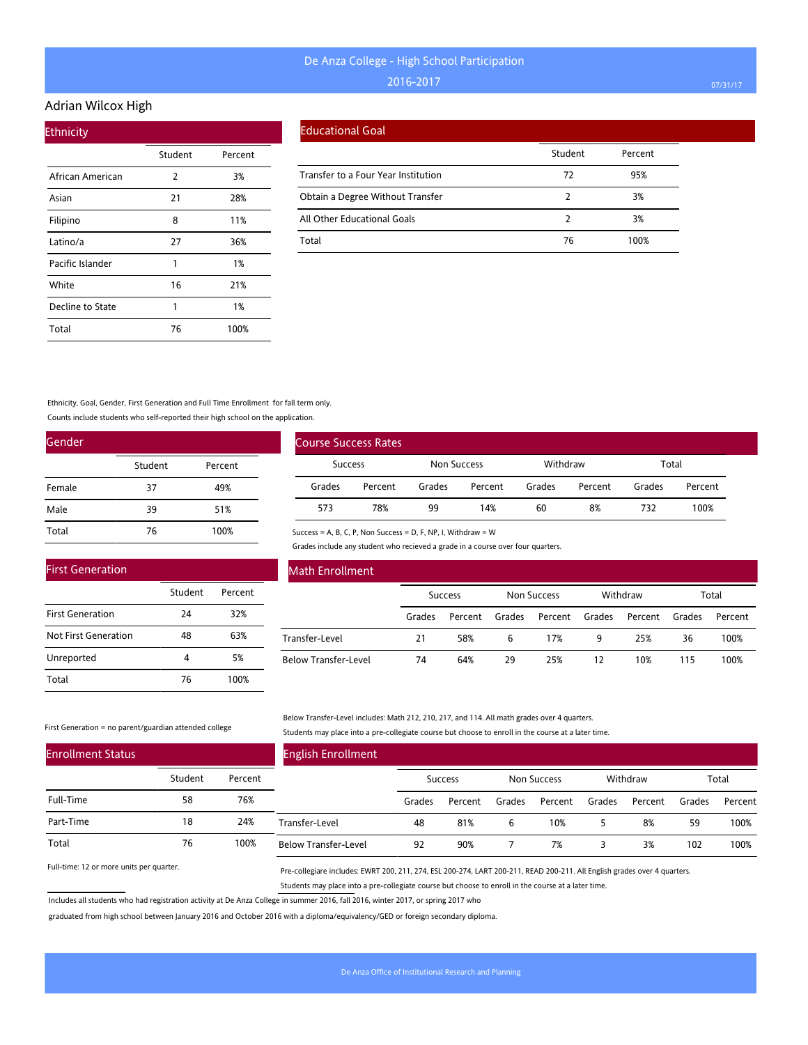#### Adrian Wilcox High

| <b>Ethnicity</b> |         |         |  |
|------------------|---------|---------|--|
|                  | Student | Percent |  |
| African American | 2       | 3%      |  |
| Asian            | 21      | 28%     |  |
| Filipino         | 8       | 11%     |  |
| Latino/a         | 27      | 36%     |  |
| Pacific Islander | 1       | 1%      |  |
| White            | 16      | 21%     |  |
| Decline to State | 1       | 1%      |  |
| Total            | 76      | 100%    |  |

#### Educational Goal

|                                     | Student | Percent |
|-------------------------------------|---------|---------|
| Transfer to a Four Year Institution | 72      | 95%     |
| Obtain a Degree Without Transfer    |         | 3%      |
| All Other Educational Goals         |         | 3%      |
| Total                               | 76      | 100%    |

Ethnicity, Goal, Gender, First Generation and Full Time Enrollment for fall term only.

Counts include students who self-reported their high school on the application.

| Gender |         |         |  |  |  |
|--------|---------|---------|--|--|--|
|        | Student | Percent |  |  |  |
| Female | 37      | 49%     |  |  |  |
| Male   | 39      | 51%     |  |  |  |
| Total  | 76      | 100%    |  |  |  |

|                | Course Success Rates |        |             |        |          |        |         |  |
|----------------|----------------------|--------|-------------|--------|----------|--------|---------|--|
| <b>Success</b> |                      |        | Non Success |        | Withdraw |        | Total   |  |
| Grades         | Percent              | Grades | Percent     | Grades | Percent  | Grades | Percent |  |
| 573            | 78%                  | 99     | 14%         | 60     | 8%       | 732    | 100%    |  |

Success = A, B, C, P, Non Success = D, F, NP, I, Withdraw = W

Grades include any student who recieved a grade in a course over four quarters.

| <b>First Generation</b> |         |         |
|-------------------------|---------|---------|
|                         | Student | Percent |
| <b>First Generation</b> | 24      | 32%     |
| Not First Generation    | 48      | 63%     |
| Unreported              |         | 5%      |
| Total                   | 76      | 100%    |

### Math Enrollment

|                      | <b>Success</b> |         | Non Success |                | Withdraw |         | Total  |         |
|----------------------|----------------|---------|-------------|----------------|----------|---------|--------|---------|
|                      | Grades         | Percent | Grades      | Percent Grades |          | Percent | Grades | Percent |
| Transfer-Level       | 21             | 58%     | 6           | 17%            | 9        | 25%     | 36     | 100%    |
| Below Transfer-Level | 74             | 64%     | 29          | 25%            | 12       | 10%     | 115    | 100%    |

First Generation = no parent/guardian attended college

Below Transfer-Level includes: Math 212, 210, 217, and 114. All math grades over 4 quarters. Students may place into a pre-collegiate course but choose to enroll in the course at a later time.

| <b>Enrollment Status</b> |         |         | <b>English Enrollment</b>   |        |                |        |             |        |          |        |         |
|--------------------------|---------|---------|-----------------------------|--------|----------------|--------|-------------|--------|----------|--------|---------|
|                          | Student | Percent |                             |        | <b>Success</b> |        | Non Success |        | Withdraw |        | Total   |
| Full-Time                | 58      | 76%     |                             | Grades | Percent        | Grades | Percent     | Grades | Percent  | Grades | Percent |
| Part-Time                | 18      | 24%     | Transfer-Level              | 48     | 81%            | 6      | 10%         |        | 8%       | 59     | 100%    |
| Total                    | 76      | 100%    | <b>Below Transfer-Level</b> | 92     | 90%            |        | 7%          |        | 3%       | 102    | 100%    |

Full-time: 12 or more units per quarter.

Pre-collegiare includes: EWRT 200, 211, 274, ESL 200-274, LART 200-211, READ 200-211. All English grades over 4 quarters. Students may place into a pre-collegiate course but choose to enroll in the course at a later time.

Includes all students who had registration activity at De Anza College in summer 2016, fall 2016, winter 2017, or spring 2017 who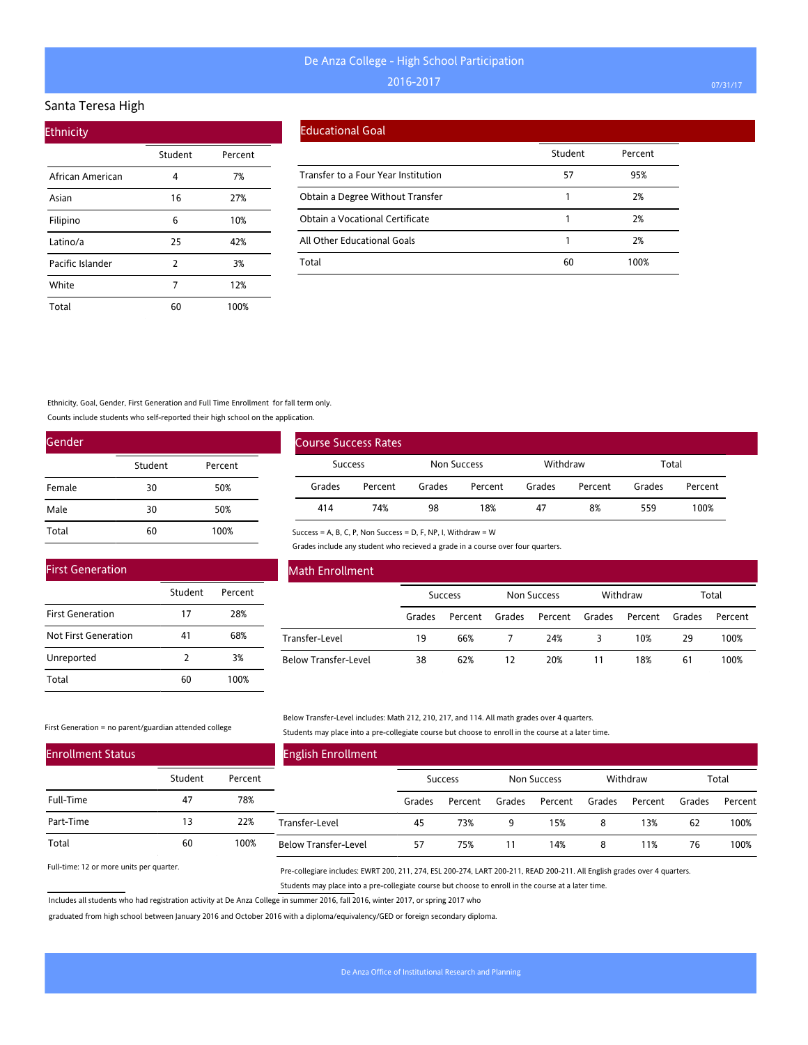#### Santa Teresa High

| <b>Ethnicity</b> |         |         |  |  |  |  |  |
|------------------|---------|---------|--|--|--|--|--|
|                  | Student | Percent |  |  |  |  |  |
| African American | 4       | 7%      |  |  |  |  |  |
| Asian            | 16      | 27%     |  |  |  |  |  |
| Filipino         | 6       | 10%     |  |  |  |  |  |
| Latino/a         | 25      | 42%     |  |  |  |  |  |
| Pacific Islander | 2       | 3%      |  |  |  |  |  |
| White            | 7       | 12%     |  |  |  |  |  |
| Total            | 60      | 100%    |  |  |  |  |  |

### Educational Goal

|                                     | Student | Percent |
|-------------------------------------|---------|---------|
| Transfer to a Four Year Institution | 57      | 95%     |
| Obtain a Degree Without Transfer    |         | 2%      |
| Obtain a Vocational Certificate     |         | 2%      |
| All Other Educational Goals         |         | 2%      |
| Total                               | 60      | 100%    |

#### Ethnicity, Goal, Gender, First Generation and Full Time Enrollment for fall term only.

Counts include students who self-reported their high school on the application.

| Gender |         |         |
|--------|---------|---------|
|        | Student | Percent |
| Female | 30      | 50%     |
| Male   | 30      | 50%     |
| Total  | 60      | 100%    |

|                | Course Success Rates |             |         |          |         |        |         |
|----------------|----------------------|-------------|---------|----------|---------|--------|---------|
| <b>Success</b> |                      | Non Success |         | Withdraw |         | Total  |         |
| Grades         | Percent              | Grades      | Percent | Grades   | Percent | Grades | Percent |
| 414            | 74%                  | 98          | 18%     | 47       | 8%      | 559    | 100%    |

#### Success = A, B, C, P, Non Success = D, F, NP, I, Withdraw = W

Grades include any student who recieved a grade in a course over four quarters.

| <b>First Generation</b> |               |         |
|-------------------------|---------------|---------|
|                         | Student       | Percent |
| <b>First Generation</b> | 17            | 28%     |
| Not First Generation    | 41            | 68%     |
| Unreported              | $\mathcal{P}$ | 3%      |
| Total                   |               | 100%    |

### Math Enrollment

|                      | <b>Success</b> |         | Non Success |                | Withdraw |         | Total  |         |
|----------------------|----------------|---------|-------------|----------------|----------|---------|--------|---------|
|                      | Grades         | Percent | Grades      | Percent Grades |          | Percent | Grades | Percent |
| Transfer-Level       | 19             | 66%     |             | 24%            |          | 10%     | 29     | 100%    |
| Below Transfer-Level | 38             | 62%     | 12          | 20%            |          | 18%     | 61     | 100%    |

#### First Generation = no parent/guardian attended college

Below Transfer-Level includes: Math 212, 210, 217, and 114. All math grades over 4 quarters. Students may place into a pre-collegiate course but choose to enroll in the course at a later time.

| <b>Enrollment Status</b> |         |         | <b>English Enrollment</b>   |        |                |        |                    |        |          |        |         |
|--------------------------|---------|---------|-----------------------------|--------|----------------|--------|--------------------|--------|----------|--------|---------|
|                          | Student | Percent |                             |        | <b>Success</b> |        | <b>Non Success</b> |        | Withdraw |        | Total   |
| Full-Time                | 47      | 78%     |                             | Grades | Percent        | Grades | Percent            | Grades | Percent  | Grades | Percent |
| Part-Time                | 13      | 22%     | Transfer-Level              | 45     | 73%            | 9      | 15%                | 8      | 13%      | 62     | 100%    |
| Total                    | 60      | 100%    | <b>Below Transfer-Level</b> | 57     | 75%            |        | 14%                | 8      | 11%      | 76     | 100%    |

Full-time: 12 or more units per quarter.

Pre-collegiare includes: EWRT 200, 211, 274, ESL 200-274, LART 200-211, READ 200-211. All English grades over 4 quarters. Students may place into a pre-collegiate course but choose to enroll in the course at a later time.

Includes all students who had registration activity at De Anza College in summer 2016, fall 2016, winter 2017, or spring 2017 who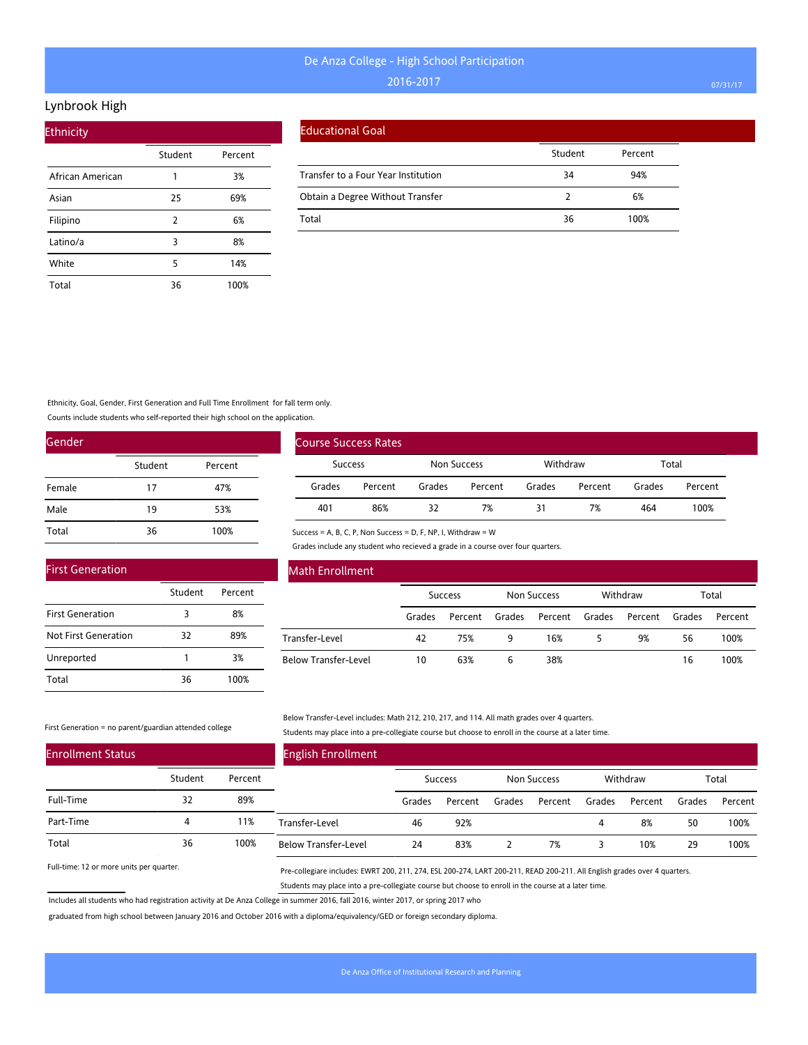### Lynbrook High

| <b>Ethnicity</b> |         |         |  |  |  |  |  |
|------------------|---------|---------|--|--|--|--|--|
|                  | Student | Percent |  |  |  |  |  |
| African American | 1       | 3%      |  |  |  |  |  |
| Asian            | 25      | 69%     |  |  |  |  |  |
| Filipino         | 2       | 6%      |  |  |  |  |  |
| Latino/a         | 3       | 8%      |  |  |  |  |  |
| White            | 5       | 14%     |  |  |  |  |  |
| Total            | 36      | 100%    |  |  |  |  |  |

|  | Educational Goal |
|--|------------------|
|  |                  |

|                                     | Student | Percent |
|-------------------------------------|---------|---------|
| Transfer to a Four Year Institution | 34      | 94%     |
| Obtain a Degree Without Transfer    |         | 6%      |
| Total                               | 36      | 100%    |

### Ethnicity, Goal, Gender, First Generation and Full Time Enrollment for fall term only.

Counts include students who self-reported their high school on the application.

| Gender |         |         |
|--------|---------|---------|
|        | Student | Percent |
| Female | 17      | 47%     |
| Male   | 19      | 53%     |
| Total  | 36      | 100%    |

|        | <b>Course Success Rates</b> |        |             |        |          |        |         |  |
|--------|-----------------------------|--------|-------------|--------|----------|--------|---------|--|
|        | <b>Success</b>              |        | Non Success |        | Withdraw | Total  |         |  |
| Grades | Percent                     | Grades | Percent     | Grades | Percent  | Grades | Percent |  |
| 401    | 86%                         | 32     | 7%          | 31     | 7%       | 464    | 100%    |  |

Success = A, B, C, P, Non Success = D, F, NP, I, Withdraw = W

Grades include any student who recieved a grade in a course over four quarters.

| <b>First Generation</b>     |         |         |  |
|-----------------------------|---------|---------|--|
|                             | Student | Percent |  |
| <b>First Generation</b>     |         | 8%      |  |
| <b>Not First Generation</b> | 32      | 89%     |  |
| Unreported                  |         | 3%      |  |
| Total                       | 36      | 100%    |  |

### Math Enrollment

|                      | <b>Success</b> |         | Non Success |                | Withdraw |         | Total  |         |
|----------------------|----------------|---------|-------------|----------------|----------|---------|--------|---------|
|                      | Grades         | Percent | Grades      | Percent Grades |          | Percent | Grades | Percent |
| Transfer-Level       | 42             | 75%     | 9           | 16%            |          | 9%      | 56     | 100%    |
| Below Transfer-Level | 10             | 63%     | 6           | 38%            |          |         | 16     | 100%    |

#### First Generation = no parent/guardian attended college

Below Transfer-Level includes: Math 212, 210, 217, and 114. All math grades over 4 quarters. Students may place into a pre-collegiate course but choose to enroll in the course at a later time.

| <b>Enrollment Status</b> |         |         | <b>English Enrollment</b>   |        |         |        |             |        |          |        |         |
|--------------------------|---------|---------|-----------------------------|--------|---------|--------|-------------|--------|----------|--------|---------|
|                          | Student | Percent |                             |        | Success |        | Non Success |        | Withdraw |        | Total   |
| Full-Time                | 32      | 89%     |                             | Grades | Percent | Grades | Percent     | Grades | Percent  | Grades | Percent |
| Part-Time                | 4       | 11%     | Transfer-Level              | 46     | 92%     |        |             |        | 8%       | 50     | 100%    |
| Total                    | 36      | 100%    | <b>Below Transfer-Level</b> | 24     | 83%     |        | 7%          |        | 10%      | 29     | 100%    |

Full-time: 12 or more units per quarter.

Pre-collegiare includes: EWRT 200, 211, 274, ESL 200-274, LART 200-211, READ 200-211. All English grades over 4 quarters. Students may place into a pre-collegiate course but choose to enroll in the course at a later time.

Includes all students who had registration activity at De Anza College in summer 2016, fall 2016, winter 2017, or spring 2017 who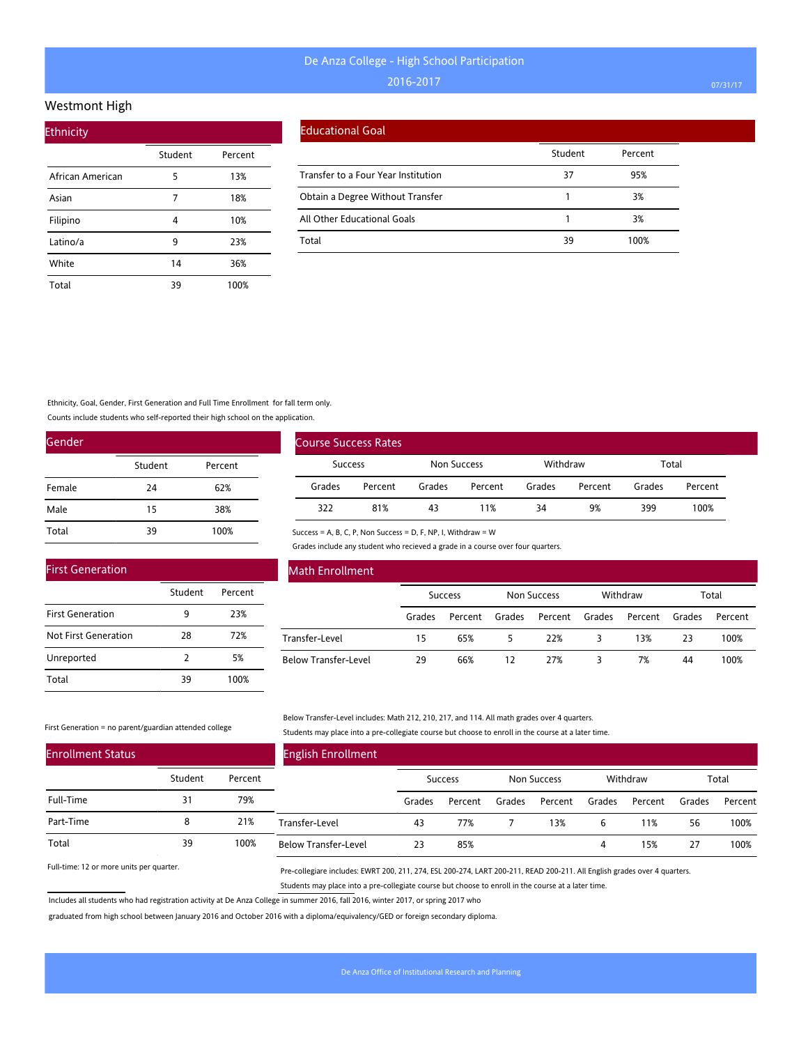#### Westmont High

| <b>Ethnicity</b> |         |         |
|------------------|---------|---------|
|                  | Student | Percent |
| African American | 5       | 13%     |
| Asian            | 7       | 18%     |
| Filipino         | 4       | 10%     |
| Latino/a         | 9       | 23%     |
| White            | 14      | 36%     |
| Total            | 39      | 100%    |

### Educational Goal

|                                     | Student | Percent |
|-------------------------------------|---------|---------|
| Transfer to a Four Year Institution | 37      | 95%     |
| Obtain a Degree Without Transfer    |         | 3%      |
| All Other Educational Goals         |         | 3%      |
| Total                               | 39      | 100%    |

Ethnicity, Goal, Gender, First Generation and Full Time Enrollment for fall term only.

Counts include students who self-reported their high school on the application.

| Gender |         |         |
|--------|---------|---------|
|        | Student | Percent |
| Female | 24      | 62%     |
| Male   | 15      | 38%     |
| Total  | 39      | 100%    |

|        | Course Success Rates |        |             |        |          |        |         |  |
|--------|----------------------|--------|-------------|--------|----------|--------|---------|--|
|        | <b>Success</b>       |        | Non Success |        | Withdraw | Total  |         |  |
| Grades | Percent              | Grades | Percent     | Grades | Percent  | Grades | Percent |  |
| 322    | 81%                  | 43     | 11%         | 34     | 9%       | 399    | 100%    |  |

Success = A, B, C, P, Non Success = D, F, NP, I, Withdraw = W

Grades include any student who recieved a grade in a course over four quarters.

| <b>First Generation</b> |               |         |
|-------------------------|---------------|---------|
|                         | Student       | Percent |
| <b>First Generation</b> | 9             | 23%     |
| Not First Generation    | 28            | 72%     |
| Unreported              | $\mathcal{P}$ | 5%      |
| Total                   | 39            | 100%    |

### Math Enrollment

|                      | <b>Success</b> |         | Non Success |                | Withdraw |         | Total  |         |
|----------------------|----------------|---------|-------------|----------------|----------|---------|--------|---------|
|                      | Grades         | Percent | Grades      | Percent Grades |          | Percent | Grades | Percent |
| Transfer-Level       | 15             | 65%     |             | 22%            |          | 13%     | 23     | 100%    |
| Below Transfer-Level | 29             | 66%     | 12          | 27%            |          | 7%      | 44     | 100%    |

#### First Generation = no parent/guardian attended college

Below Transfer-Level includes: Math 212, 210, 217, and 114. All math grades over 4 quarters. Students may place into a pre-collegiate course but choose to enroll in the course at a later time.

| <b>Enrollment Status</b> |         |         | <b>English Enrollment</b>   |        |                |        |             |        |          |        |         |
|--------------------------|---------|---------|-----------------------------|--------|----------------|--------|-------------|--------|----------|--------|---------|
|                          | Student | Percent |                             |        | <b>Success</b> |        | Non Success |        | Withdraw |        | Total   |
| Full-Time                | 31      | 79%     |                             | Grades | Percent        | Grades | Percent     | Grades | Percent  | Grades | Percent |
| Part-Time                | 8       | 21%     | Transfer-Level              | 43     | 77%            |        | 13%         | b      | 11%      | 56     | 100%    |
| Total                    | 39      | 100%    | <b>Below Transfer-Level</b> | 23     | 85%            |        |             | 4      | 15%      | 27     | 100%    |

Full-time: 12 or more units per quarter.

Pre-collegiare includes: EWRT 200, 211, 274, ESL 200-274, LART 200-211, READ 200-211. All English grades over 4 quarters. Students may place into a pre-collegiate course but choose to enroll in the course at a later time.

Includes all students who had registration activity at De Anza College in summer 2016, fall 2016, winter 2017, or spring 2017 who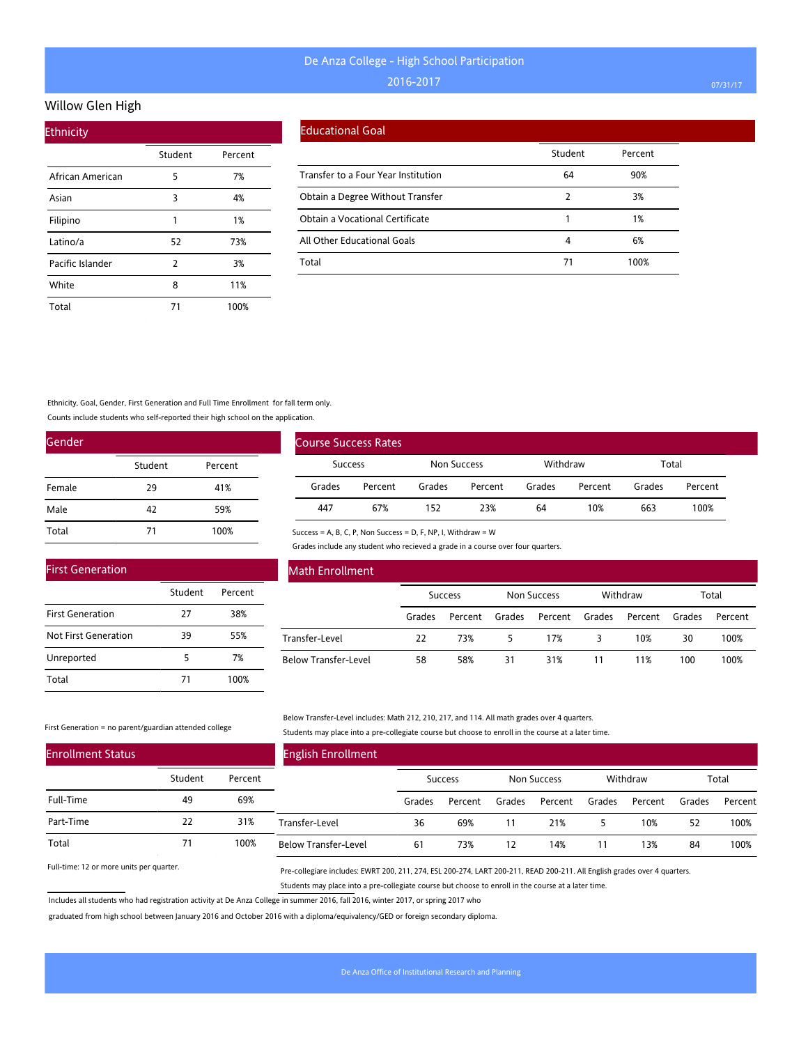### Willow Glen High

| <b>Ethnicity</b> |         |         |  |  |  |  |  |
|------------------|---------|---------|--|--|--|--|--|
|                  | Student | Percent |  |  |  |  |  |
| African American | 5       | 7%      |  |  |  |  |  |
| Asian            | 3       | 4%      |  |  |  |  |  |
| Filipino         | 1       | 1%      |  |  |  |  |  |
| Latino/a         | 52      | 73%     |  |  |  |  |  |
| Pacific Islander | 2       | 3%      |  |  |  |  |  |
| White            | 8       | 11%     |  |  |  |  |  |
| Total            | 71      | 100%    |  |  |  |  |  |

#### Educational Goal

|                                     | Student | Percent |
|-------------------------------------|---------|---------|
| Transfer to a Four Year Institution | 64      | 90%     |
| Obtain a Degree Without Transfer    | 2       | 3%      |
| Obtain a Vocational Certificate     |         | 1%      |
| All Other Educational Goals         | 4       | 6%      |
| Total                               |         | 100%    |

#### Ethnicity, Goal, Gender, First Generation and Full Time Enrollment for fall term only.

Counts include students who self-reported their high school on the application.

| Gender |         |         |  |  |  |  |
|--------|---------|---------|--|--|--|--|
|        | Student | Percent |  |  |  |  |
| Female | 29      | 41%     |  |  |  |  |
| Male   | 42      | 59%     |  |  |  |  |
| Total  | 71      | 100%    |  |  |  |  |

| Course Success Rates |         |             |         |          |         |        |         |  |
|----------------------|---------|-------------|---------|----------|---------|--------|---------|--|
| Success              |         | Non Success |         | Withdraw |         | Total  |         |  |
| Grades               | Percent | Grades      | Percent | Grades   | Percent | Grades | Percent |  |
| 447                  | 67%     | 152         | 23%     | 64       | 10%     | 663    | 100%    |  |

Success = A, B, C, P, Non Success = D, F, NP, I, Withdraw = W

Grades include any student who recieved a grade in a course over four quarters.

| <b>First Generation</b> |         |         |  |
|-------------------------|---------|---------|--|
|                         | Student | Percent |  |
| <b>First Generation</b> | 27      | 38%     |  |
| Not First Generation    | 39      | 55%     |  |
| Unreported              | 5       | 7%      |  |
| Total                   | 71      | 100%    |  |

#### Math Enrollment

|                             | <b>Success</b> |         | Non Success |                | Withdraw |         | Total  |         |
|-----------------------------|----------------|---------|-------------|----------------|----------|---------|--------|---------|
|                             | Grades         | Percent | Grades      | Percent Grades |          | Percent | Grades | Percent |
| Transfer-Level              | 22             | 73%     | 5           | 17%            |          | 10%     | 30     | 100%    |
| <b>Below Transfer-Level</b> | 58             | 58%     | 31          | 31%            |          | 11%     | 100    | 100%    |

#### First Generation = no parent/guardian attended college

Below Transfer-Level includes: Math 212, 210, 217, and 114. All math grades over 4 quarters. Students may place into a pre-collegiate course but choose to enroll in the course at a later time.

| <b>Enrollment Status</b> |         |         | <b>English Enrollment</b>   |        |                |        |             |        |          |        |         |
|--------------------------|---------|---------|-----------------------------|--------|----------------|--------|-------------|--------|----------|--------|---------|
|                          | Student | Percent |                             |        | <b>Success</b> |        | Non Success |        | Withdraw |        | Total   |
| Full-Time                | 49      | 69%     |                             | Grades | Percent        | Grades | Percent     | Grades | Percent  | Grades | Percent |
| Part-Time                | 22      | 31%     | Transfer-Level              | 36     | 69%            |        | 21%         |        | 10%      | 52     | 100%    |
| Total                    |         | 100%    | <b>Below Transfer-Level</b> | 61     | 73%            | 12     | 14%         | 11     | 13%      | 84     | 100%    |

Full-time: 12 or more units per quarter.

Pre-collegiare includes: EWRT 200, 211, 274, ESL 200-274, LART 200-211, READ 200-211. All English grades over 4 quarters. Students may place into a pre-collegiate course but choose to enroll in the course at a later time.

Includes all students who had registration activity at De Anza College in summer 2016, fall 2016, winter 2017, or spring 2017 who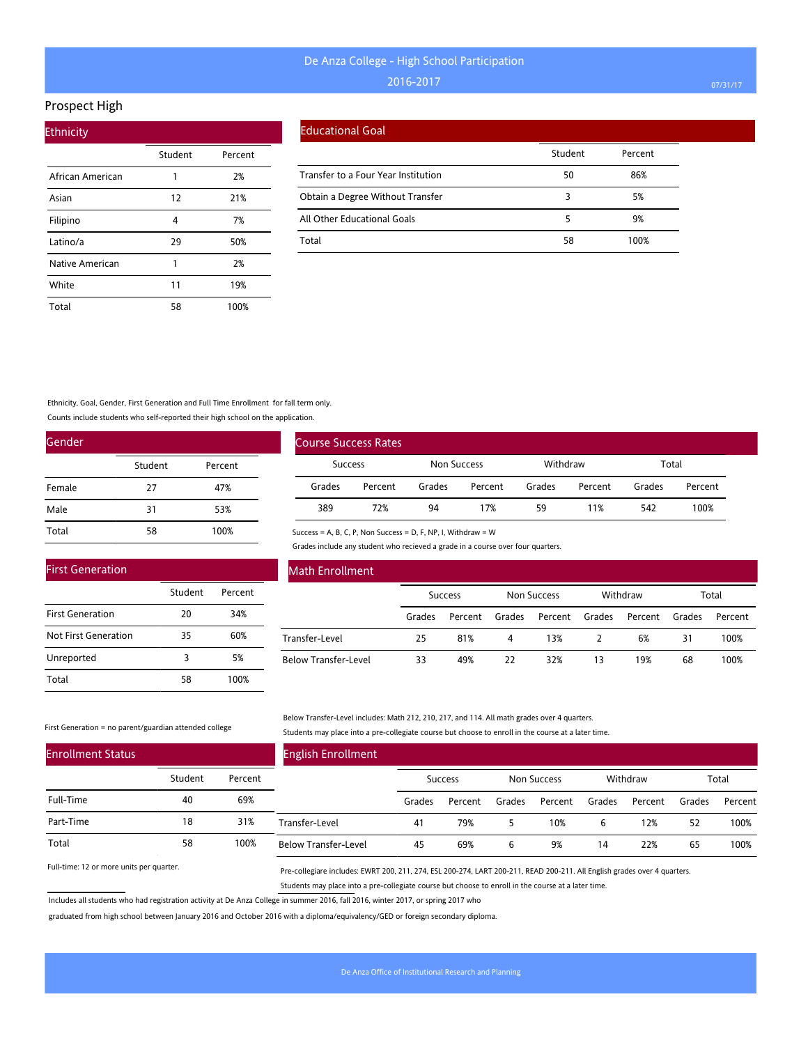### Prospect High

| <b>Ethnicity</b> |         |         |  |  |  |  |  |
|------------------|---------|---------|--|--|--|--|--|
|                  | Student | Percent |  |  |  |  |  |
| African American | 1       | 2%      |  |  |  |  |  |
| Asian            | 12      | 21%     |  |  |  |  |  |
| Filipino         | 4       | 7%      |  |  |  |  |  |
| Latino/a         | 29      | 50%     |  |  |  |  |  |
| Native American  | 1       | 2%      |  |  |  |  |  |
| White            | 11      | 19%     |  |  |  |  |  |
| Total            | 58      | 100%    |  |  |  |  |  |

#### Educational Goal

|                                     | Student | Percent |
|-------------------------------------|---------|---------|
| Transfer to a Four Year Institution | 50      | 86%     |
| Obtain a Degree Without Transfer    |         | 5%      |
| All Other Educational Goals         |         | 9%      |
| Total                               | 58      | 100%    |

Ethnicity, Goal, Gender, First Generation and Full Time Enrollment for fall term only.

Counts include students who self-reported their high school on the application.

| Gender |         |         |  |  |  |  |  |  |
|--------|---------|---------|--|--|--|--|--|--|
|        | Student | Percent |  |  |  |  |  |  |
| Female | 27      | 47%     |  |  |  |  |  |  |
| Male   | 31      | 53%     |  |  |  |  |  |  |
| Total  | 58      | 100%    |  |  |  |  |  |  |

|                | <b>Course Success Rates</b> |                    |         |          |         |        |         |
|----------------|-----------------------------|--------------------|---------|----------|---------|--------|---------|
| <b>Success</b> |                             | <b>Non Success</b> |         | Withdraw |         | Total  |         |
| Grades         | Percent                     | Grades             | Percent | Grades   | Percent | Grades | Percent |
| 389            | 72%                         | 94                 | 17%     | 59       | 11%     | 542    | 100%    |

Grades include any student who recieved a grade in a course over four quarters.

| <b>First Generation</b> |         |         |
|-------------------------|---------|---------|
|                         | Student | Percent |
| <b>First Generation</b> | 20      | 34%     |
| Not First Generation    | 35      | 60%     |
| Unreported              | 3       | 5%      |
| Total                   | 58      | 100%    |

### Math Enrollment

|                      | <b>Success</b> |     | Non Success    |                | Withdraw |         | Total  |         |
|----------------------|----------------|-----|----------------|----------------|----------|---------|--------|---------|
|                      | Grades         |     | Percent Grades | Percent Grades |          | Percent | Grades | Percent |
| Transfer-Level       | 25             | 81% | 4              | 13%            |          | 6%      | 31     | 100%    |
| Below Transfer-Level | 33             | 49% | 22             | 32%            | 13       | 19%     | 68     | 100%    |

#### First Generation = no parent/guardian attended college

Below Transfer-Level includes: Math 212, 210, 217, and 114. All math grades over 4 quarters. Students may place into a pre-collegiate course but choose to enroll in the course at a later time.

| <b>Enrollment Status</b> |         |         | <b>English Enrollment</b>   |        |                |        |             |        |          |        |         |
|--------------------------|---------|---------|-----------------------------|--------|----------------|--------|-------------|--------|----------|--------|---------|
|                          | Student | Percent |                             |        | <b>Success</b> |        | Non Success |        | Withdraw |        | Total   |
| Full-Time                | 40      | 69%     |                             | Grades | Percent        | Grades | Percent     | Grades | Percent  | Grades | Percent |
| Part-Time                | 18      | 31%     | Transfer-Level              | 41     | 79%            |        | 10%         | b      | 12%      | 52     | 100%    |
| Total                    | 58      | 100%    | <b>Below Transfer-Level</b> | 45     | 69%            | 6      | 9%          | 14     | 22%      | 65     | 100%    |

Success = A, B, C, P, Non Success = D, F, NP, I, Withdraw = W

Full-time: 12 or more units per quarter.

Pre-collegiare includes: EWRT 200, 211, 274, ESL 200-274, LART 200-211, READ 200-211. All English grades over 4 quarters. Students may place into a pre-collegiate course but choose to enroll in the course at a later time.

Includes all students who had registration activity at De Anza College in summer 2016, fall 2016, winter 2017, or spring 2017 who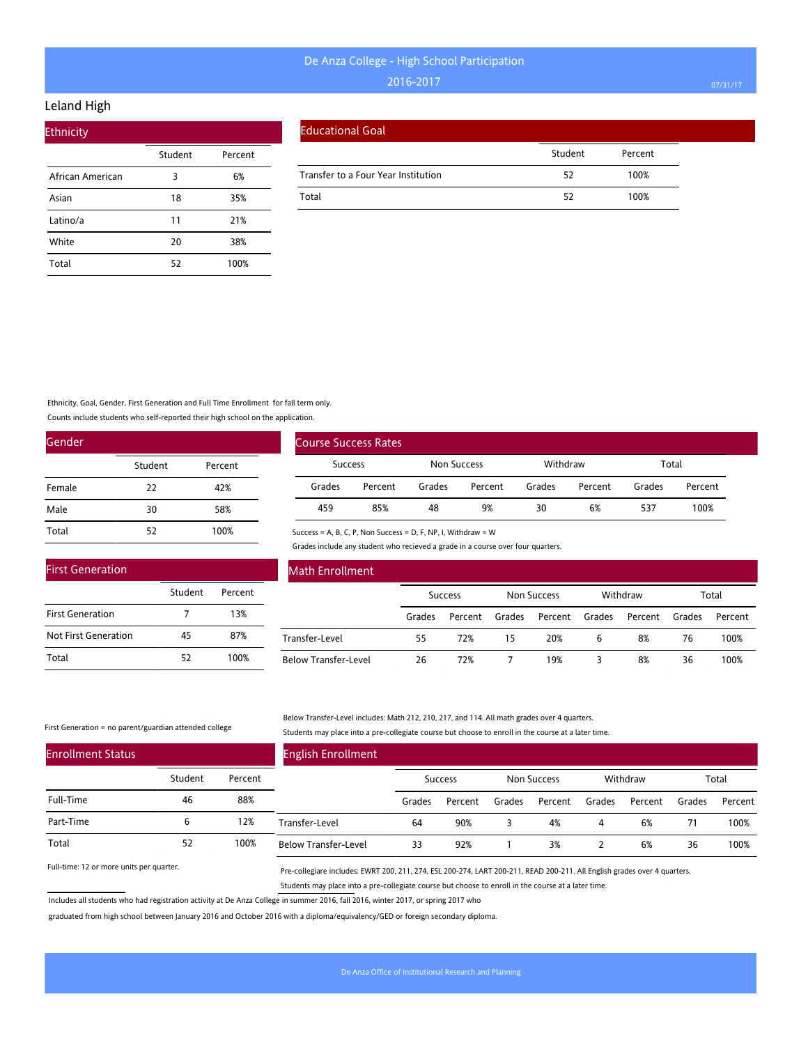### Leland High

| <b>Ethnicity</b> |         |         |
|------------------|---------|---------|
|                  | Student | Percent |
| African American | 3       | 6%      |
| Asian            | 18      | 35%     |
| Latino/a         | 11      | 21%     |
| White            | 20      | 38%     |
| Total            | 52      | 100%    |

|  | <b>Educational Goal</b> |
|--|-------------------------|
|  |                         |

|    | Percent |
|----|---------|
| 52 | 100%    |
| 52 | 100%    |
|    | Student |

Ethnicity, Goal, Gender, First Generation and Full Time Enrollment for fall term only.

Counts include students who self-reported their high school on the application.

| Gender |         |         |  |  |  |  |  |
|--------|---------|---------|--|--|--|--|--|
|        | Student | Percent |  |  |  |  |  |
| Female | 22      | 42%     |  |  |  |  |  |
| Male   | 30      | 58%     |  |  |  |  |  |
| Total  | 52      | 100%    |  |  |  |  |  |

| <b>First Generation</b> |         |         |  |  |  |  |  |  |
|-------------------------|---------|---------|--|--|--|--|--|--|
|                         | Student | Percent |  |  |  |  |  |  |
| <b>First Generation</b> |         | 13%     |  |  |  |  |  |  |
| Not First Generation    | 45      | 87%     |  |  |  |  |  |  |
| Total                   | 52      | 100%    |  |  |  |  |  |  |

| Course Success Rates |         |             |         |          |         |        |         |
|----------------------|---------|-------------|---------|----------|---------|--------|---------|
| <b>Success</b>       |         | Non Success |         | Withdraw |         | Total  |         |
| Grades               | Percent | Grades      | Percent | Grades   | Percent | Grades | Percent |
| 459                  | 85%     | 48          | 9%      | 30       | 6%      | 537    | 100%    |

Success = A, B, C, P, Non Success = D, F, NP, I, Withdraw = W

Grades include any student who recieved a grade in a course over four quarters.

| <b>Math Enrollment</b> |                |         |             |         |          |         |        |         |
|------------------------|----------------|---------|-------------|---------|----------|---------|--------|---------|
|                        | <b>Success</b> |         | Non Success |         | Withdraw |         | Total  |         |
|                        | Grades         | Percent | Grades      | Percent | Grades   | Percent | Grades | Percent |
| Transfer-Level         | 55             | 72%     | 15          | 20%     | 6        | 8%      | 76     | 100%    |
| Below Transfer-Level   | 26             | 72%     |             | 19%     |          | 8%      | 36     | 100%    |

First Generation = no parent/guardian attended college

#### Below Transfer-Level includes: Math 212, 210, 217, and 114. All math grades over 4 quarters. Students may place into a pre-collegiate course but choose to enroll in the course at a later time.

| <b>Enrollment Status</b> |         |         | <b>English Enrollment</b>   |        |                |        |             |        |          |        |         |
|--------------------------|---------|---------|-----------------------------|--------|----------------|--------|-------------|--------|----------|--------|---------|
|                          | Student | Percent |                             |        | <b>Success</b> |        | Non Success |        | Withdraw |        | Total   |
| Full-Time                | 46      | 88%     |                             | Grades | Percent        | Grades | Percent     | Grades | Percent  | Grades | Percent |
| Part-Time                | 6       | 12%     | Transfer-Level              | 64     | 90%            |        | 4%          | 4      | 6%       | 71     | 100%    |
| Total                    | 52      | 100%    | <b>Below Transfer-Level</b> | 33     | 92%            |        | 3%          |        | 6%       | 36     | 100%    |

Full-time: 12 or more units per quarter.

Pre-collegiare includes: EWRT 200, 211, 274, ESL 200-274, LART 200-211, READ 200-211. All English grades over 4 quarters. Students may place into a pre-collegiate course but choose to enroll in the course at a later time.

Includes all students who had registration activity at De Anza College in summer 2016, fall 2016, winter 2017, or spring 2017 who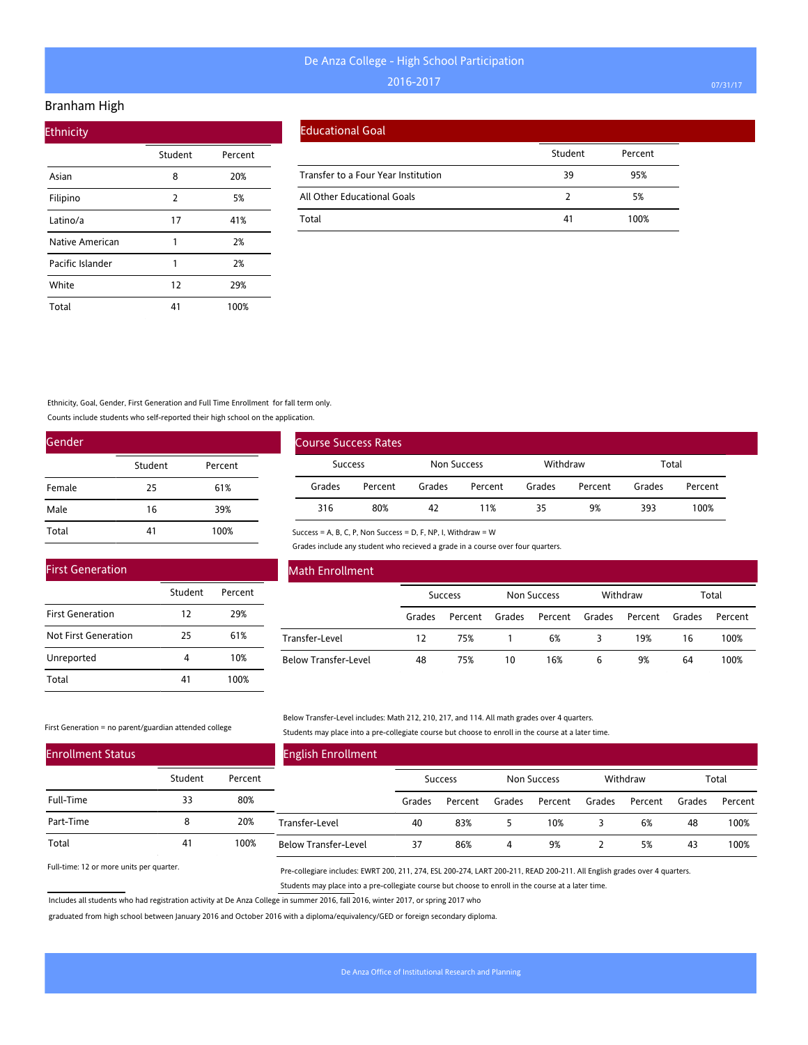#### Branham High

| <b>Ethnicity</b> |                |         |  |  |  |  |  |  |  |
|------------------|----------------|---------|--|--|--|--|--|--|--|
|                  | Student        | Percent |  |  |  |  |  |  |  |
| Asian            | 8              | 20%     |  |  |  |  |  |  |  |
| Filipino         | $\overline{2}$ | 5%      |  |  |  |  |  |  |  |
| Latino/a         | 17             | 41%     |  |  |  |  |  |  |  |
| Native American  | 1              | 2%      |  |  |  |  |  |  |  |
| Pacific Islander | 1              | 2%      |  |  |  |  |  |  |  |
| White            | 12             | 29%     |  |  |  |  |  |  |  |
| Total            | 41             | 100%    |  |  |  |  |  |  |  |

|  | <b>Educational Goal</b> |
|--|-------------------------|
|  |                         |

|                                     | Student | Percent |
|-------------------------------------|---------|---------|
| Transfer to a Four Year Institution | 39      | 95%     |
| All Other Educational Goals         |         | 5%      |
| Total                               | 41      | 100%    |

Ethnicity, Goal, Gender, First Generation and Full Time Enrollment for fall term only.

Counts include students who self-reported their high school on the application.

| Gender |         |         |
|--------|---------|---------|
|        | Student | Percent |
| Female | 25      | 61%     |
| Male   | 16      | 39%     |
| Total  | 41      | 100%    |

|                | <b>Course Success Rates</b> |             |         |          |         |        |         |
|----------------|-----------------------------|-------------|---------|----------|---------|--------|---------|
| <b>Success</b> |                             | Non Success |         | Withdraw |         | Total  |         |
| Grades         | Percent                     | Grades      | Percent | Grades   | Percent | Grades | Percent |
| 316            | 80%                         | 42          | 11%     | 35       | 9%      | 393    | 100%    |

Success = A, B, C, P, Non Success = D, F, NP, I, Withdraw = W

Grades include any student who recieved a grade in a course over four quarters.

| <b>First Generation</b> |         |         |
|-------------------------|---------|---------|
|                         | Student | Percent |
| <b>First Generation</b> | 12      | 29%     |
| Not First Generation    | 25      | 61%     |
| Unreported              |         | 10%     |
| Total                   | 41      | 100%    |

### Math Enrollment

|                      | <b>Success</b> |         | Non Success |                | Withdraw |         | Total  |         |
|----------------------|----------------|---------|-------------|----------------|----------|---------|--------|---------|
|                      | Grades         | Percent | Grades      | Percent Grades |          | Percent | Grades | Percent |
| Transfer-Level       | 12             | 75%     |             | 6%             |          | 19%     | 16     | 100%    |
| Below Transfer-Level | 48             | 75%     | 10          | 16%            | 6        | 9%      | 64     | 100%    |

#### First Generation = no parent/guardian attended college

Below Transfer-Level includes: Math 212, 210, 217, and 114. All math grades over 4 quarters. Students may place into a pre-collegiate course but choose to enroll in the course at a later time.

| <b>Enrollment Status</b> |         |         | <b>English Enrollment</b>   |        |                |        |             |        |          |        |         |
|--------------------------|---------|---------|-----------------------------|--------|----------------|--------|-------------|--------|----------|--------|---------|
|                          | Student | Percent |                             |        | <b>Success</b> |        | Non Success |        | Withdraw |        | Total   |
| Full-Time                | 33      | 80%     |                             | Grades | Percent        | Grades | Percent     | Grades | Percent  | Grades | Percent |
| Part-Time                | 8       | 20%     | Transfer-Level              | 40     | 83%            |        | 10%         |        | 6%       | 48     | 100%    |
| Total                    | 41      | 100%    | <b>Below Transfer-Level</b> | 37     | 86%            | 4      | 9%          |        | 5%       | 43     | 100%    |

Full-time: 12 or more units per quarter.

Pre-collegiare includes: EWRT 200, 211, 274, ESL 200-274, LART 200-211, READ 200-211. All English grades over 4 quarters. Students may place into a pre-collegiate course but choose to enroll in the course at a later time.

Includes all students who had registration activity at De Anza College in summer 2016, fall 2016, winter 2017, or spring 2017 who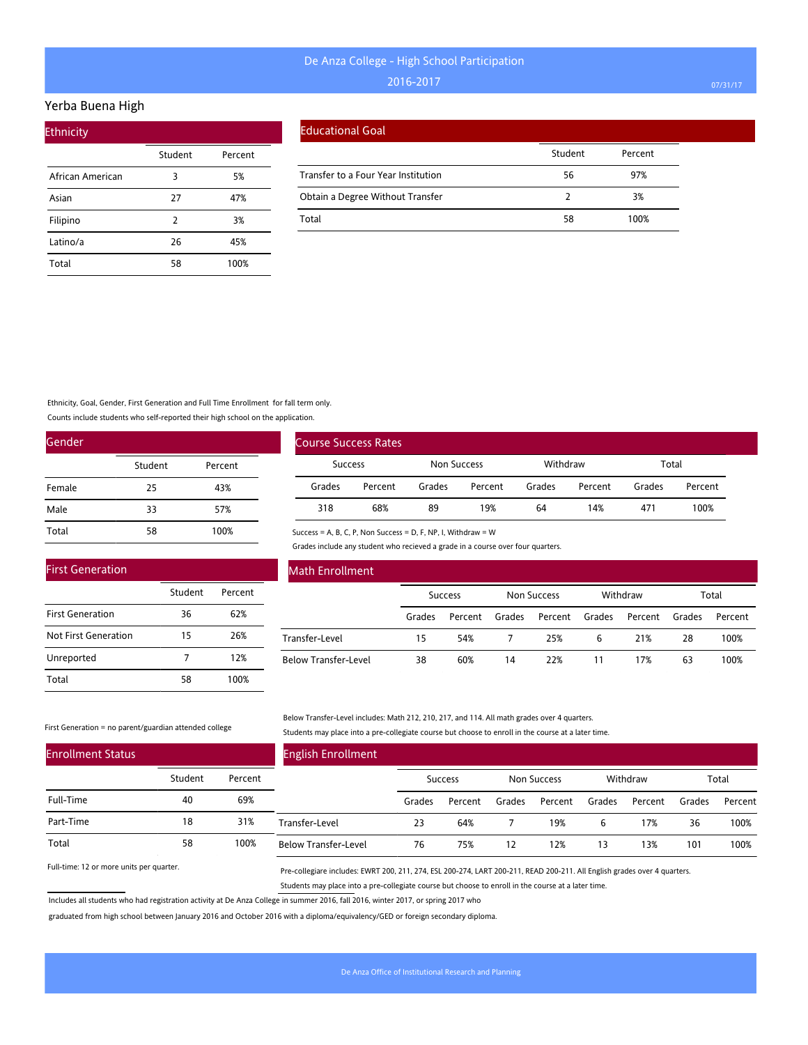#### Yerba Buena High

| <b>Ethnicity</b> |         |         |
|------------------|---------|---------|
|                  | Student | Percent |
| African American | 3       | 5%      |
| Asian            | 27      | 47%     |
| Filipino         | 2       | 3%      |
| Latino/a         | 26      | 45%     |
| Total            | 58      | 100%    |

#### Educational Goal

|                                     | Student | Percent |
|-------------------------------------|---------|---------|
| Transfer to a Four Year Institution | 56      | 97%     |
| Obtain a Degree Without Transfer    |         | 3%      |
| Total                               | 58      | 100%    |

#### Ethnicity, Goal, Gender, First Generation and Full Time Enrollment for fall term only.

Counts include students who self-reported their high school on the application.

| Gender |         |         |
|--------|---------|---------|
|        | Student | Percent |
| Female | 25      | 43%     |
| Male   | 33      | 57%     |
| Total  | 58      | 100%    |

|                | <b>Course Success Rates</b> |             |         |          |         |        |         |
|----------------|-----------------------------|-------------|---------|----------|---------|--------|---------|
| <b>Success</b> |                             | Non Success |         | Withdraw |         | Total  |         |
| Grades         | Percent                     | Grades      | Percent | Grades   | Percent | Grades | Percent |
| 318            | 68%                         | 89          | 19%     | 64       | 14%     | 471    | 100%    |

### Success = A, B, C, P, Non Success = D, F, NP, I, Withdraw = W

Grades include any student who recieved a grade in a course over four quarters.

| <b>First Generation</b> |         |         |
|-------------------------|---------|---------|
|                         | Student | Percent |
| <b>First Generation</b> | 36      | 62%     |
| Not First Generation    | 15      | 26%     |
| Unreported              |         | 12%     |
| Total                   | 58      | 100%    |

#### Math Enrollment

|                      | <b>Success</b> |         | Non Success |                | Withdraw |         | Total  |         |
|----------------------|----------------|---------|-------------|----------------|----------|---------|--------|---------|
|                      | Grades         | Percent | Grades      | Percent Grades |          | Percent | Grades | Percent |
| Transfer-Level       | 15             | 54%     |             | 25%            | 6        | 21%     | 28     | 100%    |
| Below Transfer-Level | 38             | 60%     | 14          | 22%            |          | 17%     | 63     | 100%    |

#### First Generation = no parent/guardian attended college

Below Transfer-Level includes: Math 212, 210, 217, and 114. All math grades over 4 quarters. Students may place into a pre-collegiate course but choose to enroll in the course at a later time.

| <b>Enrollment Status</b> |         |         | <b>English Enrollment</b>   |        |                |        |             |        |          |        |         |
|--------------------------|---------|---------|-----------------------------|--------|----------------|--------|-------------|--------|----------|--------|---------|
|                          | Student | Percent |                             |        | <b>Success</b> |        | Non Success |        | Withdraw |        | Total   |
| Full-Time                | 40      | 69%     |                             | Grades | Percent        | Grades | Percent     | Grades | Percent  | Grades | Percent |
| Part-Time                | 18      | 31%     | Transfer-Level              | 23     | 64%            |        | 19%         | b      | 17%      | 36     | 100%    |
| Total                    | 58      | 100%    | <b>Below Transfer-Level</b> | 76     | 75%            | 12     | 12%         | 13     | 13%      | 101    | 100%    |

Full-time: 12 or more units per quarter.

Pre-collegiare includes: EWRT 200, 211, 274, ESL 200-274, LART 200-211, READ 200-211. All English grades over 4 quarters. Students may place into a pre-collegiate course but choose to enroll in the course at a later time.

Includes all students who had registration activity at De Anza College in summer 2016, fall 2016, winter 2017, or spring 2017 who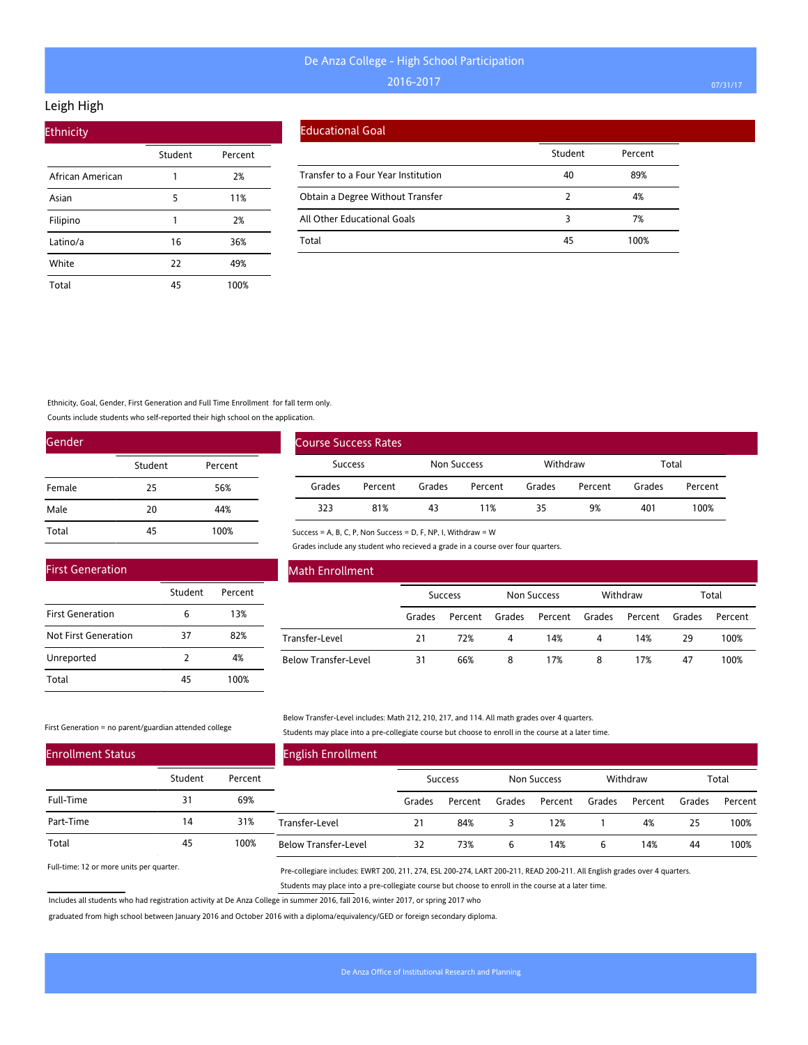### Leigh High

| <b>Ethnicity</b> |         |         |  |
|------------------|---------|---------|--|
|                  | Student | Percent |  |
| African American |         | 2%      |  |
| Asian            | 5       | 11%     |  |
| Filipino         | 1       | 2%      |  |
| Latino/a         | 16      | 36%     |  |
| White            | 22      | 49%     |  |
| Total            | 45      | 100%    |  |

### Educational Goal

|                                     | Student | Percent |
|-------------------------------------|---------|---------|
| Transfer to a Four Year Institution | 40      | 89%     |
| Obtain a Degree Without Transfer    |         | 4%      |
| All Other Educational Goals         |         | 7%      |
| Total                               | 45      | 100%    |

### Ethnicity, Goal, Gender, First Generation and Full Time Enrollment for fall term only.

Counts include students who self-reported their high school on the application.

| Gender |         |         |
|--------|---------|---------|
|        | Student | Percent |
| Female | 25      | 56%     |
| Male   | 20      | 44%     |
| Total  | 45      | 100%    |

|                | Course Success Rates |        |             |        |          |        |         |  |
|----------------|----------------------|--------|-------------|--------|----------|--------|---------|--|
| <b>Success</b> |                      |        | Non Success |        | Withdraw | Total  |         |  |
| Grades         | Percent              | Grades | Percent     | Grades | Percent  | Grades | Percent |  |
| 323            | 81%                  | 43     | 11%         | 35     | 9%       | 401    | 100%    |  |

#### Success = A, B, C, P, Non Success = D, F, NP, I, Withdraw = W

Grades include any student who recieved a grade in a course over four quarters.

| <b>First Generation</b> |               |         |
|-------------------------|---------------|---------|
|                         | Student       | Percent |
| <b>First Generation</b> | 6             | 13%     |
| Not First Generation    | 37            | 82%     |
| Unreported              | $\mathcal{P}$ | 4%      |
| Total                   | 45            | 100%    |

### Math Enrollment

|                      | <b>Success</b> |                | Non Success |                | Withdraw |                | Total |         |
|----------------------|----------------|----------------|-------------|----------------|----------|----------------|-------|---------|
|                      | Grades         | Percent Grades |             | Percent Grades |          | Percent Grades |       | Percent |
| Transfer-Level       | 21             | 72%            | 4           | 14%            | 4        | 14%            | 29    | 100%    |
| Below Transfer-Level | 31             | 66%            | 8           | 17%            | 8        | 17%            | 47    | 100%    |

#### First Generation = no parent/guardian attended college

Below Transfer-Level includes: Math 212, 210, 217, and 114. All math grades over 4 quarters. Students may place into a pre-collegiate course but choose to enroll in the course at a later time.

| <b>Enrollment Status</b> |         |         | <b>English Enrollment</b>   |        |                |        |             |        |          |        |         |
|--------------------------|---------|---------|-----------------------------|--------|----------------|--------|-------------|--------|----------|--------|---------|
|                          | Student | Percent |                             |        | <b>Success</b> |        | Non Success |        | Withdraw |        | Total   |
| Full-Time                | 31      | 69%     |                             | Grades | Percent        | Grades | Percent     | Grades | Percent  | Grades | Percent |
| Part-Time                | 14      | 31%     | Transfer-Level              | 21     | 84%            |        | 12%         |        | 4%       | 25     | 100%    |
| Total                    | 45      | 100%    | <b>Below Transfer-Level</b> | 32     | 73%            |        | 14%         | ь      | 14%      | 44     | 100%    |

Full-time: 12 or more units per quarter.

Pre-collegiare includes: EWRT 200, 211, 274, ESL 200-274, LART 200-211, READ 200-211. All English grades over 4 quarters. Students may place into a pre-collegiate course but choose to enroll in the course at a later time.

Includes all students who had registration activity at De Anza College in summer 2016, fall 2016, winter 2017, or spring 2017 who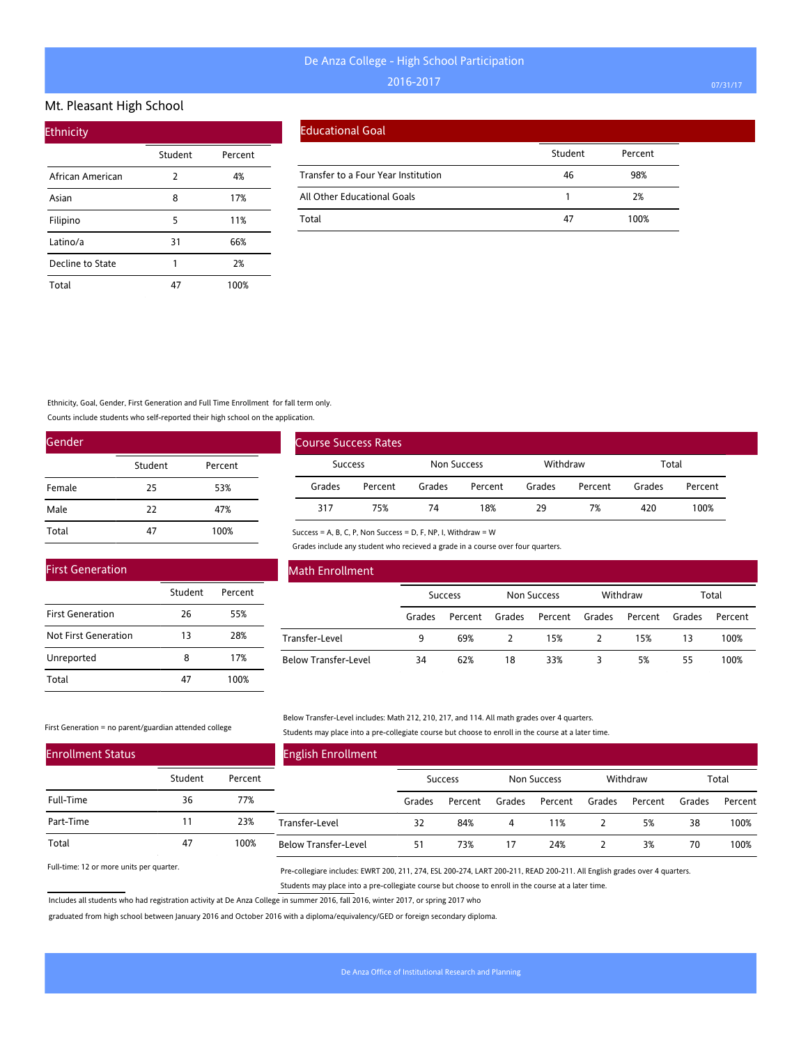#### Mt. Pleasant High School

| <b>Ethnicity</b> |         |         |
|------------------|---------|---------|
|                  | Student | Percent |
| African American | 2       | 4%      |
| Asian            | 8       | 17%     |
| Filipino         | 5       | 11%     |
| Latino/a         | 31      | 66%     |
| Decline to State | 1       | 2%      |
| Total            | 47      | 100%    |

#### Educational Goal

|                                     | Student | Percent |
|-------------------------------------|---------|---------|
| Transfer to a Four Year Institution | 46      | 98%     |
| All Other Educational Goals         |         | 2%      |
| Total                               | 47      | 100%    |

Ethnicity, Goal, Gender, First Generation and Full Time Enrollment for fall term only.

Counts include students who self-reported their high school on the application.

| Gender |         |         |
|--------|---------|---------|
|        | Student | Percent |
| Female | 25      | 53%     |
| Male   | 22      | 47%     |
| Total  | 47      | 100%    |

|         | <b>Course Success Rates</b> |        |             |        |          |        |         |  |
|---------|-----------------------------|--------|-------------|--------|----------|--------|---------|--|
| Success |                             |        | Non Success |        | Withdraw | Total  |         |  |
| Grades  | Percent                     | Grades | Percent     | Grades | Percent  | Grades | Percent |  |
| 317     | 75%                         | 74     | 18%         | 29     | 7%       | 420    | 100%    |  |

Success = A, B, C, P, Non Success = D, F, NP, I, Withdraw = W

Grades include any student who recieved a grade in a course over four quarters.

| <b>First Generation</b> |         |         |  |  |  |  |  |  |  |
|-------------------------|---------|---------|--|--|--|--|--|--|--|
|                         | Student | Percent |  |  |  |  |  |  |  |
| <b>First Generation</b> | 26      | 55%     |  |  |  |  |  |  |  |
| Not First Generation    | 13      | 28%     |  |  |  |  |  |  |  |
| Unreported              | 8       | 17%     |  |  |  |  |  |  |  |
| Total                   |         | 100%    |  |  |  |  |  |  |  |

### Math Enrollment

|                      | <b>Success</b> |         | <b>Non Success</b> |                | Withdraw |         | Total  |         |
|----------------------|----------------|---------|--------------------|----------------|----------|---------|--------|---------|
|                      | Grades         | Percent | Grades             | Percent Grades |          | Percent | Grades | Percent |
| Transfer-Level       | 9              | 69%     |                    | 15%            |          | 15%     | 13     | 100%    |
| Below Transfer-Level | 34             | 62%     | 18                 | 33%            |          | 5%      | 55     | 100%    |

#### First Generation = no parent/guardian attended college

Below Transfer-Level includes: Math 212, 210, 217, and 114. All math grades over 4 quarters. Students may place into a pre-collegiate course but choose to enroll in the course at a later time.

| <b>Enrollment Status</b> |         |         | <b>English Enrollment</b>   |        |         |        |             |        |          |        |         |
|--------------------------|---------|---------|-----------------------------|--------|---------|--------|-------------|--------|----------|--------|---------|
|                          | Student | Percent |                             |        | Success |        | Non Success |        | Withdraw |        | Total   |
| Full-Time                | 36      | 77%     |                             | Grades | Percent | Grades | Percent     | Grades | Percent  | Grades | Percent |
| Part-Time                |         | 23%     | Transfer-Level              | 32     | 84%     | 4      | 11%         |        | 5%       | 38     | 100%    |
| Total                    | 47      | 100%    | <b>Below Transfer-Level</b> | 51     | 73%     | 17     | 24%         |        | 3%       | 70     | 100%    |

Full-time: 12 or more units per quarter.

Pre-collegiare includes: EWRT 200, 211, 274, ESL 200-274, LART 200-211, READ 200-211. All English grades over 4 quarters. Students may place into a pre-collegiate course but choose to enroll in the course at a later time.

Includes all students who had registration activity at De Anza College in summer 2016, fall 2016, winter 2017, or spring 2017 who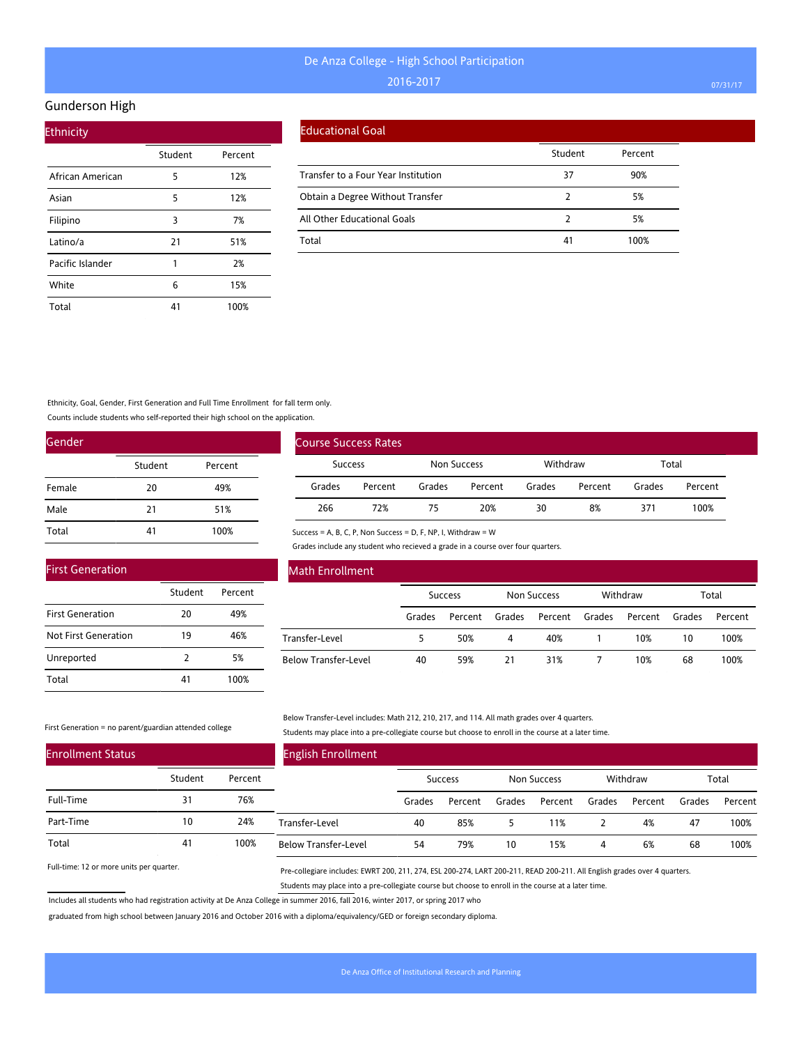#### Gunderson High

| <b>Ethnicity</b> |         |         |  |  |  |  |  |  |  |  |
|------------------|---------|---------|--|--|--|--|--|--|--|--|
|                  | Student | Percent |  |  |  |  |  |  |  |  |
| African American | 5       | 12%     |  |  |  |  |  |  |  |  |
| Asian            | 5       | 12%     |  |  |  |  |  |  |  |  |
| Filipino         | 3       | 7%      |  |  |  |  |  |  |  |  |
| Latino/a         | 21      | 51%     |  |  |  |  |  |  |  |  |
| Pacific Islander | 1       | 2%      |  |  |  |  |  |  |  |  |
| White            | 6       | 15%     |  |  |  |  |  |  |  |  |
| Total            | 41      | 100%    |  |  |  |  |  |  |  |  |

#### Educational Goal

|                                     | Student | Percent |
|-------------------------------------|---------|---------|
| Transfer to a Four Year Institution | 37      | 90%     |
| Obtain a Degree Without Transfer    |         | 5%      |
| All Other Educational Goals         |         | 5%      |
| Total                               | 41      | 100%    |

Ethnicity, Goal, Gender, First Generation and Full Time Enrollment for fall term only.

Counts include students who self-reported their high school on the application.

| Gender |         |         |
|--------|---------|---------|
|        | Student | Percent |
| Female | 20      | 49%     |
| Male   | 21      | 51%     |
| Total  | 41      | 100%    |

|                | Course Success Rates |             |         |          |         |        |         |  |
|----------------|----------------------|-------------|---------|----------|---------|--------|---------|--|
| <b>Success</b> |                      | Non Success |         | Withdraw |         | Total  |         |  |
| Grades         | Percent              | Grades      | Percent | Grades   | Percent | Grades | Percent |  |
| 266            | 72%                  | 75          | 20%     | 30       | 8%      | 371    | 100%    |  |

### First Generation

|                         | Student       | Percent |
|-------------------------|---------------|---------|
| <b>First Generation</b> | 20            | 49%     |
| Not First Generation    | 19            | 46%     |
| Unreported              | $\mathcal{P}$ | 5%      |
| Total                   | 41            | 100%    |

### Math Enrollment

|                      | <b>Success</b> |                | Non Success |                | Withdraw |         | Total  |         |
|----------------------|----------------|----------------|-------------|----------------|----------|---------|--------|---------|
|                      | Grades         | Percent Grades |             | Percent Grades |          | Percent | Grades | Percent |
| Transfer-Level       |                | 50%            | 4           | 40%            |          | 10%     | 10     | 100%    |
| Below Transfer-Level | 40             | 59%            | 21          | 31%            |          | 10%     | 68     | 100%    |

#### First Generation = no parent/guardian attended college

Below Transfer-Level includes: Math 212, 210, 217, and 114. All math grades over 4 quarters. Students may place into a pre-collegiate course but choose to enroll in the course at a later time.

| <b>Enrollment Status</b> |         |         | <b>English Enrollment</b>   |        |                |        |             |        |          |        |         |
|--------------------------|---------|---------|-----------------------------|--------|----------------|--------|-------------|--------|----------|--------|---------|
|                          | Student | Percent |                             |        | <b>Success</b> |        | Non Success |        | Withdraw |        | Total   |
| Full-Time                | 31      | 76%     |                             | Grades | Percent        | Grades | Percent     | Grades | Percent  | Grades | Percent |
| Part-Time                | 10      | 24%     | Transfer-Level              | 40     | 85%            |        | 11%         |        | 4%       | 47     | 100%    |
| Total                    | 41      | 100%    | <b>Below Transfer-Level</b> | 54     | 79%            | 10     | 15%         | 4      | 6%       | 68     | 100%    |

Success = A, B, C, P, Non Success = D, F, NP, I, Withdraw = W

Grades include any student who recieved a grade in a course over four quarters.

Full-time: 12 or more units per quarter.

Pre-collegiare includes: EWRT 200, 211, 274, ESL 200-274, LART 200-211, READ 200-211. All English grades over 4 quarters. Students may place into a pre-collegiate course but choose to enroll in the course at a later time.

Includes all students who had registration activity at De Anza College in summer 2016, fall 2016, winter 2017, or spring 2017 who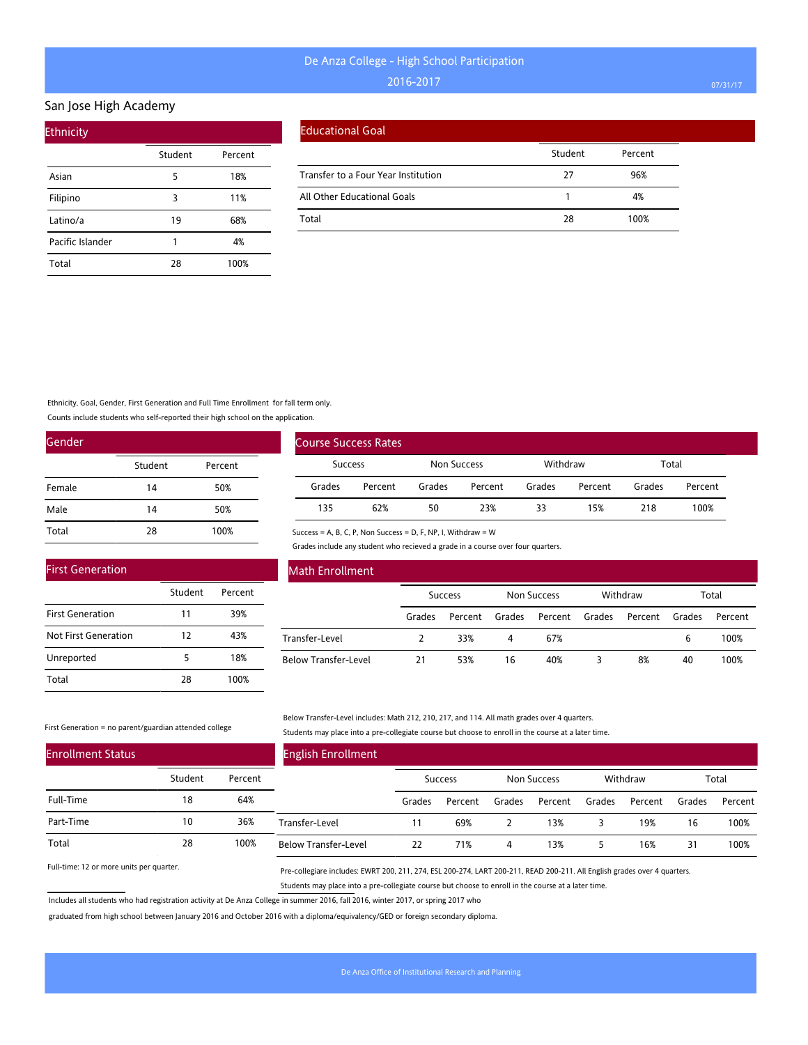#### San Jose High Academy

| <b>Ethnicity</b> |         |         |
|------------------|---------|---------|
|                  | Student | Percent |
| Asian            | 5       | 18%     |
| Filipino         | 3       | 11%     |
| Latino/a         | 19      | 68%     |
| Pacific Islander | 1       | 4%      |
| Total            | 28      | 100%    |

#### Educational Goal

|                                     | Student | Percent |
|-------------------------------------|---------|---------|
| Transfer to a Four Year Institution | 77      | 96%     |
| All Other Educational Goals         |         | 4%      |
| Total                               | 28      | 100%    |

Ethnicity, Goal, Gender, First Generation and Full Time Enrollment for fall term only.

Counts include students who self-reported their high school on the application.

| Gender |         |         |
|--------|---------|---------|
|        | Student | Percent |
| Female | 14      | 50%     |
| Male   | 14      | 50%     |
| Total  | 28      | 100%    |

|        | <b>Course Success Rates</b> |        |                    |        |          |        |         |  |
|--------|-----------------------------|--------|--------------------|--------|----------|--------|---------|--|
|        | <b>Success</b>              |        | <b>Non Success</b> |        | Withdraw | Total  |         |  |
| Grades | Percent                     | Grades | Percent            | Grades | Percent  | Grades | Percent |  |
| 135    | 62%                         | 50     | 23%                | 33     | 15%      | 218    | 100%    |  |

Success = A, B, C, P, Non Success = D, F, NP, I, Withdraw = W

Grades include any student who recieved a grade in a course over four quarters.

| <b>First Generation</b> |         |         |
|-------------------------|---------|---------|
|                         | Student | Percent |
| <b>First Generation</b> | 11      | 39%     |
| Not First Generation    | 12      | 43%     |
| Unreported              | 5       | 18%     |
| Total                   | 28      | 100%    |

### Math Enrollment

|                      | <b>Success</b> |         | Non Success |                | Withdraw |         | Total  |         |
|----------------------|----------------|---------|-------------|----------------|----------|---------|--------|---------|
|                      | Grades         | Percent | Grades      | Percent Grades |          | Percent | Grades | Percent |
| Transfer-Level       |                | 33%     | 4           | 67%            |          |         | 6      | 100%    |
| Below Transfer-Level | 21             | 53%     | 16          | 40%            |          | 8%      | 40     | 100%    |

#### First Generation = no parent/guardian attended college

Below Transfer-Level includes: Math 212, 210, 217, and 114. All math grades over 4 quarters. Students may place into a pre-collegiate course but choose to enroll in the course at a later time.

| <b>Enrollment Status</b> |         |         | <b>English Enrollment</b>   |        |                |        |             |        |          |        |         |
|--------------------------|---------|---------|-----------------------------|--------|----------------|--------|-------------|--------|----------|--------|---------|
|                          | Student | Percent |                             |        | <b>Success</b> |        | Non Success |        | Withdraw |        | Total   |
| Full-Time                | 18      | 64%     |                             | Grades | Percent        | Grades | Percent     | Grades | Percent  | Grades | Percent |
| Part-Time                | 10      | 36%     | Transfer-Level              |        | 69%            |        | 13%         |        | 19%      | 16     | 100%    |
| Total                    | 28      | 100%    | <b>Below Transfer-Level</b> | 22     | 71%            | 4      | 13%         |        | 16%      | 31     | 100%    |

Full-time: 12 or more units per quarter.

Pre-collegiare includes: EWRT 200, 211, 274, ESL 200-274, LART 200-211, READ 200-211. All English grades over 4 quarters. Students may place into a pre-collegiate course but choose to enroll in the course at a later time.

Includes all students who had registration activity at De Anza College in summer 2016, fall 2016, winter 2017, or spring 2017 who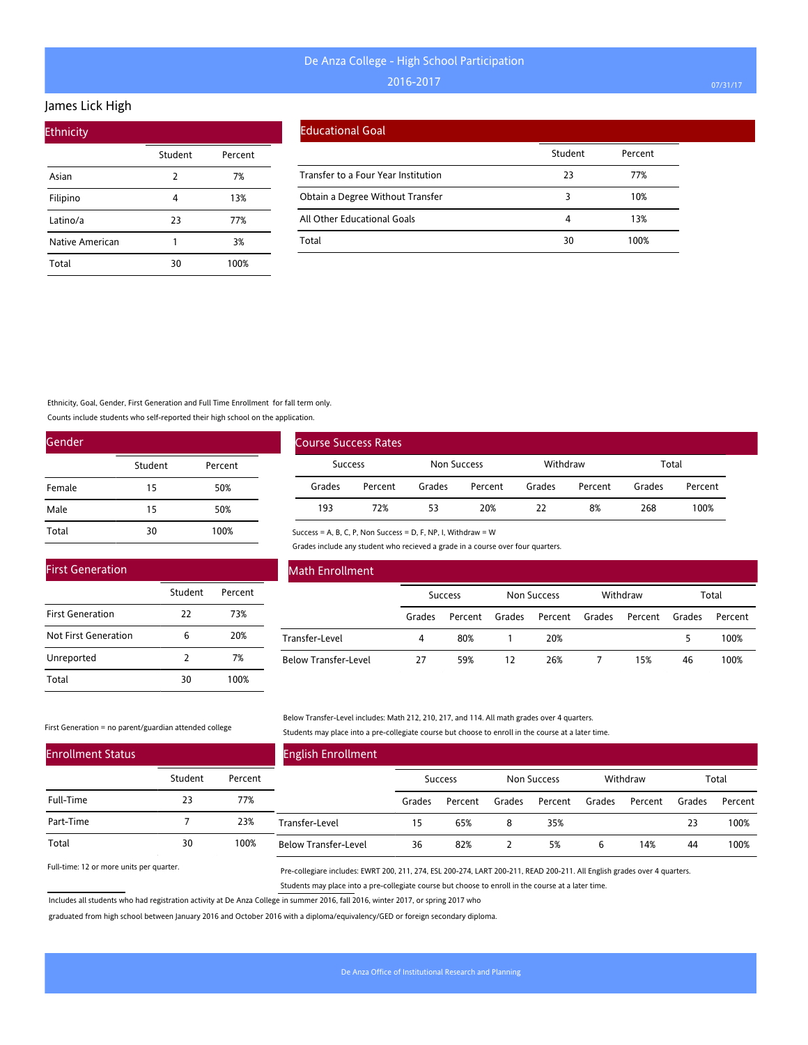#### James Lick High

| <b>Ethnicity</b> |         |         |
|------------------|---------|---------|
|                  | Student | Percent |
| Asian            | 2       | 7%      |
| Filipino         | 4       | 13%     |
| Latino/a         | 23      | 77%     |
| Native American  | 1       | 3%      |
| Total            | 30      | 100%    |

### Educational Goal

|                                     | Student | Percent |
|-------------------------------------|---------|---------|
| Transfer to a Four Year Institution | 23      | 77%     |
| Obtain a Degree Without Transfer    |         | 10%     |
| All Other Educational Goals         |         | 13%     |
| Total                               | 30      | 100%    |

Ethnicity, Goal, Gender, First Generation and Full Time Enrollment for fall term only.

Counts include students who self-reported their high school on the application.

| Gender |         |         |
|--------|---------|---------|
|        | Student | Percent |
| Female | 15      | 50%     |
| Male   | 15      | 50%     |
| Total  | 30      | 100%    |

|                | <b>Course Success Rates</b> |             |         |          |         |        |         |  |
|----------------|-----------------------------|-------------|---------|----------|---------|--------|---------|--|
| <b>Success</b> |                             | Non Success |         | Withdraw |         | Total  |         |  |
| Grades         | Percent                     | Grades      | Percent | Grades   | Percent | Grades | Percent |  |
| 193            | 72%                         | 53          | 20%     | つつ       | 8%      | 268    | 100%    |  |

Success = A, B, C, P, Non Success = D, F, NP, I, Withdraw = W

Grades include any student who recieved a grade in a course over four quarters.

| <b>First Generation</b> |               |         |
|-------------------------|---------------|---------|
|                         | Student       | Percent |
| <b>First Generation</b> | 22            | 73%     |
| Not First Generation    | 6             | 20%     |
| Unreported              | $\mathcal{P}$ | 7%      |
| Total                   | 30            | 100%    |

### Math Enrollment

|                      | <b>Success</b> |         | Non Success |                | Withdraw |         | Total  |         |
|----------------------|----------------|---------|-------------|----------------|----------|---------|--------|---------|
|                      | Grades         | Percent | Grades      | Percent Grades |          | Percent | Grades | Percent |
| Transfer-Level       | 4              | 80%     |             | 20%            |          |         |        | 100%    |
| Below Transfer-Level | 27             | 59%     | 12          | 26%            |          | 15%     | 46     | 100%    |

#### First Generation = no parent/guardian attended college

Below Transfer-Level includes: Math 212, 210, 217, and 114. All math grades over 4 quarters. Students may place into a pre-collegiate course but choose to enroll in the course at a later time.

| <b>Enrollment Status</b> |         |         | <b>English Enrollment</b>   |        |                |        |             |        |          |        |         |
|--------------------------|---------|---------|-----------------------------|--------|----------------|--------|-------------|--------|----------|--------|---------|
|                          | Student | Percent |                             |        | <b>Success</b> |        | Non Success |        | Withdraw |        | Total   |
| Full-Time                | 23      | 77%     |                             | Grades | Percent        | Grades | Percent     | Grades | Percent  | Grades | Percent |
| Part-Time                |         | 23%     | Transfer-Level              | 15     | 65%            | 8      | 35%         |        |          | 23     | 100%    |
| Total                    | 30      | 100%    | <b>Below Transfer-Level</b> | 36     | 82%            |        | 5%          | 6      | 14%      | 44     | 100%    |

Full-time: 12 or more units per quarter.

Pre-collegiare includes: EWRT 200, 211, 274, ESL 200-274, LART 200-211, READ 200-211. All English grades over 4 quarters. Students may place into a pre-collegiate course but choose to enroll in the course at a later time.

Includes all students who had registration activity at De Anza College in summer 2016, fall 2016, winter 2017, or spring 2017 who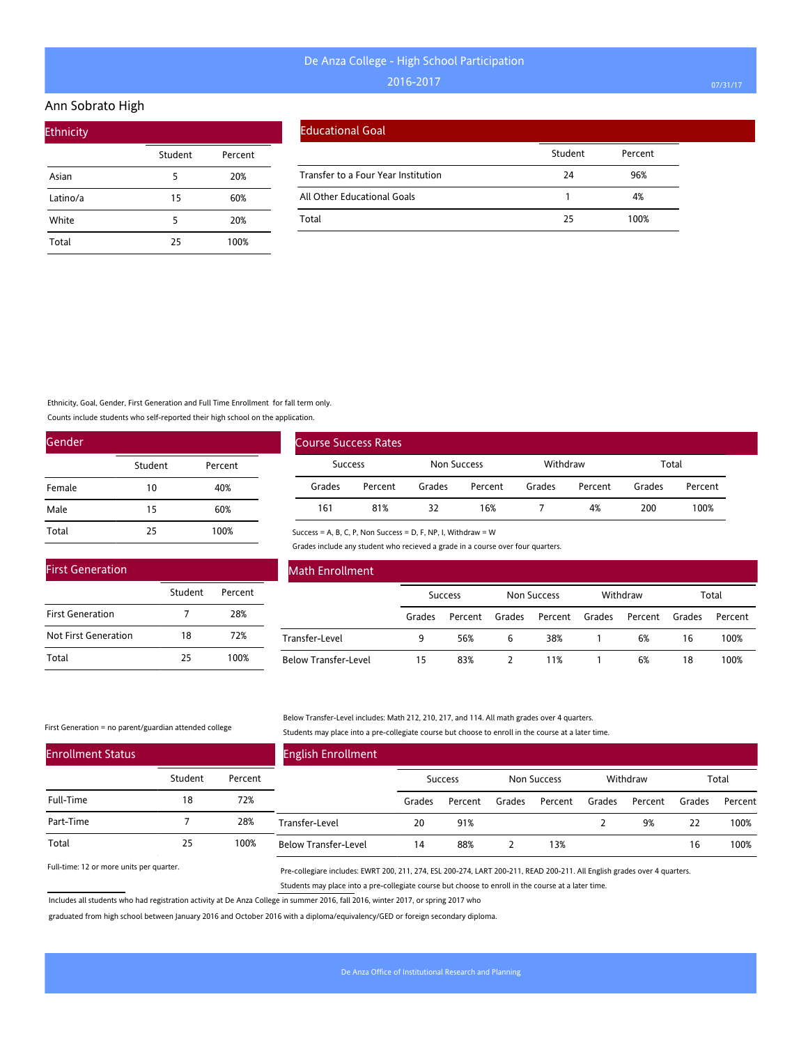#### Ann Sobrato High

| <b>Ethnicity</b> |         |         |  |
|------------------|---------|---------|--|
|                  | Student | Percent |  |
| Asian            | 5       | 20%     |  |
| Latino/a         | 15      | 60%     |  |
| White            | 5       | 20%     |  |
| Total            | 25      | 100%    |  |

#### Educational Goal

|                                     | Student | Percent |
|-------------------------------------|---------|---------|
| Transfer to a Four Year Institution | 24      | 96%     |
| All Other Educational Goals         |         | 4%      |
| Total                               | 25      | 100%    |

Ethnicity, Goal, Gender, First Generation and Full Time Enrollment for fall term only.

Counts include students who self-reported their high school on the application.

| Gender |         |         |
|--------|---------|---------|
|        | Student | Percent |
| Female | 10      | 40%     |
| Male   | 15      | 60%     |
| Total  | 25      | 100%    |

| <b>First Generation</b>     |         |         |  |  |  |  |
|-----------------------------|---------|---------|--|--|--|--|
|                             | Student | Percent |  |  |  |  |
| <b>First Generation</b>     |         | 28%     |  |  |  |  |
| <b>Not First Generation</b> | 18      | 72%     |  |  |  |  |
| Total                       | 25      | 100%    |  |  |  |  |

| Course Success Rates |         |             |         |          |         |        |         |
|----------------------|---------|-------------|---------|----------|---------|--------|---------|
| Success              |         | Non Success |         | Withdraw |         | Total  |         |
| Grades               | Percent | Grades      | Percent | Grades   | Percent | Grades | Percent |
| 161                  | 81%     | 32          | 16%     |          | 4%      | 200    | 100%    |

Success = A, B, C, P, Non Success = D, F, NP, I, Withdraw = W

Frades include any student who recieved a grade in a course over four quarters.

| <b>Math Enrollment</b>      |        |                |        |             |        |          |        |         |
|-----------------------------|--------|----------------|--------|-------------|--------|----------|--------|---------|
|                             |        | <b>Success</b> |        | Non Success |        | Withdraw |        | Total   |
|                             | Grades | Percent        | Grades | Percent     | Grades | Percent  | Grades | Percent |
| Transfer-Level              | 9      | 56%            | 6      | 38%         |        | 6%       | 16     | 100%    |
| <b>Below Transfer-Level</b> | 15     | 83%            |        | 11%         |        | 6%       | 18     | 100%    |

#### First Generation = no parent/guardian attended college

#### Below Transfer-Level includes: Math 212, 210, 217, and 114. All math grades over 4 quarters. Students may place into a pre-collegiate course but choose to enroll in the course at a later time.

| <b>Enrollment Status</b> |         |         | <b>English Enrollment</b>   |        |                |        |                    |        |          |        |         |
|--------------------------|---------|---------|-----------------------------|--------|----------------|--------|--------------------|--------|----------|--------|---------|
|                          | Student | Percent |                             |        | <b>Success</b> |        | <b>Non Success</b> |        | Withdraw |        | Total   |
| Full-Time                | 18      | 72%     |                             | Grades | Percent        | Grades | Percent            | Grades | Percent  | Grades | Percent |
| Part-Time                |         | 28%     | Transfer-Level              | 20     | 91%            |        |                    |        | 9%       | 22     | 100%    |
| Total                    | 25      | 100%    | <b>Below Transfer-Level</b> | 14     | 88%            |        | 13%                |        |          | 16     | 100%    |

Full-time: 12 or more units per quarter.

Pre-collegiare includes: EWRT 200, 211, 274, ESL 200-274, LART 200-211, READ 200-211. All English grades over 4 quarters. Students may place into a pre-collegiate course but choose to enroll in the course at a later time.

Includes all students who had registration activity at De Anza College in summer 2016, fall 2016, winter 2017, or spring 2017 who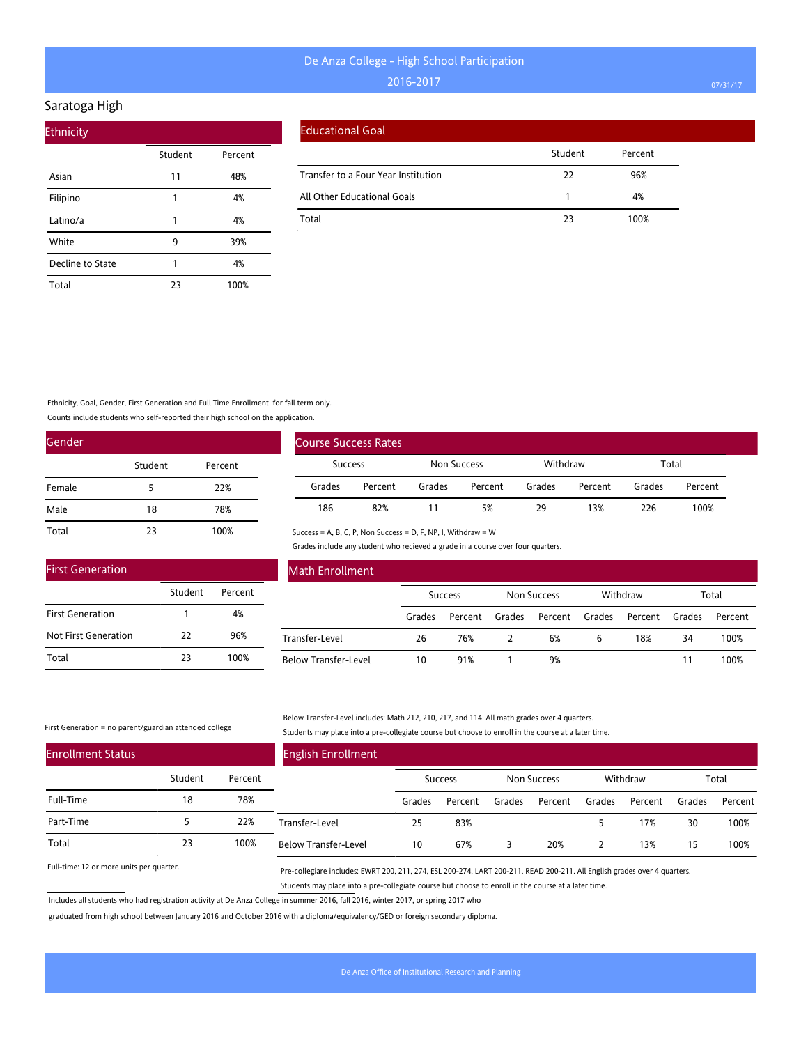#### Saratoga High

| <b>Ethnicity</b> |         |         |  |  |  |  |  |
|------------------|---------|---------|--|--|--|--|--|
|                  | Student | Percent |  |  |  |  |  |
| Asian            | 11      | 48%     |  |  |  |  |  |
| Filipino         | 1       | 4%      |  |  |  |  |  |
| Latino/a         | 1       | 4%      |  |  |  |  |  |
| White            | 9       | 39%     |  |  |  |  |  |
| Decline to State | 1       | 4%      |  |  |  |  |  |
| Total            | 23      | 100%    |  |  |  |  |  |

|  | Educational Goal |
|--|------------------|
|  |                  |

|                                     | Student | Percent |
|-------------------------------------|---------|---------|
| Transfer to a Four Year Institution | 22      | 96%     |
| All Other Educational Goals         |         | 4%      |
| Total                               | 23      | 100%    |

Ethnicity, Goal, Gender, First Generation and Full Time Enrollment for fall term only.

Counts include students who self-reported their high school on the application.

| Gender |         |         |
|--------|---------|---------|
|        | Student | Percent |
| Female | 5       | 22%     |
| Male   | 18      | 78%     |
| Total  | 23      | 100%    |

| <b>First Generation</b> |         |         |
|-------------------------|---------|---------|
|                         | Student | Percent |
| <b>First Generation</b> |         | 4%      |
| Not First Generation    | 22      | 96%     |
| Total                   | 23      | 100%    |

| <b>Course Success Rates</b> |         |             |         |          |         |        |         |
|-----------------------------|---------|-------------|---------|----------|---------|--------|---------|
| <b>Success</b>              |         | Non Success |         | Withdraw |         | Total  |         |
| Grades                      | Percent | Grades      | Percent | Grades   | Percent | Grades | Percent |
| 186                         | 82%     |             | 5%      | 29       | 13%     | 226    | 100%    |

Success = A, B, C, P, Non Success = D, F, NP, I, Withdraw = W

Grades include any student who recieved a grade in a course over four quarters.

| <b>Math Enrollment</b>      |        |                |        |                    |        |          |        |         |
|-----------------------------|--------|----------------|--------|--------------------|--------|----------|--------|---------|
|                             |        | <b>Success</b> |        | <b>Non Success</b> |        | Withdraw |        | Total   |
|                             | Grades | Percent        | Grades | Percent            | Grades | Percent  | Grades | Percent |
| Transfer-Level              | 26     | 76%            |        | 6%                 | 6      | 18%      | 34     | 100%    |
| <b>Below Transfer-Level</b> | 10     | 91%            |        | 9%                 |        |          | 11     | 100%    |

First Generation = no parent/guardian attended college

#### Below Transfer-Level includes: Math 212, 210, 217, and 114. All math grades over 4 quarters. Students may place into a pre-collegiate course but choose to enroll in the course at a later time.

| <b>Enrollment Status</b> |         |         | <b>English Enrollment</b>   |        |                |        |             |        |          |        |         |
|--------------------------|---------|---------|-----------------------------|--------|----------------|--------|-------------|--------|----------|--------|---------|
|                          | Student | Percent |                             |        | <b>Success</b> |        | Non Success |        | Withdraw |        | Total   |
| Full-Time                | 18      | 78%     |                             | Grades | Percent        | Grades | Percent     | Grades | Percent  | Grades | Percent |
| Part-Time                |         | 22%     | Transfer-Level              | 25     | 83%            |        |             |        | 17%      | 30     | 100%    |
| Total                    | 23      | 100%    | <b>Below Transfer-Level</b> | 10     | 67%            |        | 20%         |        | 13%      | 15     | 100%    |

Full-time: 12 or more units per quarter.

Pre-collegiare includes: EWRT 200, 211, 274, ESL 200-274, LART 200-211, READ 200-211. All English grades over 4 quarters. Students may place into a pre-collegiate course but choose to enroll in the course at a later time.

Includes all students who had registration activity at De Anza College in summer 2016, fall 2016, winter 2017, or spring 2017 who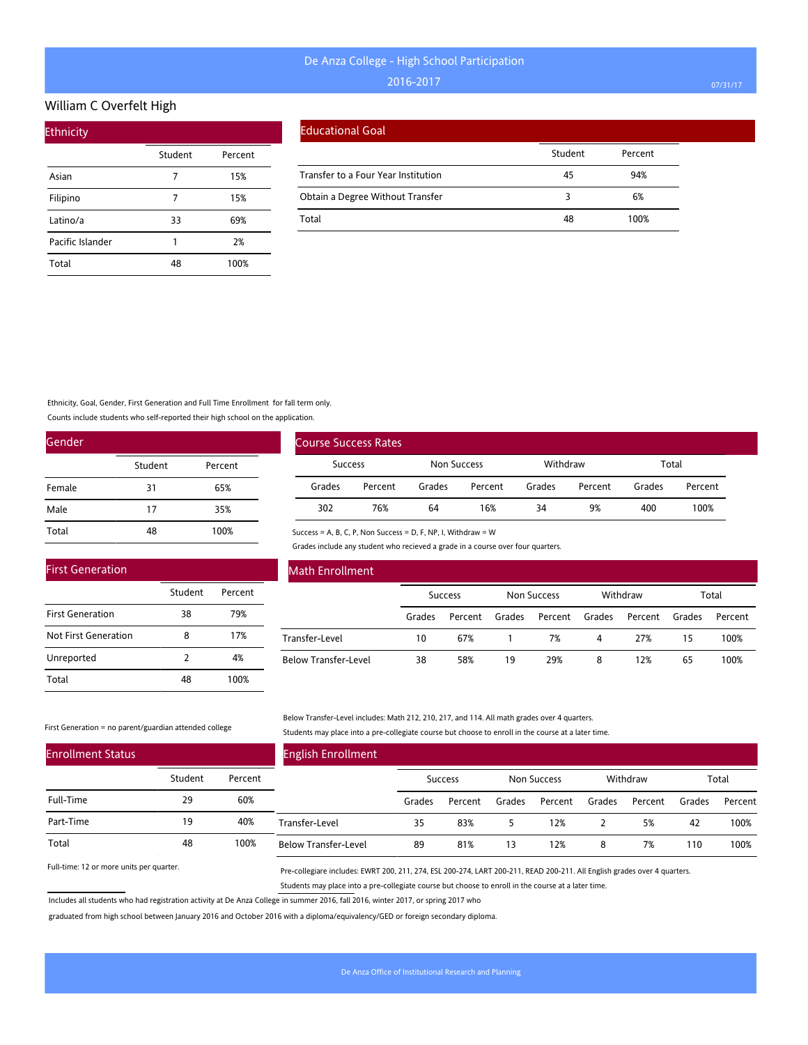### William C Overfelt High

| <b>Ethnicity</b> |         |         |
|------------------|---------|---------|
|                  | Student | Percent |
| Asian            | 7       | 15%     |
| Filipino         |         | 15%     |
| Latino/a         | 33      | 69%     |
| Pacific Islander | 1       | 2%      |
| Total            | 48      | 100%    |

#### Educational Goal

|                                     | Student | Percent |
|-------------------------------------|---------|---------|
| Transfer to a Four Year Institution | 45      | 94%     |
| Obtain a Degree Without Transfer    |         | 6%      |
| Total                               | 48      | 100%    |

### Ethnicity, Goal, Gender, First Generation and Full Time Enrollment for fall term only.

Counts include students who self-reported their high school on the application.

| Gender |         |         |
|--------|---------|---------|
|        | Student | Percent |
| Female | 31      | 65%     |
| Male   | 17      | 35%     |
| Total  | 48      | 100%    |

|                | <b>Course Success Rates</b> |             |         |          |         |        |         |
|----------------|-----------------------------|-------------|---------|----------|---------|--------|---------|
| <b>Success</b> |                             | Non Success |         | Withdraw |         | Total  |         |
| Grades         | Percent                     | Grades      | Percent | Grades   | Percent | Grades | Percent |
| 302            | 76%                         | 64          | 16%     | 34       | 9%      | 400    | 100%    |

#### Success = A, B, C, P, Non Success = D, F, NP, I, Withdraw = W

Grades include any student who recieved a grade in a course over four quarters.

| <b>First Generation</b> |               |         |  |
|-------------------------|---------------|---------|--|
|                         | Student       | Percent |  |
| <b>First Generation</b> | 38            | 79%     |  |
| Not First Generation    | 8             | 17%     |  |
| Unreported              | $\mathcal{P}$ | 4%      |  |
| Total                   |               | 100%    |  |

### Math Enrollment

|                      | <b>Success</b> |         | Non Success |                | Withdraw |         | Total  |         |
|----------------------|----------------|---------|-------------|----------------|----------|---------|--------|---------|
|                      | Grades         | Percent | Grades      | Percent Grades |          | Percent | Grades | Percent |
| Transfer-Level       | 10             | 67%     |             | 7%             | 4        | 27%     | 15     | 100%    |
| Below Transfer-Level | 38             | 58%     | 19          | 29%            | 8        | 12%     | 65     | 100%    |

#### First Generation = no parent/guardian attended college

Below Transfer-Level includes: Math 212, 210, 217, and 114. All math grades over 4 quarters. Students may place into a pre-collegiate course but choose to enroll in the course at a later time.

| <b>Enrollment Status</b> |         |         | <b>English Enrollment</b>   |        |                |        |             |        |          |        |         |
|--------------------------|---------|---------|-----------------------------|--------|----------------|--------|-------------|--------|----------|--------|---------|
|                          | Student | Percent |                             |        | <b>Success</b> |        | Non Success |        | Withdraw |        | Total   |
| Full-Time                | 29      | 60%     |                             | Grades | Percent        | Grades | Percent     | Grades | Percent  | Grades | Percent |
| Part-Time                | 19      | 40%     | Transfer-Level              | 35     | 83%            |        | 12%         |        | 5%       | 42     | 100%    |
| Total                    | 48      | 100%    | <b>Below Transfer-Level</b> | 89     | 81%            | ۱3     | 12%         |        | 7%       | 110    | 100%    |

Full-time: 12 or more units per quarter.

Pre-collegiare includes: EWRT 200, 211, 274, ESL 200-274, LART 200-211, READ 200-211. All English grades over 4 quarters. Students may place into a pre-collegiate course but choose to enroll in the course at a later time.

Includes all students who had registration activity at De Anza College in summer 2016, fall 2016, winter 2017, or spring 2017 who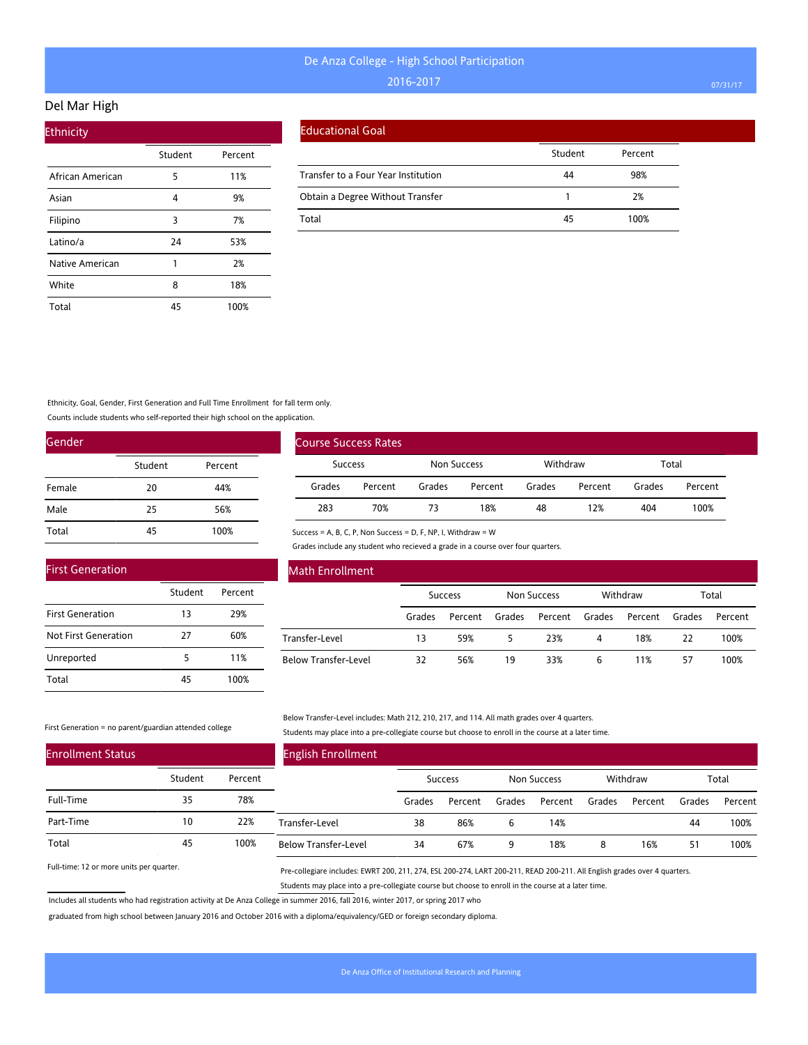#### Del Mar High

| <b>Ethnicity</b> |         |         |
|------------------|---------|---------|
|                  | Student | Percent |
| African American | 5       | 11%     |
| Asian            | 4       | 9%      |
| Filipino         | 3       | 7%      |
| Latino/a         | 24      | 53%     |
| Native American  | 1       | 2%      |
| White            | 8       | 18%     |
| Total            | 45      | 100%    |

#### Educational Goal

|                                     | Student | Percent |
|-------------------------------------|---------|---------|
| Transfer to a Four Year Institution | 44      | 98%     |
| Obtain a Degree Without Transfer    |         | 2%      |
| Total                               | 45      | 100%    |

Ethnicity, Goal, Gender, First Generation and Full Time Enrollment for fall term only.

Counts include students who self-reported their high school on the application.

| Gender |         |         |
|--------|---------|---------|
|        | Student | Percent |
| Female | 20      | 44%     |
| Male   | 25      | 56%     |
| Total  | 45      | 100%    |

|                | <b>Course Success Rates</b> |             |         |          |         |        |         |
|----------------|-----------------------------|-------------|---------|----------|---------|--------|---------|
| <b>Success</b> |                             | Non Success |         | Withdraw |         | Total  |         |
| Grades         | Percent                     | Grades      | Percent | Grades   | Percent | Grades | Percent |
| 283            | 70%                         | 73          | 18%     | 48       | 12%     | 404    | 100%    |

Success = A, B, C, P, Non Success = D, F, NP, I, Withdraw = W

Grades include any student who recieved a grade in a course over four quarters.

| <b>First Generation</b> |         |         |
|-------------------------|---------|---------|
|                         | Student | Percent |
| <b>First Generation</b> | 13      | 29%     |
| Not First Generation    | 27      | 60%     |
| Unreported              | 5       | 11%     |
| Total                   | 45      | 100%    |

### Math Enrollment

|                      | <b>Success</b> |         | Non Success |                | Withdraw |         | Total  |         |
|----------------------|----------------|---------|-------------|----------------|----------|---------|--------|---------|
|                      | Grades         | Percent | Grades      | Percent Grades |          | Percent | Grades | Percent |
| Transfer-Level       | 13             | 59%     | 5           | 23%            | 4        | 18%     | 22     | 100%    |
| Below Transfer-Level | 32             | 56%     | 19          | 33%            | 6        | 11%     | 57     | 100%    |

#### First Generation = no parent/guardian attended college

Below Transfer-Level includes: Math 212, 210, 217, and 114. All math grades over 4 quarters. Students may place into a pre-collegiate course but choose to enroll in the course at a later time.

| <b>Enrollment Status</b> |         |         | <b>English Enrollment</b>   |        |                |        |             |        |          |        |         |
|--------------------------|---------|---------|-----------------------------|--------|----------------|--------|-------------|--------|----------|--------|---------|
|                          | Student | Percent |                             |        | <b>Success</b> |        | Non Success |        | Withdraw |        | Total   |
| Full-Time                | 35      | 78%     |                             | Grades | Percent        | Grades | Percent     | Grades | Percent  | Grades | Percent |
| Part-Time                | 10      | 22%     | Transfer-Level              | 38     | 86%            |        | 14%         |        |          | 44     | 100%    |
| Total                    | 45      | 100%    | <b>Below Transfer-Level</b> | 34     | 67%            | Q      | 18%         | 8      | 16%      | 51     | 100%    |

Full-time: 12 or more units per quarter.

Pre-collegiare includes: EWRT 200, 211, 274, ESL 200-274, LART 200-211, READ 200-211. All English grades over 4 quarters. Students may place into a pre-collegiate course but choose to enroll in the course at a later time.

Includes all students who had registration activity at De Anza College in summer 2016, fall 2016, winter 2017, or spring 2017 who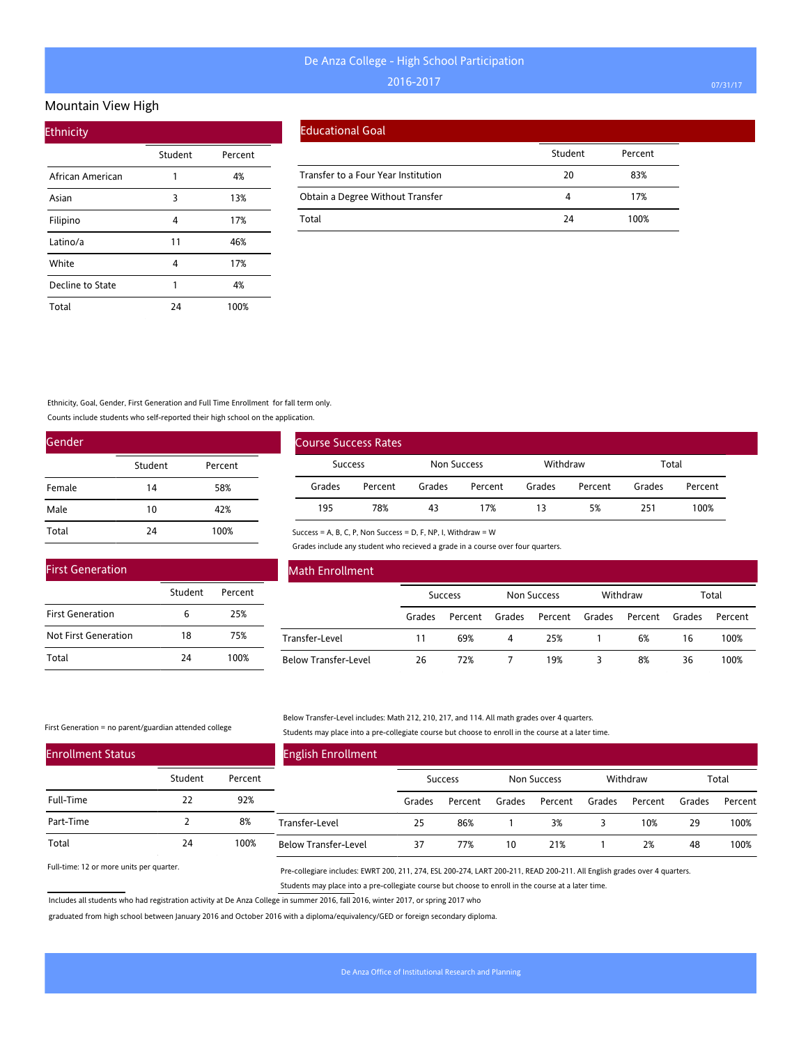#### Mountain View High

| <b>Ethnicity</b> |         |         |
|------------------|---------|---------|
|                  | Student | Percent |
| African American | 1       | 4%      |
| Asian            | 3       | 13%     |
| Filipino         | 4       | 17%     |
| Latino/a         | 11      | 46%     |
| White            | 4       | 17%     |
| Decline to State | 1       | 4%      |
| Total            | 24      | 100%    |

|  | Educational Goal |
|--|------------------|
|  |                  |

|                                     | Student | Percent |
|-------------------------------------|---------|---------|
| Transfer to a Four Year Institution | 20      | 83%     |
| Obtain a Degree Without Transfer    | Δ       | 17%     |
| Total                               | 24      | 100%    |

Ethnicity, Goal, Gender, First Generation and Full Time Enrollment for fall term only.

Counts include students who self-reported their high school on the application.

| Gender |         |         |
|--------|---------|---------|
|        | Student | Percent |
| Female | 14      | 58%     |
| Male   | 10      | 42%     |
| Total  | 24      | 100%    |

| <b>First Generation</b> |         |         |
|-------------------------|---------|---------|
|                         | Student | Percent |
| <b>First Generation</b> | Б       | 25%     |
| Not First Generation    | 18      | 75%     |
| Total                   | 24      | 100%    |

| Course Success Rates |         |             |         |          |         |        |         |  |  |
|----------------------|---------|-------------|---------|----------|---------|--------|---------|--|--|
| Success              |         | Non Success |         | Withdraw |         | Total  |         |  |  |
| Grades               | Percent | Grades      | Percent | Grades   | Percent | Grades | Percent |  |  |
| 195                  | 78%     | 43          | 17%     | 13       | 5%      | 251    | 100%    |  |  |

Success = A, B, C, P, Non Success = D, F, NP, I, Withdraw = W

Grades include any student who recieved a grade in a course over four quarters.

| <b>Math Enrollment</b> |                |         |             |         |          |         |        |         |
|------------------------|----------------|---------|-------------|---------|----------|---------|--------|---------|
|                        | <b>Success</b> |         | Non Success |         | Withdraw |         | Total  |         |
|                        | Grades         | Percent | Grades      | Percent | Grades   | Percent | Grades | Percent |
| Transfer-Level         | 11             | 69%     | 4           | 25%     |          | 6%      | 16     | 100%    |
| Below Transfer-Level   | 26             | 72%     |             | 19%     |          | 8%      | 36     | 100%    |

#### First Generation = no parent/guardian attended college

#### Below Transfer-Level includes: Math 212, 210, 217, and 114. All math grades over 4 quarters. Students may place into a pre-collegiate course but choose to enroll in the course at a later time.

| <b>Enrollment Status</b> |         |         | <b>English Enrollment</b>   |        |         |        |             |        |          |        |         |
|--------------------------|---------|---------|-----------------------------|--------|---------|--------|-------------|--------|----------|--------|---------|
|                          | Student | Percent |                             |        | Success |        | Non Success |        | Withdraw |        | Total   |
| Full-Time                | 22      | 92%     |                             | Grades | Percent | Grades | Percent     | Grades | Percent  | Grades | Percent |
| Part-Time                |         | 8%      | Transfer-Level              | 25     | 86%     |        | 3%          |        | 10%      | 29     | 100%    |
| Total                    | 24      | 100%    | <b>Below Transfer-Level</b> | 37     | 77%     | 10     | 21%         |        | 2%       | 48     | 100%    |

Full-time: 12 or more units per quarter.

Pre-collegiare includes: EWRT 200, 211, 274, ESL 200-274, LART 200-211, READ 200-211. All English grades over 4 quarters. Students may place into a pre-collegiate course but choose to enroll in the course at a later time.

Includes all students who had registration activity at De Anza College in summer 2016, fall 2016, winter 2017, or spring 2017 who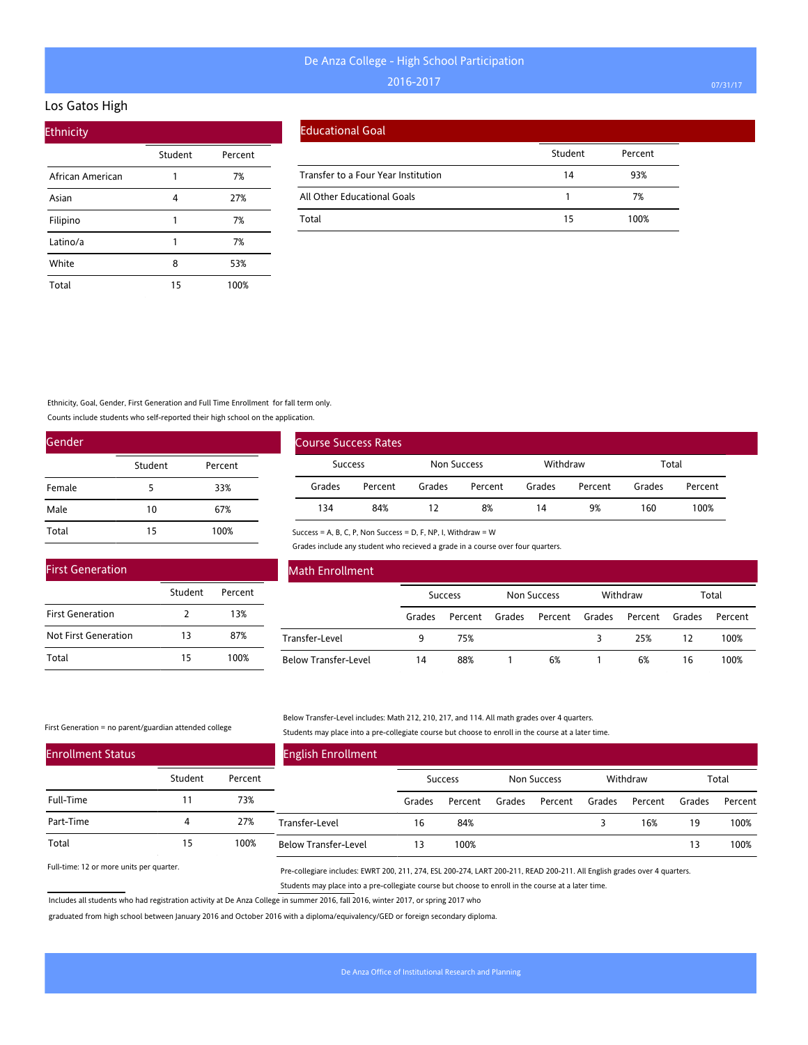#### Los Gatos High

| <b>Ethnicity</b> |         |         |
|------------------|---------|---------|
|                  | Student | Percent |
| African American | 1       | 7%      |
| Asian            | 4       | 27%     |
| Filipino         |         | 7%      |
| Latino/a         |         | 7%      |
| White            | 8       | 53%     |
| Total            | 15      | 100%    |

|  | Educational Goal |
|--|------------------|
|  |                  |

|                                     | Student | Percent |
|-------------------------------------|---------|---------|
| Transfer to a Four Year Institution | 14      | 93%     |
| All Other Educational Goals         |         | 7%      |
| Total                               | 15      | 100%    |

### Ethnicity, Goal, Gender, First Generation and Full Time Enrollment for fall term only.

Counts include students who self-reported their high school on the application.

| Gender |         |         |
|--------|---------|---------|
|        | Student | Percent |
| Female | 5       | 33%     |
| Male   | 10      | 67%     |
| Total  | 15      | 100%    |

| <b>First Generation</b> |         |         |
|-------------------------|---------|---------|
|                         | Student | Percent |
| <b>First Generation</b> | 2       | 13%     |
| Not First Generation    | 13      | 87%     |
| Total                   | 15      | 100%    |

| <b>Course Success Rates</b> |         |             |         |          |         |        |         |
|-----------------------------|---------|-------------|---------|----------|---------|--------|---------|
| <b>Success</b>              |         | Non Success |         | Withdraw |         | Total  |         |
| Grades                      | Percent | Grades      | Percent | Grades   | Percent | Grades | Percent |
| 134                         | 84%     |             | 8%      | 14       | 9%      | 160    | 100%    |

Success = A, B, C, P, Non Success = D, F, NP, I, Withdraw = W

Grades include any student who recieved a grade in a course over four quarters.

| <b>Math Enrollment</b>      |        |                |        |                    |        |          |        |         |
|-----------------------------|--------|----------------|--------|--------------------|--------|----------|--------|---------|
|                             |        | <b>Success</b> |        | <b>Non Success</b> |        | Withdraw |        | Total   |
|                             | Grades | Percent        | Grades | Percent            | Grades | Percent  | Grades | Percent |
| Transfer-Level              | 9      | 75%            |        |                    |        | 25%      | 12     | 100%    |
| <b>Below Transfer-Level</b> | 14     | 88%            |        | 6%                 |        | 6%       | 16     | 100%    |

#### First Generation = no parent/guardian attended college

#### Below Transfer-Level includes: Math 212, 210, 217, and 114. All math grades over 4 quarters. Students may place into a pre-collegiate course but choose to enroll in the course at a later time.

| <b>Enrollment Status</b> |         |         | <b>English Enrollment</b>   |        |                |        |             |        |          |        |         |
|--------------------------|---------|---------|-----------------------------|--------|----------------|--------|-------------|--------|----------|--------|---------|
|                          | Student | Percent |                             |        | <b>Success</b> |        | Non Success |        | Withdraw |        | Total   |
| Full-Time                |         | 73%     |                             | Grades | Percent        | Grades | Percent     | Grades | Percent  | Grades | Percent |
| Part-Time                | 4       | 27%     | Transfer-Level              | 16     | 84%            |        |             |        | 16%      | 19     | 100%    |
| Total                    | 15      | 100%    | <b>Below Transfer-Level</b> | 13     | 100%           |        |             |        |          | 13     | 100%    |

Full-time: 12 or more units per quarter.

Pre-collegiare includes: EWRT 200, 211, 274, ESL 200-274, LART 200-211, READ 200-211. All English grades over 4 quarters. Students may place into a pre-collegiate course but choose to enroll in the course at a later time.

Includes all students who had registration activity at De Anza College in summer 2016, fall 2016, winter 2017, or spring 2017 who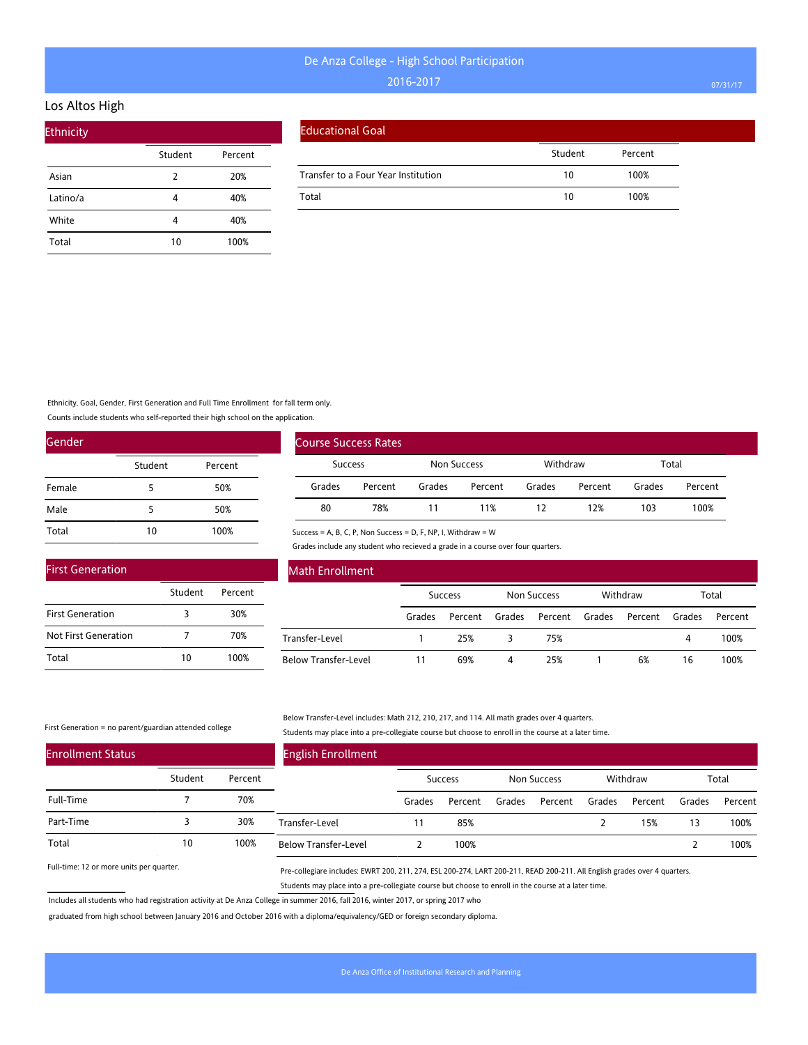### Los Altos High

| <b>Ethnicity</b> |         |         |
|------------------|---------|---------|
|                  | Student | Percent |
| Asian            | 2       | 20%     |
| Latino/a         | 4       | 40%     |
| White            | 4       | 40%     |
| Total            | 10      | 100%    |

#### Educational Goal

|                                     | Student | Percent |  |
|-------------------------------------|---------|---------|--|
| Transfer to a Four Year Institution | 10      | 100%    |  |
| Total                               | 10      | 100%    |  |

Ethnicity, Goal, Gender, First Generation and Full Time Enrollment for fall term only.

Counts include students who self-reported their high school on the application.

| Gender |         |         |
|--------|---------|---------|
|        | Student | Percent |
| Female | 5       | 50%     |
| Male   | 5       | 50%     |
| Total  | 10      | 100%    |

| <b>First Generation</b> |         |         |  |  |  |  |  |  |
|-------------------------|---------|---------|--|--|--|--|--|--|
|                         | Student | Percent |  |  |  |  |  |  |
| <b>First Generation</b> | 3       | 30%     |  |  |  |  |  |  |
| Not First Generation    |         | 70%     |  |  |  |  |  |  |
| Total                   | 10      | 100%    |  |  |  |  |  |  |

| Course Success Rates |         |             |         |          |         |        |         |
|----------------------|---------|-------------|---------|----------|---------|--------|---------|
| Success              |         | Non Success |         | Withdraw |         | Total  |         |
| Grades               | Percent | Grades      | Percent | Grades   | Percent | Grades | Percent |
| 80                   | 78%     |             | 11%     | 12       | 12%     | 103    | 100%    |

Success = A, B, C, P, Non Success = D, F, NP, I, Withdraw = W

Grades include any student who recieved a grade in a course over four quarters.

| <b>Math Enrollment</b>      |        |                |        |                    |        |          |        |         |
|-----------------------------|--------|----------------|--------|--------------------|--------|----------|--------|---------|
|                             |        | <b>Success</b> |        | <b>Non Success</b> |        | Withdraw |        | Total   |
|                             | Grades | Percent        | Grades | Percent            | Grades | Percent  | Grades | Percent |
| Transfer-Level              |        | 25%            | 3      | 75%                |        |          | 4      | 100%    |
| <b>Below Transfer-Level</b> | 11     | 69%            | 4      | 25%                |        | 6%       | 16     | 100%    |

#### First Generation = no parent/guardian attended college

#### Below Transfer-Level includes: Math 212, 210, 217, and 114. All math grades over 4 quarters. Students may place into a pre-collegiate course but choose to enroll in the course at a later time.

| <b>Enrollment Status</b> |         |         | <b>English Enrollment</b>   |        |         |        |             |        |          |        |         |
|--------------------------|---------|---------|-----------------------------|--------|---------|--------|-------------|--------|----------|--------|---------|
|                          | Student | Percent |                             |        | Success |        | Non Success |        | Withdraw |        | Total   |
| Full-Time                |         | 70%     |                             | Grades | Percent | Grades | Percent     | Grades | Percent  | Grades | Percent |
| Part-Time                |         | 30%     | Transfer-Level              |        | 85%     |        |             |        | 15%      | 13     | 100%    |
| Total                    | 10      | 100%    | <b>Below Transfer-Level</b> |        | 100%    |        |             |        |          |        | 100%    |

Full-time: 12 or more units per quarter.

Pre-collegiare includes: EWRT 200, 211, 274, ESL 200-274, LART 200-211, READ 200-211. All English grades over 4 quarters. Students may place into a pre-collegiate course but choose to enroll in the course at a later time.

Includes all students who had registration activity at De Anza College in summer 2016, fall 2016, winter 2017, or spring 2017 who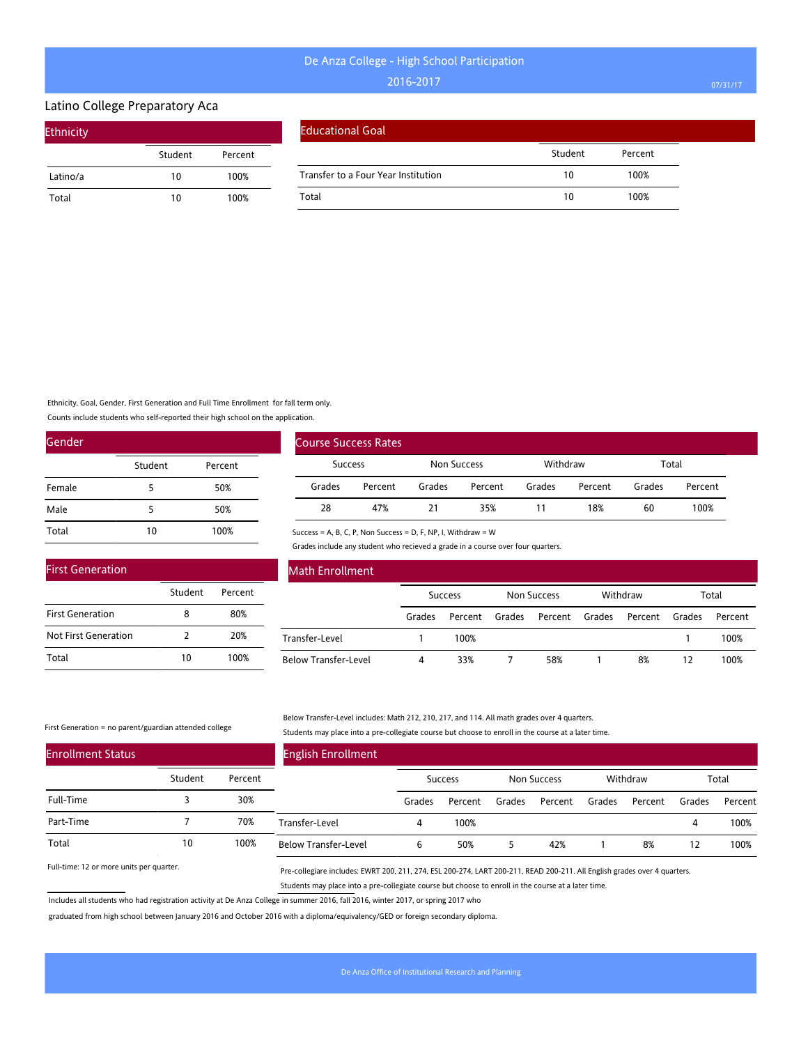#### Latino College Preparatory Aca

| <b>Ethnicity</b> |         |         |
|------------------|---------|---------|
|                  | Student | Percent |
| Latino/a         | 10      | 100%    |
| Total            | 10      | 100%    |

#### Educational Goal

|                                     | Student | Percent |
|-------------------------------------|---------|---------|
| Transfer to a Four Year Institution | 10      | 100%    |
| Total                               | 10      | 100%    |

Ethnicity, Goal, Gender, First Generation and Full Time Enrollment for fall term only.

Counts include students who self-reported their high school on the application.

| Gender |         |         |  |  |  |  |  |
|--------|---------|---------|--|--|--|--|--|
|        | Student | Percent |  |  |  |  |  |
| Female | 5       | 50%     |  |  |  |  |  |
| Male   | 5       | 50%     |  |  |  |  |  |
| Total  | 10      | 100%    |  |  |  |  |  |

| <b>First Generation</b> |         |         |  |  |  |  |  |  |
|-------------------------|---------|---------|--|--|--|--|--|--|
|                         | Student | Percent |  |  |  |  |  |  |
| <b>First Generation</b> | 8       | 80%     |  |  |  |  |  |  |
| Not First Generation    | 2       | 20%     |  |  |  |  |  |  |
| Total                   | 10      | 100%    |  |  |  |  |  |  |

|                | <b>Course Success Rates</b> |             |         |          |         |        |         |
|----------------|-----------------------------|-------------|---------|----------|---------|--------|---------|
| <b>Success</b> |                             | Non Success |         | Withdraw |         | Total  |         |
| Grades         | Percent                     | Grades      | Percent | Grades   | Percent | Grades | Percent |
| 28             | 47%                         | 21          | 35%     | 11       | 18%     | 60     | 100%    |

Success = A, B, C, P, Non Success = D, F, NP, I, Withdraw = W

Grades include any student who recieved a grade in a course over four quarters.

| <b>Math Enrollment</b>      |        |                |        |                    |        |          |        |         |
|-----------------------------|--------|----------------|--------|--------------------|--------|----------|--------|---------|
|                             |        | <b>Success</b> |        | <b>Non Success</b> |        | Withdraw |        | Total   |
|                             | Grades | Percent        | Grades | Percent            | Grades | Percent  | Grades | Percent |
| Transfer-Level              |        | 100%           |        |                    |        |          |        | 100%    |
| <b>Below Transfer-Level</b> | 4      | 33%            |        | 58%                |        | 8%       | 12     | 100%    |

#### First Generation = no parent/guardian attended college

Below Transfer-Level includes: Math 212, 210, 217, and 114. All math grades over 4 quarters. Students may place into a pre-collegiate course but choose to enroll in the course at a later time.

| <b>Enrollment Status</b> |         |         | <b>English Enrollment</b>   |        |                |        |                    |        |          |        |         |
|--------------------------|---------|---------|-----------------------------|--------|----------------|--------|--------------------|--------|----------|--------|---------|
|                          | Student | Percent |                             |        | <b>Success</b> |        | <b>Non Success</b> |        | Withdraw |        | Total   |
| Full-Time                |         | 30%     |                             | Grades | Percent        | Grades | Percent            | Grades | Percent  | Grades | Percent |
| Part-Time                |         | 70%     | Transfer-Level              |        | 100%           |        |                    |        |          | 4      | 100%    |
| Total                    | 10      | 100%    | <b>Below Transfer-Level</b> | ь      | 50%            |        | 42%                |        | 8%       | 12     | 100%    |

Full-time: 12 or more units per quarter.

Pre-collegiare includes: EWRT 200, 211, 274, ESL 200-274, LART 200-211, READ 200-211. All English grades over 4 quarters. Students may place into a pre-collegiate course but choose to enroll in the course at a later time.

Includes all students who had registration activity at De Anza College in summer 2016, fall 2016, winter 2017, or spring 2017 who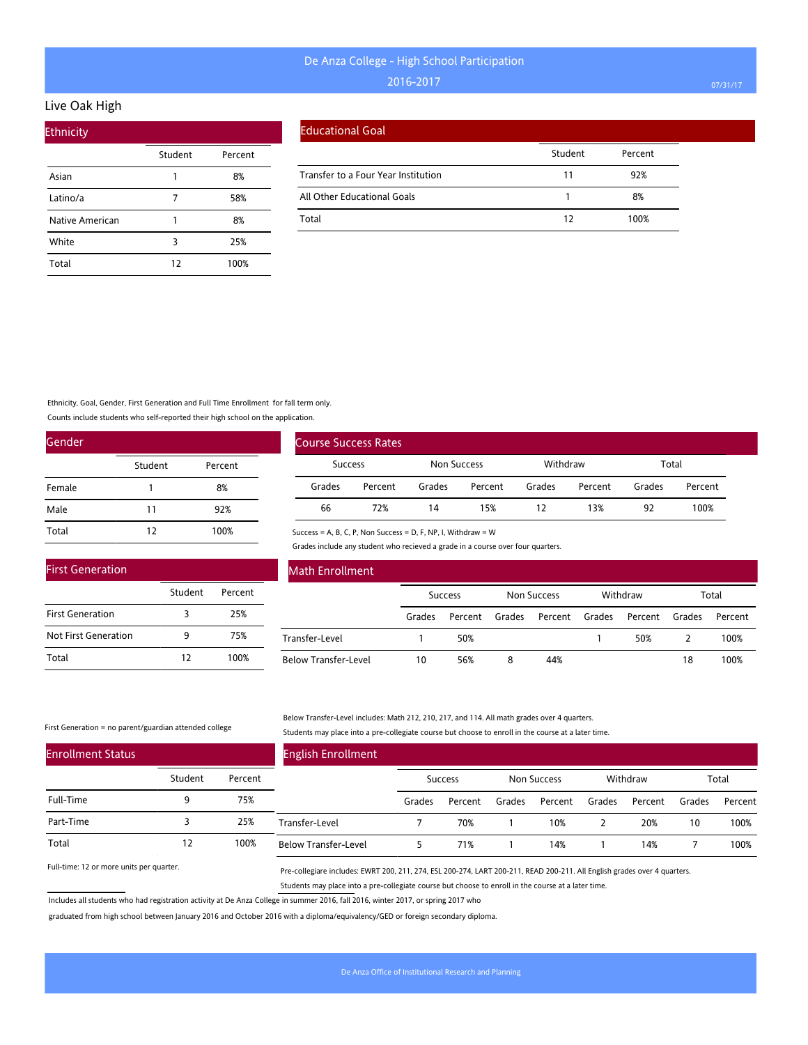### Live Oak High

| <b>Ethnicity</b> |         |         |
|------------------|---------|---------|
|                  | Student | Percent |
| Asian            | 1       | 8%      |
| Latino/a         |         | 58%     |
| Native American  |         | 8%      |
| White            | 3       | 25%     |
| Total            | 12      | 100%    |

#### Educational Goal

|                                     | Student | Percent |
|-------------------------------------|---------|---------|
| Transfer to a Four Year Institution | 11      | 92%     |
| All Other Educational Goals         |         | 8%      |
| Total                               | 17      | 100%    |

#### Ethnicity, Goal, Gender, First Generation and Full Time Enrollment for fall term only.

Counts include students who self-reported their high school on the application.

| Gender |         |         |  |  |  |  |
|--------|---------|---------|--|--|--|--|
|        | Student | Percent |  |  |  |  |
| Female | 1       | 8%      |  |  |  |  |
| Male   | 11      | 92%     |  |  |  |  |
| Total  | 12      | 100%    |  |  |  |  |

| <b>First Generation</b> |         |         |
|-------------------------|---------|---------|
|                         | Student | Percent |
| <b>First Generation</b> | 3       | 25%     |
| Not First Generation    | ۹       | 75%     |
| Total                   | 12      | 100%    |

| Course Success Rates |         |             |         |          |         |        |         |
|----------------------|---------|-------------|---------|----------|---------|--------|---------|
| Success              |         | Non Success |         | Withdraw |         | Total  |         |
| Grades               | Percent | Grades      | Percent | Grades   | Percent | Grades | Percent |
| 66                   | 72%     | 14          | 15%     | 12       | 13%     | 92     | 100%    |

Success = A, B, C, P, Non Success = D, F, NP, I, Withdraw = W

Grades include any student who recieved a grade in a course over four quarters.

| <b>Math Enrollment</b>      |                |         |             |         |          |         |        |         |
|-----------------------------|----------------|---------|-------------|---------|----------|---------|--------|---------|
|                             | <b>Success</b> |         | Non Success |         | Withdraw |         | Total  |         |
|                             | Grades         | Percent | Grades      | Percent | Grades   | Percent | Grades | Percent |
| Transfer-Level              |                | 50%     |             |         |          | 50%     |        | 100%    |
| <b>Below Transfer-Level</b> | 10             | 56%     | 8           | 44%     |          |         | 18     | 100%    |

#### First Generation = no parent/guardian attended college

#### Below Transfer-Level includes: Math 212, 210, 217, and 114. All math grades over 4 quarters. Students may place into a pre-collegiate course but choose to enroll in the course at a later time.

| <b>Enrollment Status</b> |         |         | <b>English Enrollment</b>   |        |         |        |             |        |          |        |         |
|--------------------------|---------|---------|-----------------------------|--------|---------|--------|-------------|--------|----------|--------|---------|
|                          | Student | Percent |                             |        | Success |        | Non Success |        | Withdraw |        | Total   |
| Full-Time                |         | 75%     |                             | Grades | Percent | Grades | Percent     | Grades | Percent  | Grades | Percent |
| Part-Time                |         | 25%     | Transfer-Level              |        | 70%     |        | 10%         |        | 20%      | 10     | 100%    |
| Total                    | 12      | 100%    | <b>Below Transfer-Level</b> |        | 71%     |        | 14%         |        | 14%      |        | 100%    |

Full-time: 12 or more units per quarter.

Pre-collegiare includes: EWRT 200, 211, 274, ESL 200-274, LART 200-211, READ 200-211. All English grades over 4 quarters. Students may place into a pre-collegiate course but choose to enroll in the course at a later time.

Includes all students who had registration activity at De Anza College in summer 2016, fall 2016, winter 2017, or spring 2017 who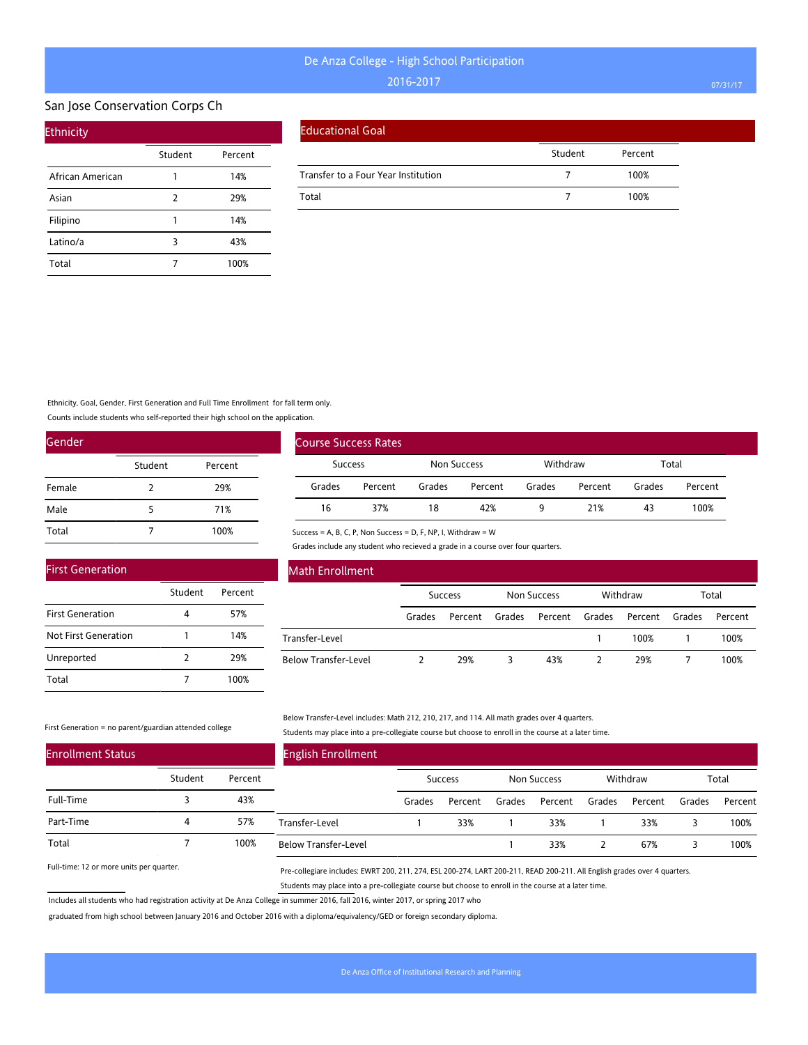#### San Jose Conservation Corps Ch

| <b>Ethnicity</b> |         |         |
|------------------|---------|---------|
|                  | Student | Percent |
| African American |         | 14%     |
| Asian            | 2       | 29%     |
| Filipino         | 1       | 14%     |
| Latino/a         | 3       | 43%     |
| Total            |         | 100%    |

#### Educational Goal

|                                     | Student | Percent |
|-------------------------------------|---------|---------|
| Transfer to a Four Year Institution |         | 100%    |
| Total                               |         | 100%    |

Ethnicity, Goal, Gender, First Generation and Full Time Enrollment for fall term only.

Counts include students who self-reported their high school on the application.

| Gender |               |         |
|--------|---------------|---------|
|        | Student       | Percent |
| Female | $\mathcal{P}$ | 29%     |
| Male   | 5             | 71%     |
| Total  |               | 100%    |

|                | <b>Course Success Rates</b> |                    |         |          |         |        |         |
|----------------|-----------------------------|--------------------|---------|----------|---------|--------|---------|
| <b>Success</b> |                             | <b>Non Success</b> |         | Withdraw |         | Total  |         |
| Grades         | Percent                     | Grades             | Percent | Grades   | Percent | Grades | Percent |
| 16             | 37%                         | 18                 | 42%     | q        | 21%     | 43     | 100%    |

Success = A, B, C, P, Non Success = D, F, NP, I, Withdraw = W

Grades include any student who recieved a grade in a course over four quarters.

| <b>First Generation</b> |               |         |  |
|-------------------------|---------------|---------|--|
|                         | Student       | Percent |  |
| <b>First Generation</b> |               | 57%     |  |
| Not First Generation    |               | 14%     |  |
| Unreported              | $\mathcal{P}$ | 29%     |  |
| Total                   |               | 100%    |  |

#### Math Enrollment

|                             | <b>Success</b> |         | Non Success |                | Withdraw |         | Total  |         |
|-----------------------------|----------------|---------|-------------|----------------|----------|---------|--------|---------|
|                             | Grades         | Percent | Grades      | Percent Grades |          | Percent | Grades | Percent |
| Transfer-Level              |                |         |             |                |          | 100%    |        | 100%    |
| <b>Below Transfer-Level</b> |                | 29%     |             | 43%            |          | 29%     |        | 100%    |

#### First Generation = no parent/guardian attended college

Below Transfer-Level includes: Math 212, 210, 217, and 114. All math grades over 4 quarters. Students may place into a pre-collegiate course but choose to enroll in the course at a later time.

| <b>Enrollment Status</b> |         |         | <b>English Enrollment</b>   |         |         |             |         |          |         |        |         |
|--------------------------|---------|---------|-----------------------------|---------|---------|-------------|---------|----------|---------|--------|---------|
|                          | Student | Percent |                             | Success |         | Non Success |         | Withdraw |         | Total  |         |
| Full-Time                |         | 43%     |                             | Grades  | Percent | Grades      | Percent | Grades   | Percent | Grades | Percent |
| Part-Time                | 4       | 57%     | Transfer-Level              |         | 33%     |             | 33%     |          | 33%     |        | 100%    |
| Total                    |         | 100%    | <b>Below Transfer-Level</b> |         |         |             | 33%     |          | 67%     | 3      | 100%    |

Full-time: 12 or more units per quarter.

Pre-collegiare includes: EWRT 200, 211, 274, ESL 200-274, LART 200-211, READ 200-211. All English grades over 4 quarters. Students may place into a pre-collegiate course but choose to enroll in the course at a later time.

Includes all students who had registration activity at De Anza College in summer 2016, fall 2016, winter 2017, or spring 2017 who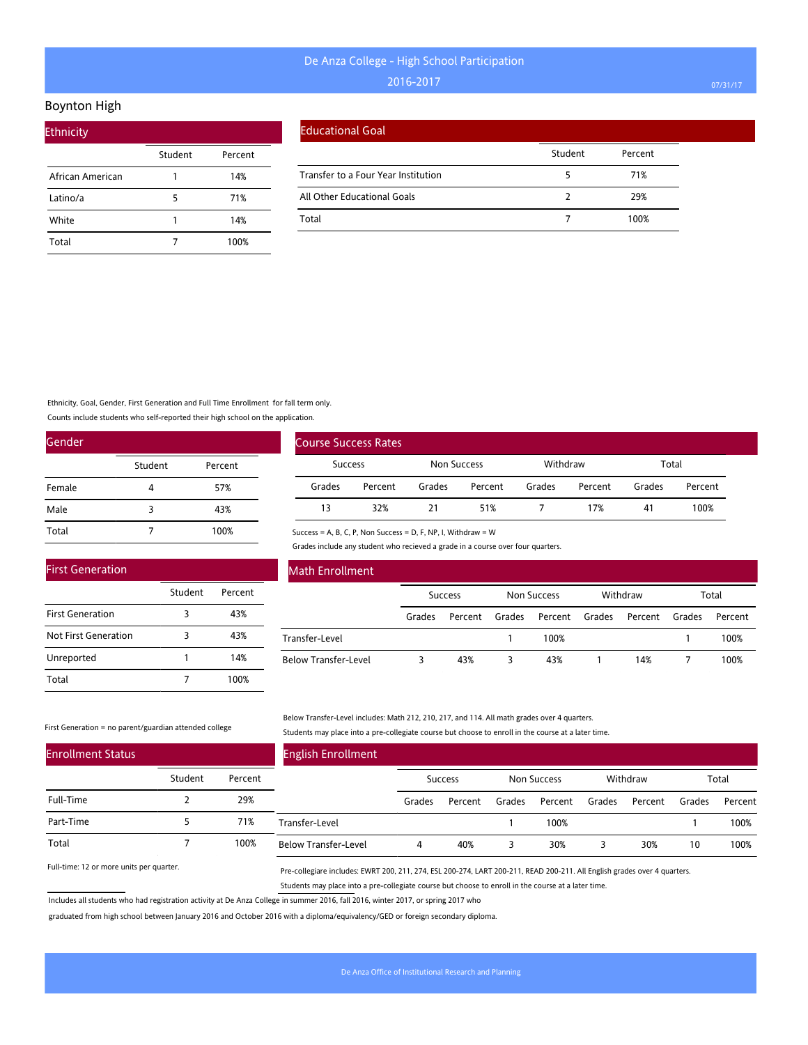#### Boynton High

| <b>Ethnicity</b> |         |         |  |
|------------------|---------|---------|--|
|                  | Student | Percent |  |
| African American |         | 14%     |  |
| Latino/a         | 5       | 71%     |  |
| White            |         | 14%     |  |
| Total            |         | 100%    |  |

#### Educational Goal

|                                     | Student | Percent |
|-------------------------------------|---------|---------|
| Transfer to a Four Year Institution |         | 71%     |
| All Other Educational Goals         |         | 29%     |
| Total                               |         | 100%    |

### Ethnicity, Goal, Gender, First Generation and Full Time Enrollment for fall term only.

Counts include students who self-reported their high school on the application.

| Gender |         |         |
|--------|---------|---------|
|        | Student | Percent |
| Female | 4       | 57%     |
| Male   | 3       | 43%     |
| Total  |         | 100%    |

|                | <b>Course Success Rates</b> |             |         |          |         |        |         |
|----------------|-----------------------------|-------------|---------|----------|---------|--------|---------|
| <b>Success</b> |                             | Non Success |         | Withdraw |         | Total  |         |
| Grades         | Percent                     | Grades      | Percent | Grades   | Percent | Grades | Percent |
| 13             | 32%                         |             | 51%     |          | 17%     | 41     | 100%    |

#### Success = A, B, C, P, Non Success = D, F, NP, I, Withdraw = W

Grades include any student who recieved a grade in a course over four quarters.

| <b>First Generation</b> |         |         |
|-------------------------|---------|---------|
|                         | Student | Percent |
| <b>First Generation</b> | 3       | 43%     |
| Not First Generation    | 3       | 43%     |
| Unreported              |         | 14%     |
| Total                   |         | 100%    |

#### Math Enrollment

|                             | <b>Success</b> |         | Non Success |                | Withdraw |         | Total  |         |
|-----------------------------|----------------|---------|-------------|----------------|----------|---------|--------|---------|
|                             | Grades         | Percent | Grades      | Percent Grades |          | Percent | Grades | Percent |
| Transfer-Level              |                |         |             | 100%           |          |         |        | 100%    |
| <b>Below Transfer-Level</b> |                | 43%     |             | 43%            |          | 14%     |        | 100%    |

#### First Generation = no parent/guardian attended college

Below Transfer-Level includes: Math 212, 210, 217, and 114. All math grades over 4 quarters. Students may place into a pre-collegiate course but choose to enroll in the course at a later time.

| <b>Enrollment Status</b> |         |         | <b>English Enrollment</b>   |        |                |        |             |        |          |        |         |
|--------------------------|---------|---------|-----------------------------|--------|----------------|--------|-------------|--------|----------|--------|---------|
|                          | Student | Percent |                             |        | <b>Success</b> |        | Non Success |        | Withdraw |        | Total   |
| Full-Time                |         | 29%     |                             | Grades | Percent        | Grades | Percent     | Grades | Percent  | Grades | Percent |
| Part-Time                |         | 71%     | Transfer-Level              |        |                |        | 100%        |        |          |        | 100%    |
| Total                    |         | 100%    | <b>Below Transfer-Level</b> | 4      | 40%            |        | 30%         |        | 30%      | 10     | 100%    |

Full-time: 12 or more units per quarter.

Pre-collegiare includes: EWRT 200, 211, 274, ESL 200-274, LART 200-211, READ 200-211. All English grades over 4 quarters. Students may place into a pre-collegiate course but choose to enroll in the course at a later time.

Includes all students who had registration activity at De Anza College in summer 2016, fall 2016, winter 2017, or spring 2017 who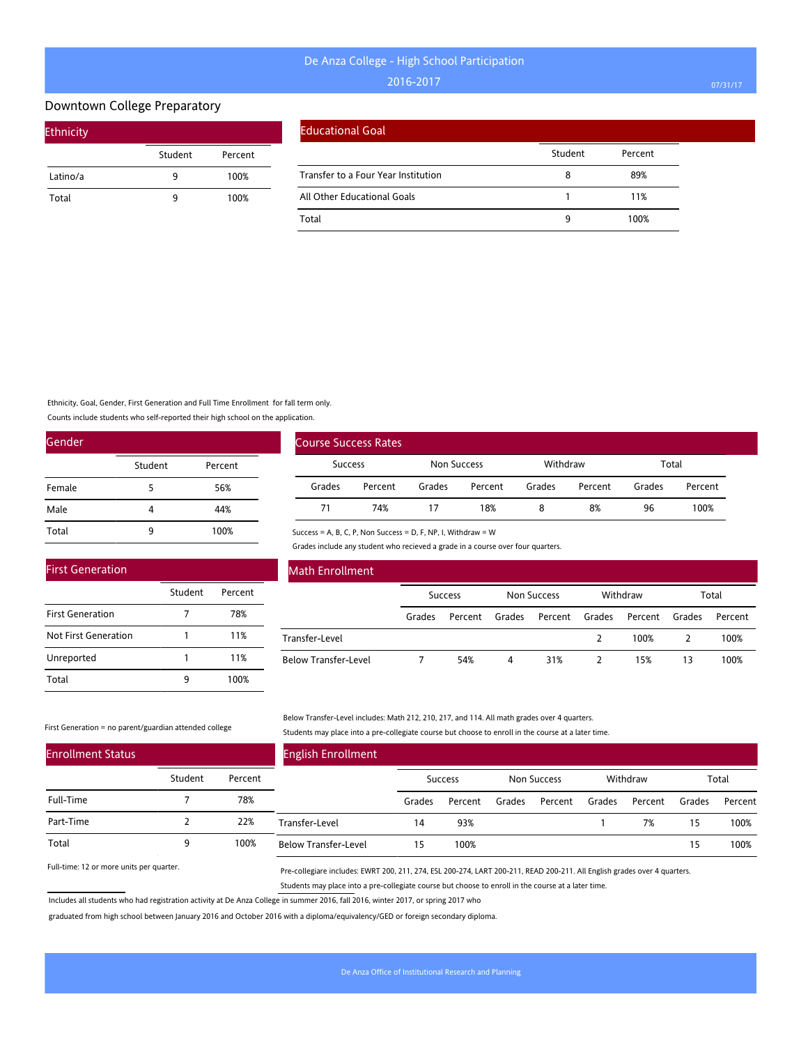#### Downtown College Preparatory

| <b>Ethnicity</b> |         |         |
|------------------|---------|---------|
|                  | Student | Percent |
| Latino/a         | ٩       | 100%    |
| Total            | q       | 100%    |

#### Educational Goal

|                                     | Student | Percent |
|-------------------------------------|---------|---------|
| Transfer to a Four Year Institution | 8       | 89%     |
| All Other Educational Goals         |         | 11%     |
| Total                               | q       | 100%    |

Ethnicity, Goal, Gender, First Generation and Full Time Enrollment for fall term only.

Counts include students who self-reported their high school on the application.

| Gender |         |         |
|--------|---------|---------|
|        | Student | Percent |
| Female | 5       | 56%     |
| Male   | 4       | 44%     |
| Total  | q       | 100%    |

|                | <b>Course Success Rates</b> |                         |         |        |         |        |         |
|----------------|-----------------------------|-------------------------|---------|--------|---------|--------|---------|
| <b>Success</b> |                             | Withdraw<br>Non Success |         | Total  |         |        |         |
| Grades         | Percent                     | Grades                  | Percent | Grades | Percent | Grades | Percent |
| 71             | 74%                         |                         | 18%     |        | 8%      | 96     | 100%    |

Success = A, B, C, P, Non Success = D, F, NP, I, Withdraw = W

Grades include any student who recieved a grade in a course over four quarters.

| <b>First Generation</b> |         |         |
|-------------------------|---------|---------|
|                         | Student | Percent |
| <b>First Generation</b> |         | 78%     |
| Not First Generation    |         | 11%     |
| Unreported              |         | 11%     |
| Total                   |         | 100%    |

#### Math Enrollment

|                      | <b>Success</b> |                | Non Success |                               | Withdraw |      | Total |         |
|----------------------|----------------|----------------|-------------|-------------------------------|----------|------|-------|---------|
|                      | Grades         | Percent Grades |             | Percent Grades Percent Grades |          |      |       | Percent |
| Transfer-Level       |                |                |             |                               |          | 100% |       | 100%    |
| Below Transfer-Level |                | 54%            | 4           | 31%                           |          | 15%  | 13    | 100%    |

#### First Generation = no parent/guardian attended college

Below Transfer-Level includes: Math 212, 210, 217, and 114. All math grades over 4 quarters. Students may place into a pre-collegiate course but choose to enroll in the course at a later time.

| <b>Enrollment Status</b> |         |         | <b>English Enrollment</b>   |        |                |        |             |        |          |        |         |
|--------------------------|---------|---------|-----------------------------|--------|----------------|--------|-------------|--------|----------|--------|---------|
|                          | Student | Percent |                             |        | <b>Success</b> |        | Non Success |        | Withdraw |        | Total   |
| Full-Time                |         | 78%     |                             | Grades | Percent        | Grades | Percent     | Grades | Percent  | Grades | Percent |
| Part-Time                |         | 22%     | Transfer-Level              | 14     | 93%            |        |             |        | 7%       | 15     | 100%    |
| Total                    |         | 100%    | <b>Below Transfer-Level</b> | 15     | 100%           |        |             |        |          | 15     | 100%    |

Full-time: 12 or more units per quarter.

Pre-collegiare includes: EWRT 200, 211, 274, ESL 200-274, LART 200-211, READ 200-211. All English grades over 4 quarters. Students may place into a pre-collegiate course but choose to enroll in the course at a later time.

Includes all students who had registration activity at De Anza College in summer 2016, fall 2016, winter 2017, or spring 2017 who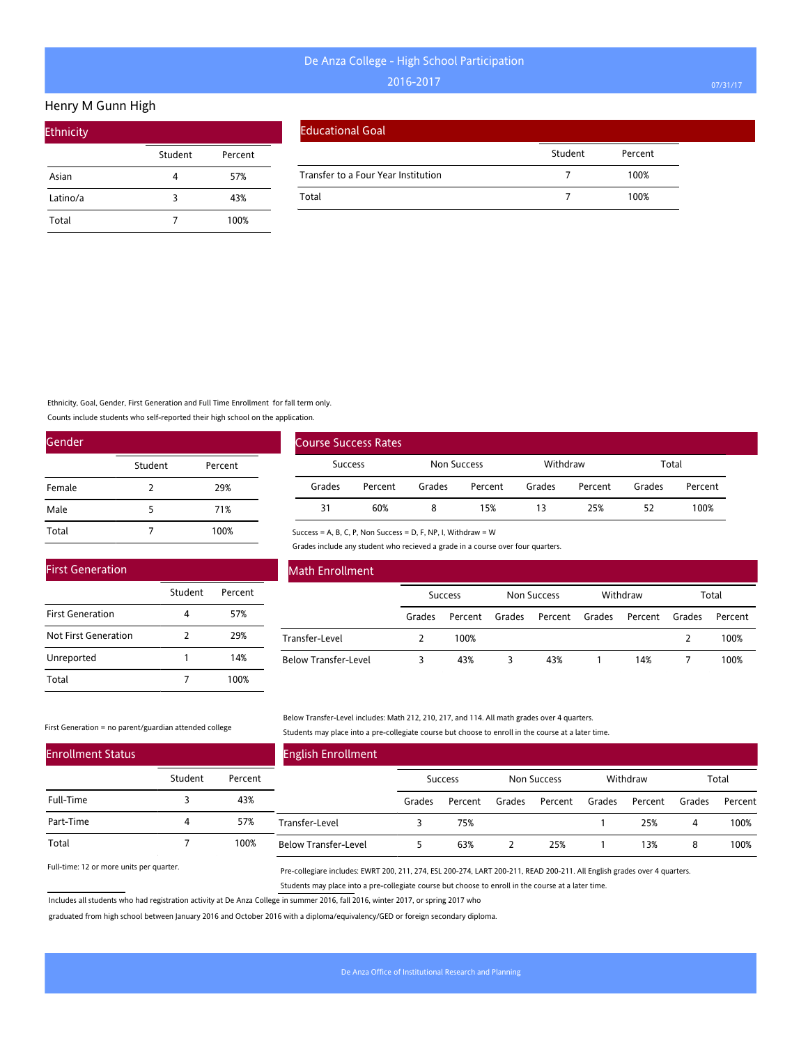#### Henry M Gunn High

| <b>Ethnicity</b> |         |         |
|------------------|---------|---------|
|                  | Student | Percent |
| Asian            |         | 57%     |
| Latino/a         | 3       | 43%     |
| Total            |         | 100%    |

| <b>Educational Goal</b> |  |
|-------------------------|--|
|                         |  |

|                                     | Student | Percent |
|-------------------------------------|---------|---------|
| Transfer to a Four Year Institution |         | 100%    |
| Total                               |         | 100%    |

Ethnicity, Goal, Gender, First Generation and Full Time Enrollment for fall term only.

Counts include students who self-reported their high school on the application.

| Gender |         |         |
|--------|---------|---------|
|        | Student | Percent |
| Female | 2       | 29%     |
| Male   | 5       | 71%     |
| Total  |         | 100%    |

|                | <b>Course Success Rates</b> |             |         |          |         |        |         |
|----------------|-----------------------------|-------------|---------|----------|---------|--------|---------|
| <b>Success</b> |                             | Non Success |         | Withdraw |         | Total  |         |
| Grades         | Percent                     | Grades      | Percent | Grades   | Percent | Grades | Percent |
| 31             | 60%                         |             | 15%     | 13       | 25%     | 52     | 100%    |

Success = A, B, C, P, Non Success = D, F, NP, I, Withdraw = W

Grades include any student who recieved a grade in a course over four quarters.

| <b>First Generation</b> |         |         |
|-------------------------|---------|---------|
|                         | Student | Percent |
| <b>First Generation</b> |         | 57%     |
| Not First Generation    | 2       | 29%     |
| Unreported              |         | 14%     |
| Total                   |         | 100%    |

### Math Enrollment

|                             | <b>Success</b> |         | Non Success |                | Withdraw |         | Total  |         |
|-----------------------------|----------------|---------|-------------|----------------|----------|---------|--------|---------|
|                             | Grades         | Percent | Grades      | Percent Grades |          | Percent | Grades | Percent |
| Transfer-Level              |                | 100%    |             |                |          |         |        | 100%    |
| <b>Below Transfer-Level</b> |                | 43%     |             | 43%            |          | 14%     |        | 100%    |

First Generation = no parent/guardian attended college

Below Transfer-Level includes: Math 212, 210, 217, and 114. All math grades over 4 quarters. Students may place into a pre-collegiate course but choose to enroll in the course at a later time.

| <b>Enrollment Status</b> |         |         | <b>English Enrollment</b>   |        |                |        |             |        |          |        |         |
|--------------------------|---------|---------|-----------------------------|--------|----------------|--------|-------------|--------|----------|--------|---------|
|                          | Student | Percent |                             |        | <b>Success</b> |        | Non Success |        | Withdraw |        | Total   |
| Full-Time                |         | 43%     |                             | Grades | Percent        | Grades | Percent     | Grades | Percent  | Grades | Percent |
| Part-Time                | 4       | 57%     | Transfer-Level              |        | 75%            |        |             |        | 25%      | 4      | 100%    |
| Total                    |         | 100%    | <b>Below Transfer-Level</b> |        | 63%            |        | 25%         |        | 13%      | 8      | 100%    |

Full-time: 12 or more units per quarter.

Pre-collegiare includes: EWRT 200, 211, 274, ESL 200-274, LART 200-211, READ 200-211. All English grades over 4 quarters. Students may place into a pre-collegiate course but choose to enroll in the course at a later time.

Includes all students who had registration activity at De Anza College in summer 2016, fall 2016, winter 2017, or spring 2017 who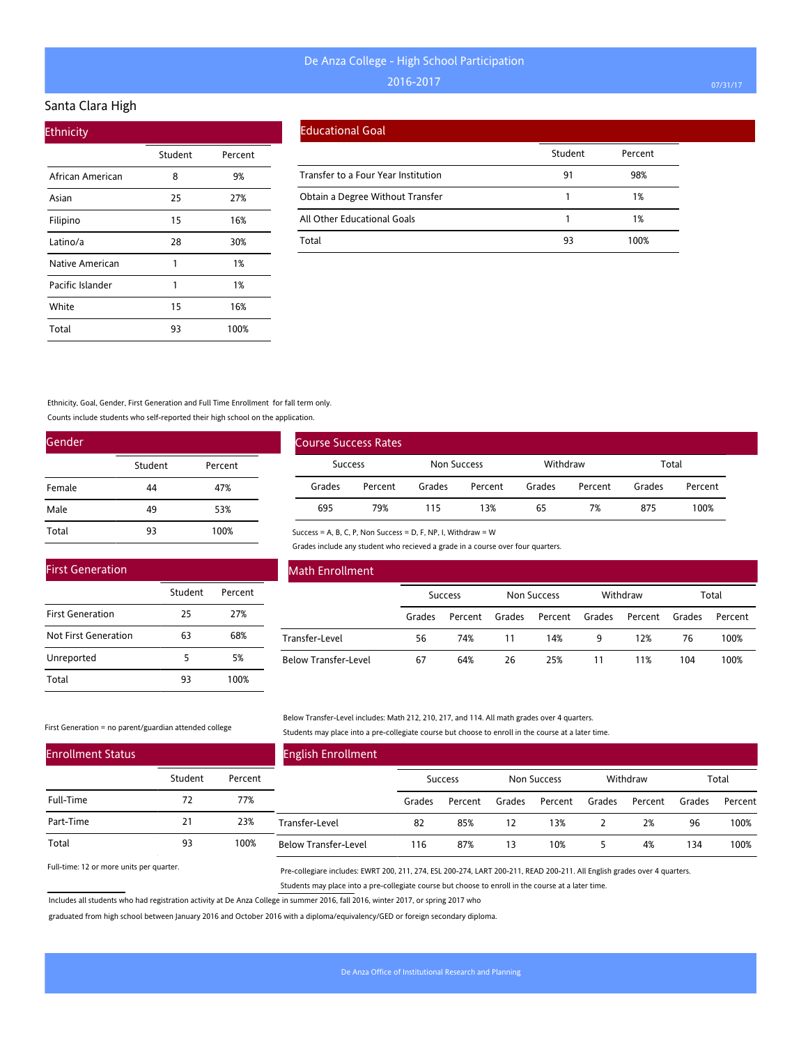#### Santa Clara High

| <b>Ethnicity</b> |         |         |  |
|------------------|---------|---------|--|
|                  | Student | Percent |  |
| African American | 8       | 9%      |  |
| Asian            | 25      | 27%     |  |
| Filipino         | 15      | 16%     |  |
| Latino/a         | 28      | 30%     |  |
| Native American  | 1       | 1%      |  |
| Pacific Islander | 1       | 1%      |  |
| White            | 15      | 16%     |  |
| Total            | 93      | 100%    |  |

#### Educational Goal

Course Success Rates

|                                     | Student | Percent |
|-------------------------------------|---------|---------|
| Transfer to a Four Year Institution | 91      | 98%     |
| Obtain a Degree Without Transfer    |         | 1%      |
| All Other Educational Goals         |         | 1%      |
| Total                               | 93      | 100%    |

Ethnicity, Goal, Gender, First Generation and Full Time Enrollment for fall term only.

Counts include students who self-reported their high school on the application.

| Gender |         |         |
|--------|---------|---------|
|        | Student | Percent |
| Female | 44      | 47%     |
| Male   | 49      | 53%     |
| Total  | 93      | 100%    |

|        | <b>Success</b>                                                | Non Success |         | Withdraw |         | Total  |         |
|--------|---------------------------------------------------------------|-------------|---------|----------|---------|--------|---------|
| Grades | Percent                                                       | Grades      | Percent | Grades   | Percent | Grades | Percent |
| 695    | 79%                                                           | 115         | 13%     | 65       | 7%      | 875    | 100%    |
|        | Success = A, B, C, P, Non Success = D, F, NP, I, Withdraw = W |             |         |          |         |        |         |

Grades include any student who recieved a grade in a course over four quarters.

|         |         | <b>Math Enrollment</b>      |        |                |        |             |        |          |        |         |
|---------|---------|-----------------------------|--------|----------------|--------|-------------|--------|----------|--------|---------|
| Student | Percent |                             |        | <b>Success</b> |        | Non Success |        | Withdraw |        | Total   |
| 25      | 27%     |                             | Grades | Percent        | Grades | Percent     | Grades | Percent  | Grades | Percent |
| 63      | 68%     | Transfer-Level              | 56     | 74%            | 11     | 14%         | 9      | 12%      | 76     | 100%    |
|         | 5%      | <b>Below Transfer-Level</b> | 67     | 64%            | 26     | 25%         | 11     | 11%      | 104    | 100%    |
| 93      | 100%    |                             |        |                |        |             |        |          |        |         |

#### First Generation = no parent/guardian attended college

First Generation

First Generation Not First Generation

Unreported Total

> Below Transfer-Level includes: Math 212, 210, 217, and 114. All math grades over 4 quarters. Students may place into a pre-collegiate course but choose to enroll in the course at a later time.

| <b>Enrollment Status</b> |         |         | <b>English Enrollment</b>   |        |                |        |             |        |          |        |         |
|--------------------------|---------|---------|-----------------------------|--------|----------------|--------|-------------|--------|----------|--------|---------|
|                          | Student | Percent |                             |        | <b>Success</b> |        | Non Success |        | Withdraw |        | Total   |
| Full-Time                | 72      | 77%     |                             | Grades | Percent        | Grades | Percent     | Grades | Percent  | Grades | Percent |
| Part-Time                | 21      | 23%     | Transfer-Level              | 82     | 85%            | 12.    | 13%         |        | 2%       | 96     | 100%    |
| Total                    | 93      | 100%    | <b>Below Transfer-Level</b> | 116    | 87%            | 13     | 10%         |        | 4%       | 134    | 100%    |

Full-time: 12 or more units per quarter.

Pre-collegiare includes: EWRT 200, 211, 274, ESL 200-274, LART 200-211, READ 200-211. All English grades over 4 quarters. Students may place into a pre-collegiate course but choose to enroll in the course at a later time.

Includes all students who had registration activity at De Anza College in summer 2016, fall 2016, winter 2017, or spring 2017 who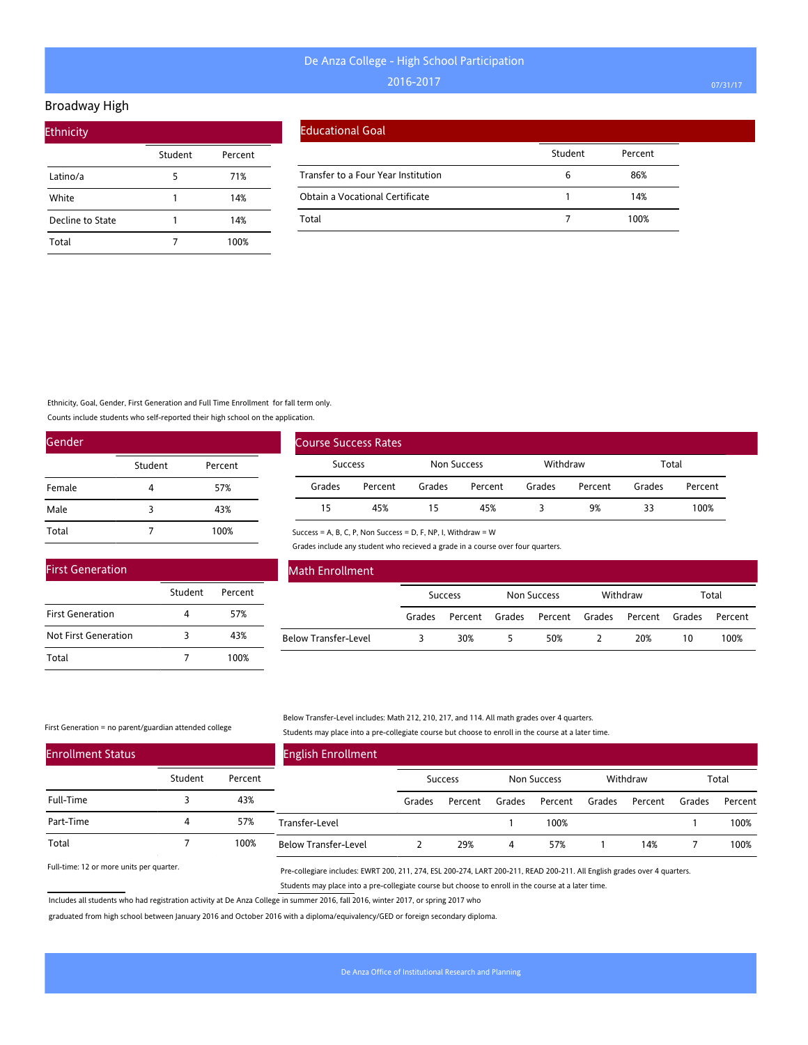#### Broadway High

| <b>Ethnicity</b> |         |         |
|------------------|---------|---------|
|                  | Student | Percent |
| Latino/a         | 5       | 71%     |
| White            | 1       | 14%     |
| Decline to State |         | 14%     |
| Total            |         | 100%    |

#### Educational Goal

|                                     | Student | Percent |
|-------------------------------------|---------|---------|
| Transfer to a Four Year Institution | b       | 86%     |
| Obtain a Vocational Certificate     |         | 14%     |
| Total                               |         | 100%    |

Ethnicity, Goal, Gender, First Generation and Full Time Enrollment for fall term only.

Student Percent

4 57% 3 43% 7 100%

Counts include students who self-reported their high school on the application.

| Gender |         |         |
|--------|---------|---------|
|        | Student | Percent |
| Female | 4       | 57%     |
| Male   | 3       | 43%     |
| Total  |         | 100%    |

|         | Course Success Rates |                    |         |          |         |        |         |
|---------|----------------------|--------------------|---------|----------|---------|--------|---------|
| Success |                      | <b>Non Success</b> |         | Withdraw |         | Total  |         |
| Grades  | Percent              | Grades             | Percent | Grades   | Percent | Grades | Percent |
| 15      | 45%                  | 15                 | 45%     |          | 9%      | 33     | 100%    |

Success = A, B, C, P, Non Success = D, F, NP, I, Withdraw = W

Grades include any student who recieved a grade in a course over four quarters.

| <b>Math Enrollment</b>      |        |                |        |                |          |        |         |
|-----------------------------|--------|----------------|--------|----------------|----------|--------|---------|
|                             |        | <b>Success</b> |        | Non Success    | Withdraw |        | Total   |
|                             | Grades | Percent        | Grades | Percent Grades | Percent  | Grades | Percent |
| <b>Below Transfer-Level</b> |        | 30%            |        | 50%            | 20%      | 10     | 100%    |

First Generation = no parent/guardian attended college

First Generation

First Generation Not First Generation

Total

#### Below Transfer-Level includes: Math 212, 210, 217, and 114. All math grades over 4 quarters. Students may place into a pre-collegiate course but choose to enroll in the course at a later time.

| <b>Enrollment Status</b> |         |         | <b>English Enrollment</b>   |        |                |        |                    |        |          |        |         |
|--------------------------|---------|---------|-----------------------------|--------|----------------|--------|--------------------|--------|----------|--------|---------|
|                          | Student | Percent |                             |        | <b>Success</b> |        | <b>Non Success</b> |        | Withdraw |        | Total   |
| Full-Time                |         | 43%     |                             | Grades | Percent        | Grades | Percent            | Grades | Percent  | Grades | Percent |
| Part-Time                | 4       | 57%     | Transfer-Level              |        |                |        | 100%               |        |          |        | 100%    |
| Total                    |         | 100%    | <b>Below Transfer-Level</b> |        | 29%            | 4      | 57%                |        | 14%      |        | 100%    |

Full-time: 12 or more units per quarter.

Pre-collegiare includes: EWRT 200, 211, 274, ESL 200-274, LART 200-211, READ 200-211. All English grades over 4 quarters. Students may place into a pre-collegiate course but choose to enroll in the course at a later time.

Includes all students who had registration activity at De Anza College in summer 2016, fall 2016, winter 2017, or spring 2017 who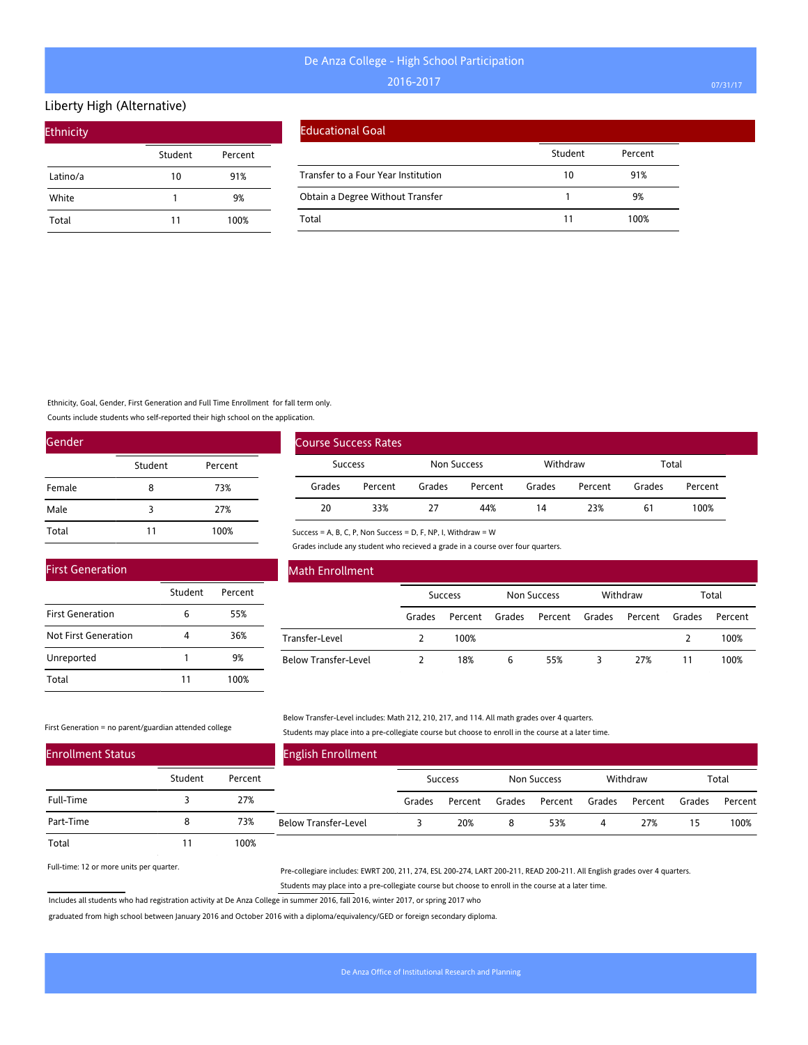#### Liberty High (Alternative)

| <b>Ethnicity</b> |         |         |
|------------------|---------|---------|
|                  | Student | Percent |
| Latino/a         | 10      | 91%     |
| White            |         | 9%      |
| Total            | 11      | 100%    |

| <b>Educational Goal</b> |  |
|-------------------------|--|
|                         |  |

|                                     | Student | Percent |
|-------------------------------------|---------|---------|
| Transfer to a Four Year Institution | 10      | 91%     |
| Obtain a Degree Without Transfer    |         | 9%      |
| Total                               |         | 100%    |

Ethnicity, Goal, Gender, First Generation and Full Time Enrollment for fall term only.

Counts include students who self-reported their high school on the application.

| Gender |         |         |
|--------|---------|---------|
|        | Student | Percent |
| Female | 8       | 73%     |
| Male   | 3       | 27%     |
| Total  | 11      | 100%    |

|                | <b>Course Success Rates</b> |             |         |          |         |        |         |
|----------------|-----------------------------|-------------|---------|----------|---------|--------|---------|
| <b>Success</b> |                             | Non Success |         | Withdraw |         | Total  |         |
| Grades         | Percent                     | Grades      | Percent | Grades   | Percent | Grades | Percent |
| 20             | 33%                         | 27          | 44%     | 14       | 23%     | 61     | 100%    |

Success = A, B, C, P, Non Success = D, F, NP, I, Withdraw = W

Grades include any student who recieved a grade in a course over four quarters.

| <b>First Generation</b> |         |         |
|-------------------------|---------|---------|
|                         | Student | Percent |
| <b>First Generation</b> | 6       | 55%     |
| Not First Generation    |         | 36%     |
| Unreported              | 1       | 9%      |
| Total                   | 11      | 100%    |

### Math Enrollment

|                             | <b>Success</b> |                | Non Success |                | Withdraw |         | Total  |         |
|-----------------------------|----------------|----------------|-------------|----------------|----------|---------|--------|---------|
|                             | Grades         | Percent Grades |             | Percent Grades |          | Percent | Grades | Percent |
| Transfer-Level              |                | 100%           |             |                |          |         |        | 100%    |
| <b>Below Transfer-Level</b> |                | 18%            | 6           | 55%            |          | 27%     |        | 100%    |

First Generation = no parent/guardian attended college

Below Transfer-Level includes: Math 212, 210, 217, and 114. All math grades over 4 quarters. Students may place into a pre-collegiate course but choose to enroll in the course at a later time.

| <b>Enrollment Status</b> |         |         | <b>English Enrollment</b>   |        |                |        |             |        |          |        |         |
|--------------------------|---------|---------|-----------------------------|--------|----------------|--------|-------------|--------|----------|--------|---------|
|                          | Student | Percent |                             |        | <b>Success</b> |        | Non Success |        | Withdraw |        | Total   |
| Full-Time                |         | 27%     |                             | Grades | Percent        | Grades | Percent     | Grades | Percent  | Grades | Percent |
| Part-Time                |         | 73%     | <b>Below Transfer-Level</b> |        | 20%            |        | 53%         | 4      | 27%      | 15     | 100%    |
| Total                    |         | 100%    |                             |        |                |        |             |        |          |        |         |

Full-time: 12 or more units per quarter.

Pre-collegiare includes: EWRT 200, 211, 274, ESL 200-274, LART 200-211, READ 200-211. All English grades over 4 quarters. Students may place into a pre-collegiate course but choose to enroll in the course at a later time.

Includes all students who had registration activity at De Anza College in summer 2016, fall 2016, winter 2017, or spring 2017 who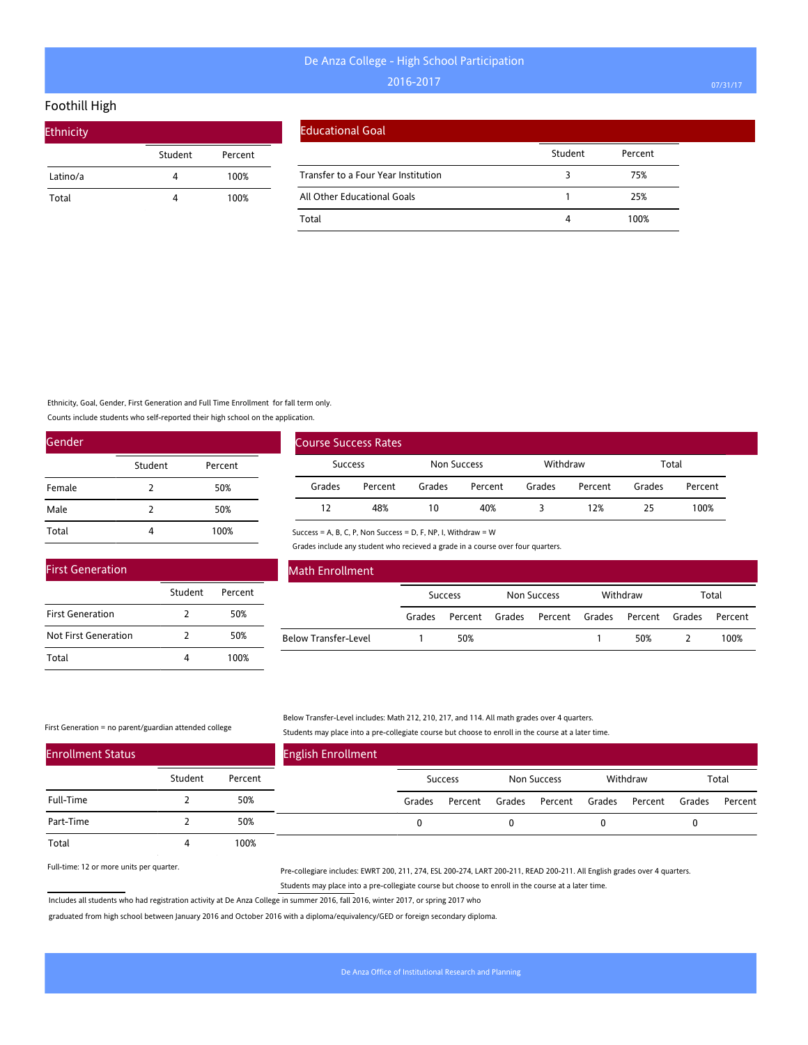### Foothill High

| Ethnicity |         |         |  |  |  |  |  |  |  |
|-----------|---------|---------|--|--|--|--|--|--|--|
|           | Student | Percent |  |  |  |  |  |  |  |
| Latino/a  | 4       | 100%    |  |  |  |  |  |  |  |
| Total     | 4       | 100%    |  |  |  |  |  |  |  |

#### Educational Goal

|                                     | Student | Percent |
|-------------------------------------|---------|---------|
| Transfer to a Four Year Institution |         | 75%     |
| All Other Educational Goals         |         | 25%     |
| Total                               |         | 100%    |

Ethnicity, Goal, Gender, First Generation and Full Time Enrollment for fall term only.

Student Percent

2 50% 2 50% 4 100%

Counts include students who self-reported their high school on the application.

| Gender |               |         |  |  |  |  |
|--------|---------------|---------|--|--|--|--|
|        | Student       | Percent |  |  |  |  |
| Female | $\mathcal{L}$ | 50%     |  |  |  |  |
| Male   | 2             | 50%     |  |  |  |  |
| Total  |               | 100%    |  |  |  |  |

|                | <b>Course Success Rates</b> |             |         |          |         |        |         |
|----------------|-----------------------------|-------------|---------|----------|---------|--------|---------|
| <b>Success</b> |                             | Non Success |         | Withdraw |         | Total  |         |
| Grades         | Percent                     | Grades      | Percent | Grades   | Percent | Grades | Percent |
| 12             | 48%                         | 10          | 40%     |          | 12%     | 25     | 100%    |

Success = A, B, C, P, Non Success = D, F, NP, I, Withdraw = W

Grades include any student who recieved a grade in a course over four quarters.

| <b>Math Enrollment</b>      |                |         |             |  |          |                                      |       |         |
|-----------------------------|----------------|---------|-------------|--|----------|--------------------------------------|-------|---------|
|                             | <b>Success</b> |         | Non Success |  | Withdraw |                                      | Total |         |
|                             | Grades         | Percent |             |  |          | Grades Percent Grades Percent Grades |       | Percent |
| <b>Below Transfer-Level</b> |                | 50%     |             |  |          | 50%                                  |       | 100%    |

First Generation = no parent/guardian attended college

First Generation

First Generation Not First Generation

Total

#### Below Transfer-Level includes: Math 212, 210, 217, and 114. All math grades over 4 quarters. Students may place into a pre-collegiate course but choose to enroll in the course at a later time.

| <b>Enrollment Status</b> |         |         | <b>English Enrollment</b> |        |                |        |                |          |        |         |
|--------------------------|---------|---------|---------------------------|--------|----------------|--------|----------------|----------|--------|---------|
|                          | Student | Percent |                           |        | <b>Success</b> |        | Non Success    | Withdraw |        | Total   |
| Full-Time                |         | 50%     |                           | Grades | Percent        | Grades | Percent Grades | Percent  | Grades | Percent |
| Part-Time                |         | 50%     |                           |        |                |        |                |          |        |         |
| Total                    |         | 100%    |                           |        |                |        |                |          |        |         |

Full-time: 12 or more units per quarter.

Pre-collegiare includes: EWRT 200, 211, 274, ESL 200-274, LART 200-211, READ 200-211. All English grades over 4 quarters. Students may place into a pre-collegiate course but choose to enroll in the course at a later time.

Includes all students who had registration activity at De Anza College in summer 2016, fall 2016, winter 2017, or spring 2017 who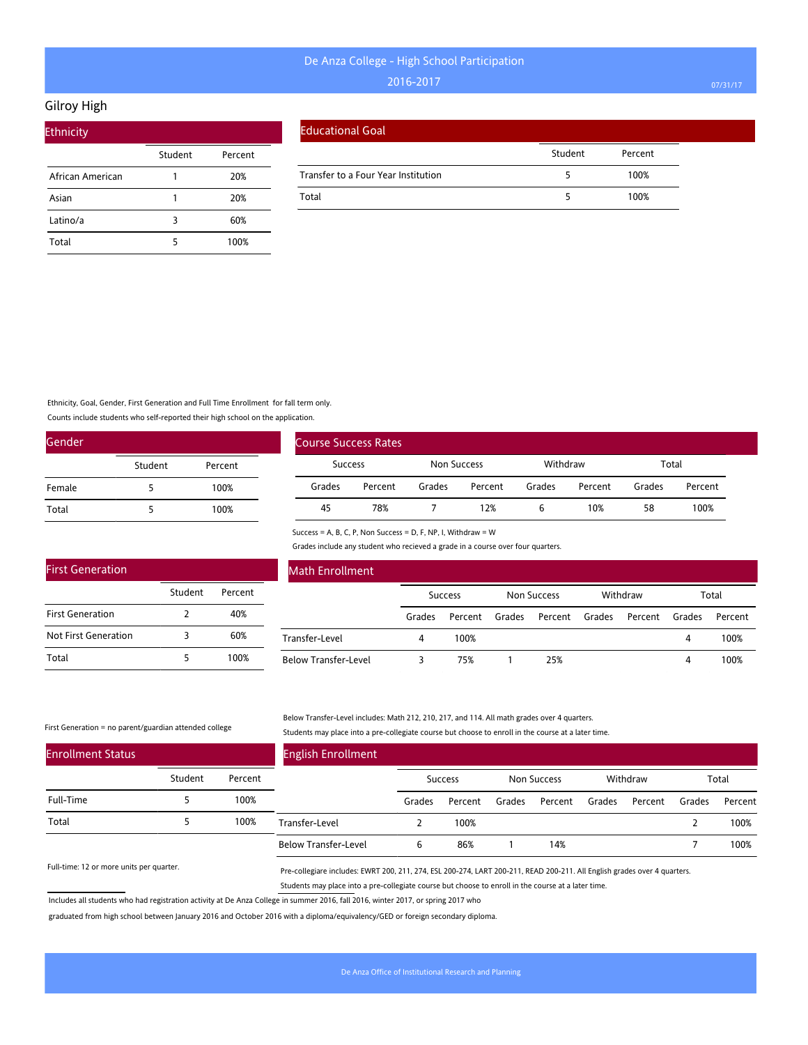#### Gilroy High

| <b>Ethnicity</b> |         |         |
|------------------|---------|---------|
|                  | Student | Percent |
| African American |         | 20%     |
| Asian            |         | 20%     |
| Latino/a         | 3       | 60%     |
| Total            |         | 100%    |

#### Educational Goal

|                                     | Student | Percent |  |
|-------------------------------------|---------|---------|--|
| Transfer to a Four Year Institution |         | 100%    |  |
| Total                               |         | 100%    |  |

Ethnicity, Goal, Gender, First Generation and Full Time Enrollment for fall term only.

Student Percent

2 40% 3 60% 5 100%

Counts include students who self-reported their high school on the application.

| Gender |         |         |  |
|--------|---------|---------|--|
|        | Student | Percent |  |
| Female | 5       | 100%    |  |
| Total  |         | 100%    |  |

|         | <b>Course Success Rates</b> |        |             |        |          |        |         |  |
|---------|-----------------------------|--------|-------------|--------|----------|--------|---------|--|
| Success |                             |        | Non Success |        | Withdraw |        | Total   |  |
| Grades  | Percent                     | Grades | Percent     | Grades | Percent  | Grades | Percent |  |
| 45      | 78%                         |        | 12%         |        | 10%      | 58     | 100%    |  |

Success = A, B, C, P, Non Success = D, F, NP, I, Withdraw = W

Grades include any student who recieved a grade in a course over four quarters.

| Math Enrollment             |        |                |        |             |        |          |        |         |
|-----------------------------|--------|----------------|--------|-------------|--------|----------|--------|---------|
|                             |        | <b>Success</b> |        | Non Success |        | Withdraw |        | Total   |
|                             | Grades | Percent        | Grades | Percent     | Grades | Percent  | Grades | Percent |
| Transfer-Level              | 4      | 100%           |        |             |        |          | 4      | 100%    |
| <b>Below Transfer-Level</b> |        | 75%            |        | 25%         |        |          | 4      | 100%    |

#### First Generation = no parent/guardian attended college

First Generation

First Generation Not First Generation

Total

Below Transfer-Level includes: Math 212, 210, 217, and 114. All math grades over 4 quarters. Students may place into a pre-collegiate course but choose to enroll in the course at a later time.

| <b>Enrollment Status</b> |         |         | <b>English Enrollment</b>   |        |                |        |                    |        |          |        |         |
|--------------------------|---------|---------|-----------------------------|--------|----------------|--------|--------------------|--------|----------|--------|---------|
|                          | Student | Percent |                             |        | <b>Success</b> |        | <b>Non Success</b> |        | Withdraw |        | Total   |
| Full-Time                |         | 100%    |                             | Grades | Percent        | Grades | Percent            | Grades | Percent  | Grades | Percent |
| Total                    |         | 100%    | Transfer-Level              |        | 100%           |        |                    |        |          |        | 100%    |
|                          |         |         | <b>Below Transfer-Level</b> | ь      | 86%            |        | 14%                |        |          |        | 100%    |

Full-time: 12 or more units per quarter.

Pre-collegiare includes: EWRT 200, 211, 274, ESL 200-274, LART 200-211, READ 200-211. All English grades over 4 quarters. Students may place into a pre-collegiate course but choose to enroll in the course at a later time.

Includes all students who had registration activity at De Anza College in summer 2016, fall 2016, winter 2017, or spring 2017 who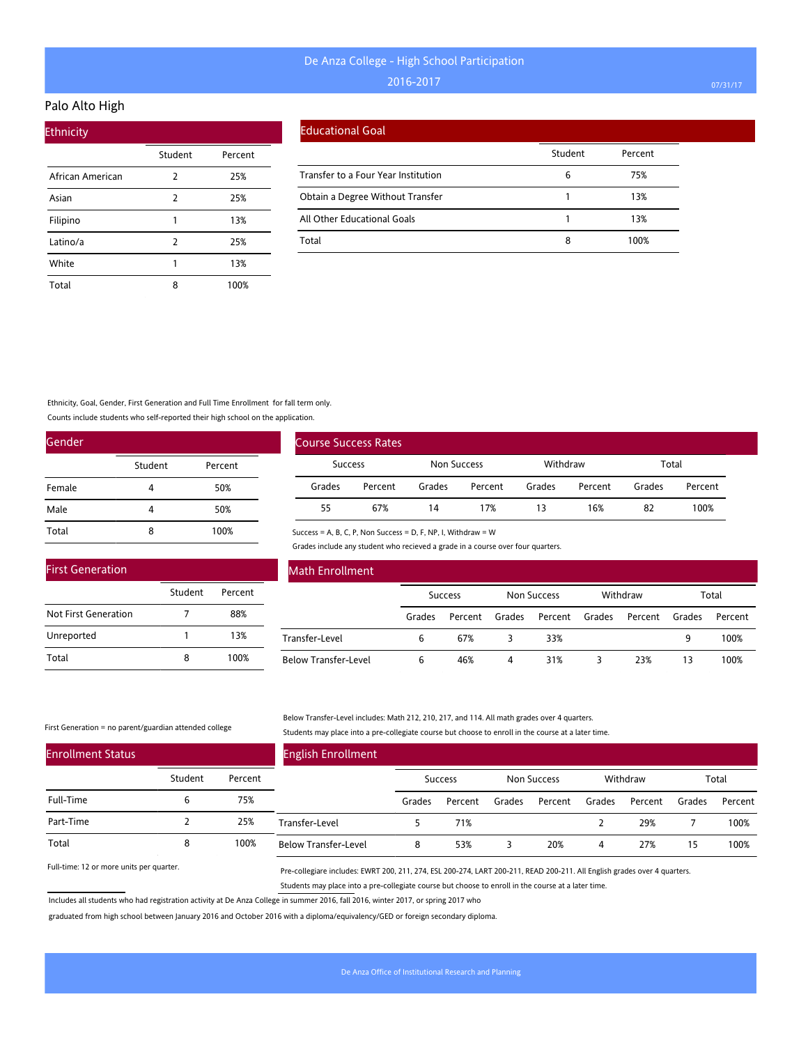### Palo Alto High

| <b>Ethnicity</b> |         |         |
|------------------|---------|---------|
|                  | Student | Percent |
| African American | 2       | 25%     |
| Asian            | 2       | 25%     |
| Filipino         |         | 13%     |
| Latino/a         | 2       | 25%     |
| White            |         | 13%     |
| Total            | 8       | 100%    |

### Educational Goal

|                                     | Student | Percent |
|-------------------------------------|---------|---------|
| Transfer to a Four Year Institution | 6       | 75%     |
| Obtain a Degree Without Transfer    |         | 13%     |
| All Other Educational Goals         |         | 13%     |
| Total                               | 8       | 100%    |

Ethnicity, Goal, Gender, First Generation and Full Time Enrollment for fall term only.

Counts include students who self-reported their high school on the application.

| Gender |         |         |
|--------|---------|---------|
|        | Student | Percent |
| Female | 4       | 50%     |
| Male   | 4       | 50%     |
| Total  | 8       | 100%    |

| <b>First Generation</b> |         |         |
|-------------------------|---------|---------|
|                         | Student | Percent |
| Not First Generation    |         | 88%     |
| Unreported              |         | 13%     |
| Total                   |         | 100%    |

| Course Success Rates |         |             |         |          |         |        |         |
|----------------------|---------|-------------|---------|----------|---------|--------|---------|
| Success              |         | Non Success |         | Withdraw |         | Total  |         |
| Grades               | Percent | Grades      | Percent | Grades   | Percent | Grades | Percent |
| 55                   | 67%     | 14          | 17%     | 13       | 16%     | 82     | 100%    |

Success = A, B, C, P, Non Success = D, F, NP, I, Withdraw = W

Grades include any student who recieved a grade in a course over four quarters.

| <b>Math Enrollment</b>      |                |         |                    |         |        |          |        |         |  |
|-----------------------------|----------------|---------|--------------------|---------|--------|----------|--------|---------|--|
|                             | <b>Success</b> |         | <b>Non Success</b> |         |        | Withdraw | Total  |         |  |
|                             | Grades         | Percent | Grades             | Percent | Grades | Percent  | Grades | Percent |  |
| Transfer-Level              | 6              | 67%     |                    | 33%     |        |          | 9      | 100%    |  |
| <b>Below Transfer-Level</b> | 6              | 46%     | 4                  | 31%     |        | 23%      | 13     | 100%    |  |

First Generation = no parent/guardian attended college

#### Below Transfer-Level includes: Math 212, 210, 217, and 114. All math grades over 4 quarters. Students may place into a pre-collegiate course but choose to enroll in the course at a later time.

| <b>Enrollment Status</b> |         |         | <b>English Enrollment</b>   |        |         |        |             |        |          |        |         |
|--------------------------|---------|---------|-----------------------------|--------|---------|--------|-------------|--------|----------|--------|---------|
|                          | Student | Percent |                             |        | Success |        | Non Success |        | Withdraw |        | Total   |
| Full-Time                |         | 75%     |                             | Grades | Percent | Grades | Percent     | Grades | Percent  | Grades | Percent |
| Part-Time                |         | 25%     | Transfer-Level              |        | 71%     |        |             |        | 29%      |        | 100%    |
| Total                    | 8       | 100%    | <b>Below Transfer-Level</b> |        | 53%     |        | 20%         | 4      | 27%      | 15     | 100%    |

Full-time: 12 or more units per quarter.

Pre-collegiare includes: EWRT 200, 211, 274, ESL 200-274, LART 200-211, READ 200-211. All English grades over 4 quarters. Students may place into a pre-collegiate course but choose to enroll in the course at a later time.

Includes all students who had registration activity at De Anza College in summer 2016, fall 2016, winter 2017, or spring 2017 who